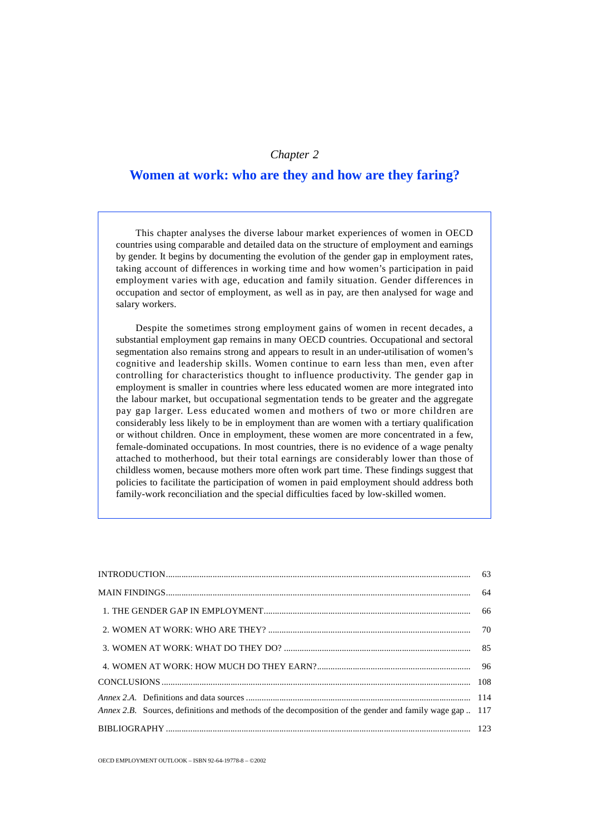# *Chapter 2*

# **Women at work: who are they and how are they faring?**

This chapter analyses the diverse labour market experiences of women in OECD countries using comparable and detailed data on the structure of employment and earnings by gender. It begins by documenting the evolution of the gender gap in employment rates, taking account of differences in working time and how women's participation in paid employment varies with age, education and family situation. Gender differences in occupation and sector of employment, as well as in pay, are then analysed for wage and salary workers.

Despite the sometimes strong employment gains of women in recent decades, a substantial employment gap remains in many OECD countries. Occupational and sectoral segmentation also remains strong and appears to result in an under-utilisation of women's cognitive and leadership skills. Women continue to earn less than men, even after controlling for characteristics thought to influence productivity. The gender gap in employment is smaller in countries where less educated women are more integrated into the labour market, but occupational segmentation tends to be greater and the aggregate pay gap larger. Less educated women and mothers of two or more children are considerably less likely to be in employment than are women with a tertiary qualification or without children. Once in employment, these women are more concentrated in a few, female-dominated occupations. In most countries, there is no evidence of a wage penalty attached to motherhood, but their total earnings are considerably lower than those of childless women, because mothers more often work part time. These findings suggest that policies to facilitate the participation of women in paid employment should address both family-work reconciliation and the special difficulties faced by low-skilled women.

| Annex 2.B. Sources, definitions and methods of the decomposition of the gender and family wage gap  117 |  |
|---------------------------------------------------------------------------------------------------------|--|
|                                                                                                         |  |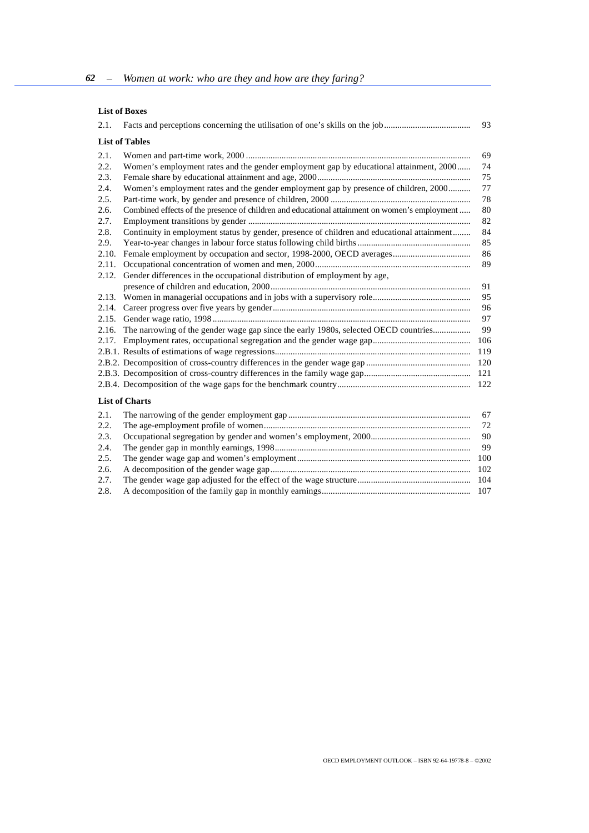## **List of Boxes**

|                                                                                            | 93                                                                                                                                                                                                                                                                     |
|--------------------------------------------------------------------------------------------|------------------------------------------------------------------------------------------------------------------------------------------------------------------------------------------------------------------------------------------------------------------------|
| <b>List of Tables</b>                                                                      |                                                                                                                                                                                                                                                                        |
|                                                                                            | 69                                                                                                                                                                                                                                                                     |
|                                                                                            | 74                                                                                                                                                                                                                                                                     |
|                                                                                            | 75                                                                                                                                                                                                                                                                     |
| Women's employment rates and the gender employment gap by presence of children, 2000       | 77                                                                                                                                                                                                                                                                     |
|                                                                                            | 78                                                                                                                                                                                                                                                                     |
|                                                                                            | 80                                                                                                                                                                                                                                                                     |
|                                                                                            | 82                                                                                                                                                                                                                                                                     |
| Continuity in employment status by gender, presence of children and educational attainment | 84                                                                                                                                                                                                                                                                     |
|                                                                                            | 85                                                                                                                                                                                                                                                                     |
|                                                                                            | 86                                                                                                                                                                                                                                                                     |
|                                                                                            | 89                                                                                                                                                                                                                                                                     |
| Gender differences in the occupational distribution of employment by age,                  |                                                                                                                                                                                                                                                                        |
|                                                                                            | 91                                                                                                                                                                                                                                                                     |
|                                                                                            | 95                                                                                                                                                                                                                                                                     |
|                                                                                            | 96                                                                                                                                                                                                                                                                     |
|                                                                                            | 97                                                                                                                                                                                                                                                                     |
| The narrowing of the gender wage gap since the early 1980s, selected OECD countries        | 99                                                                                                                                                                                                                                                                     |
|                                                                                            | 106                                                                                                                                                                                                                                                                    |
|                                                                                            | 119                                                                                                                                                                                                                                                                    |
|                                                                                            | 120                                                                                                                                                                                                                                                                    |
|                                                                                            | 121                                                                                                                                                                                                                                                                    |
|                                                                                            | 122                                                                                                                                                                                                                                                                    |
| <b>List of Charts</b>                                                                      |                                                                                                                                                                                                                                                                        |
|                                                                                            | 67                                                                                                                                                                                                                                                                     |
|                                                                                            | 72                                                                                                                                                                                                                                                                     |
|                                                                                            | 90                                                                                                                                                                                                                                                                     |
|                                                                                            | Facts and perceptions concerning the utilisation of one's skills on the job<br>Women's employment rates and the gender employment gap by educational attainment, 2000<br>Combined effects of the presence of children and educational attainment on women's employment |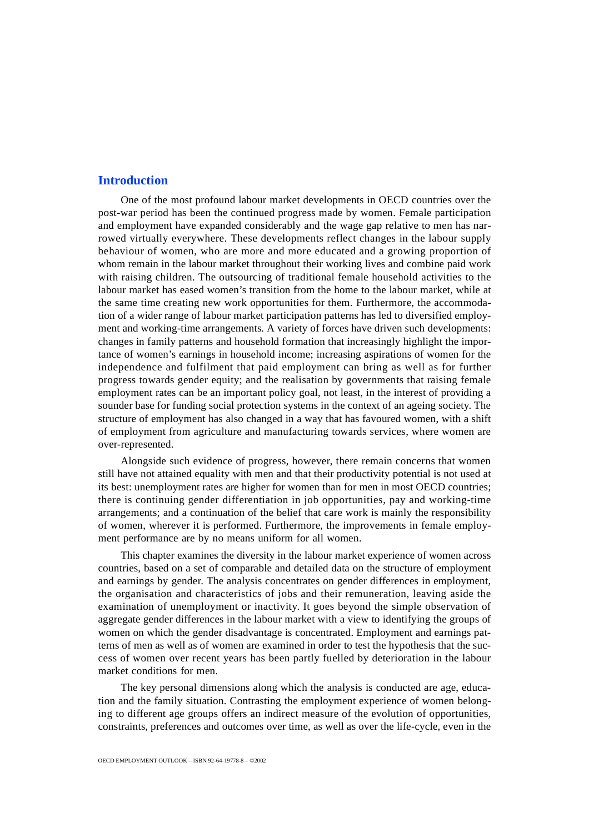# <span id="page-2-0"></span>**Introduction**

One of the most profound labour market developments in OECD countries over the post-war period has been the continued progress made by women. Female participation and employment have expanded considerably and the wage gap relative to men has narrowed virtually everywhere. These developments reflect changes in the labour supply behaviour of women, who are more and more educated and a growing proportion of whom remain in the labour market throughout their working lives and combine paid work with raising children. The outsourcing of traditional female household activities to the labour market has eased women's transition from the home to the labour market, while at the same time creating new work opportunities for them. Furthermore, the accommodation of a wider range of labour market participation patterns has led to diversified employment and working-time arrangements. A variety of forces have driven such developments: changes in family patterns and household formation that increasingly highlight the importance of women's earnings in household income; increasing aspirations of women for the independence and fulfilment that paid employment can bring as well as for further progress towards gender equity; and the realisation by governments that raising female employment rates can be an important policy goal, not least, in the interest of providing a sounder base for funding social protection systems in the context of an ageing society. The structure of employment has also changed in a way that has favoured women, with a shift of employment from agriculture and manufacturing towards services, where women are over-represented.

Alongside such evidence of progress, however, there remain concerns that women still have not attained equality with men and that their productivity potential is not used at its best: unemployment rates are higher for women than for men in most OECD countries; there is continuing gender differentiation in job opportunities, pay and working-time arrangements; and a continuation of the belief that care work is mainly the responsibility of women, wherever it is performed. Furthermore, the improvements in female employment performance are by no means uniform for all women.

This chapter examines the diversity in the labour market experience of women across countries, based on a set of comparable and detailed data on the structure of employment and earnings by gender. The analysis concentrates on gender differences in employment, the organisation and characteristics of jobs and their remuneration, leaving aside the examination of unemployment or inactivity. It goes beyond the simple observation of aggregate gender differences in the labour market with a view to identifying the groups of women on which the gender disadvantage is concentrated. Employment and earnings patterns of men as well as of women are examined in order to test the hypothesis that the success of women over recent years has been partly fuelled by deterioration in the labour market conditions for men.

The key personal dimensions along which the analysis is conducted are age, education and the family situation. Contrasting the employment experience of women belonging to different age groups offers an indirect measure of the evolution of opportunities, constraints, preferences and outcomes over time, as well as over the life-cycle, even in the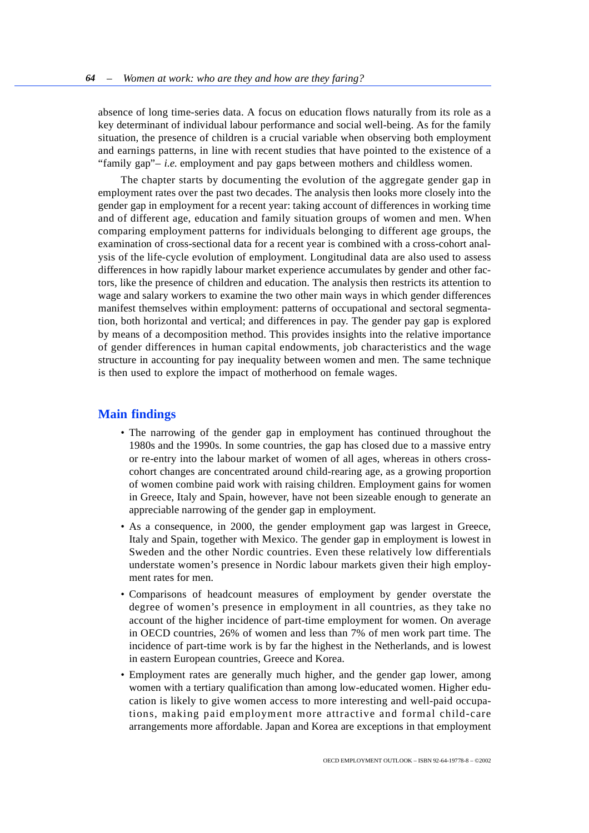<span id="page-3-0"></span>absence of long time-series data. A focus on education flows naturally from its role as a key determinant of individual labour performance and social well-being. As for the family situation, the presence of children is a crucial variable when observing both employment and earnings patterns, in line with recent studies that have pointed to the existence of a "family gap"– *i.e.* employment and pay gaps between mothers and childless women.

The chapter starts by documenting the evolution of the aggregate gender gap in employment rates over the past two decades. The analysis then looks more closely into the gender gap in employment for a recent year: taking account of differences in working time and of different age, education and family situation groups of women and men. When comparing employment patterns for individuals belonging to different age groups, the examination of cross-sectional data for a recent year is combined with a cross-cohort analysis of the life-cycle evolution of employment. Longitudinal data are also used to assess differences in how rapidly labour market experience accumulates by gender and other factors, like the presence of children and education. The analysis then restricts its attention to wage and salary workers to examine the two other main ways in which gender differences manifest themselves within employment: patterns of occupational and sectoral segmentation, both horizontal and vertical; and differences in pay. The gender pay gap is explored by means of a decomposition method. This provides insights into the relative importance of gender differences in human capital endowments, job characteristics and the wage structure in accounting for pay inequality between women and men. The same technique is then used to explore the impact of motherhood on female wages.

## **Main findings**

- The narrowing of the gender gap in employment has continued throughout the 1980s and the 1990s. In some countries, the gap has closed due to a massive entry or re-entry into the labour market of women of all ages, whereas in others crosscohort changes are concentrated around child-rearing age, as a growing proportion of women combine paid work with raising children. Employment gains for women in Greece, Italy and Spain, however, have not been sizeable enough to generate an appreciable narrowing of the gender gap in employment.
- As a consequence, in 2000, the gender employment gap was largest in Greece, Italy and Spain, together with Mexico. The gender gap in employment is lowest in Sweden and the other Nordic countries. Even these relatively low differentials understate women's presence in Nordic labour markets given their high employment rates for men.
- Comparisons of headcount measures of employment by gender overstate the degree of women's presence in employment in all countries, as they take no account of the higher incidence of part-time employment for women. On average in OECD countries, 26% of women and less than 7% of men work part time. The incidence of part-time work is by far the highest in the Netherlands, and is lowest in eastern European countries, Greece and Korea.
- Employment rates are generally much higher, and the gender gap lower, among women with a tertiary qualification than among low-educated women. Higher education is likely to give women access to more interesting and well-paid occupations, making paid employment more attractive and formal child-care arrangements more affordable. Japan and Korea are exceptions in that employment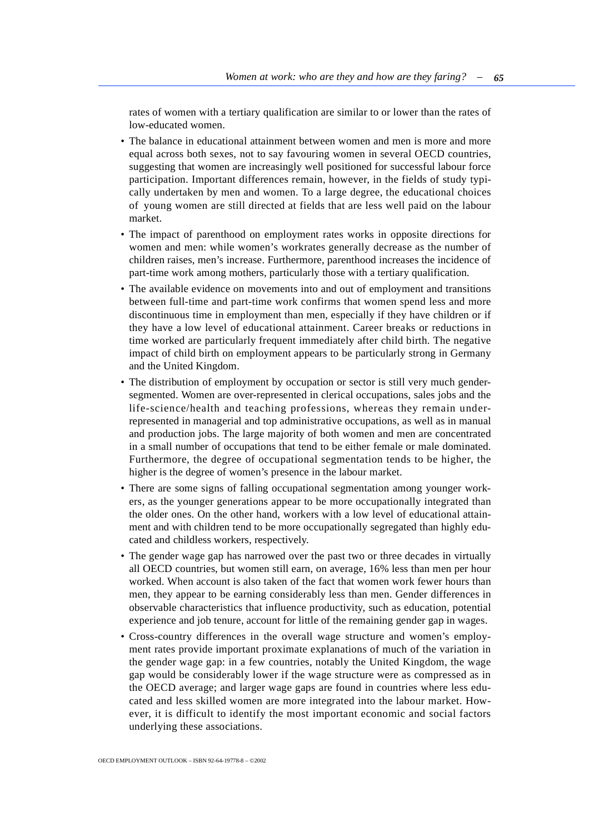rates of women with a tertiary qualification are similar to or lower than the rates of low-educated women.

- The balance in educational attainment between women and men is more and more equal across both sexes, not to say favouring women in several OECD countries, suggesting that women are increasingly well positioned for successful labour force participation. Important differences remain, however, in the fields of study typically undertaken by men and women. To a large degree, the educational choices of young women are still directed at fields that are less well paid on the labour market.
- The impact of parenthood on employment rates works in opposite directions for women and men: while women's workrates generally decrease as the number of children raises, men's increase. Furthermore, parenthood increases the incidence of part-time work among mothers, particularly those with a tertiary qualification.
- The available evidence on movements into and out of employment and transitions between full-time and part-time work confirms that women spend less and more discontinuous time in employment than men, especially if they have children or if they have a low level of educational attainment. Career breaks or reductions in time worked are particularly frequent immediately after child birth. The negative impact of child birth on employment appears to be particularly strong in Germany and the United Kingdom.
- The distribution of employment by occupation or sector is still very much gendersegmented. Women are over-represented in clerical occupations, sales jobs and the life-science/health and teaching professions, whereas they remain underrepresented in managerial and top administrative occupations, as well as in manual and production jobs. The large majority of both women and men are concentrated in a small number of occupations that tend to be either female or male dominated. Furthermore, the degree of occupational segmentation tends to be higher, the higher is the degree of women's presence in the labour market.
- There are some signs of falling occupational segmentation among younger workers, as the younger generations appear to be more occupationally integrated than the older ones. On the other hand, workers with a low level of educational attainment and with children tend to be more occupationally segregated than highly educated and childless workers, respectively.
- The gender wage gap has narrowed over the past two or three decades in virtually all OECD countries, but women still earn, on average, 16% less than men per hour worked. When account is also taken of the fact that women work fewer hours than men, they appear to be earning considerably less than men. Gender differences in observable characteristics that influence productivity, such as education, potential experience and job tenure, account for little of the remaining gender gap in wages.
- Cross-country differences in the overall wage structure and women's employment rates provide important proximate explanations of much of the variation in the gender wage gap: in a few countries, notably the United Kingdom, the wage gap would be considerably lower if the wage structure were as compressed as in the OECD average; and larger wage gaps are found in countries where less educated and less skilled women are more integrated into the labour market. However, it is difficult to identify the most important economic and social factors underlying these associations.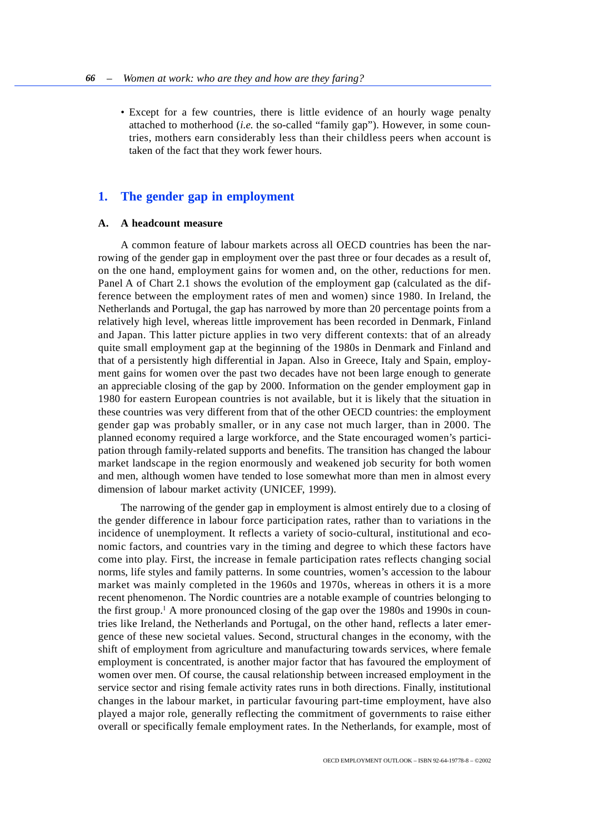<span id="page-5-0"></span>• Except for a few countries, there is little evidence of an hourly wage penalty attached to motherhood (*i.e.* the so-called "family gap"). However, in some countries, mothers earn considerably less than their childless peers when account is taken of the fact that they work fewer hours.

# **1. The gender gap in employment**

#### **A. A headcount measure**

A common feature of labour markets across all OECD countries has been the narrowing of the gender gap in employment over the past three or four decades as a result of, on the one hand, employment gains for women and, on the other, reductions for men. Panel A of Chart 2.1 shows the evolution of the employment gap (calculated as the difference between the employment rates of men and women) since 1980. In Ireland, the Netherlands and Portugal, the gap has narrowed by more than 20 percentage points from a relatively high level, whereas little improvement has been recorded in Denmark, Finland and Japan. This latter picture applies in two very different contexts: that of an already quite small employment gap at the beginning of the 1980s in Denmark and Finland and that of a persistently high differential in Japan. Also in Greece, Italy and Spain, employment gains for women over the past two decades have not been large enough to generate an appreciable closing of the gap by 2000. Information on the gender employment gap in 1980 for eastern European countries is not available, but it is likely that the situation in these countries was very different from that of the other OECD countries: the employment gender gap was probably smaller, or in any case not much larger, than in 2000. The planned economy required a large workforce, and the State encouraged women's participation through family-related supports and benefits. The transition has changed the labour market landscape in the region enormously and weakened job security for both women and men, although women have tended to lose somewhat more than men in almost every dimension of labour market activity (UNICEF, 1999).

The narrowing of the gender gap in employment is almost entirely due to a closing of the gender difference in labour force participation rates, rather than to variations in the incidence of unemployment. It reflects a variety of socio-cultural, institutional and economic factors, and countries vary in the timing and degree to which these factors have come into play. First, the increase in female participation rates reflects changing social norms, life styles and family patterns. In some countries, women's accession to the labour market was mainly completed in the 1960s and 1970s, whereas in others it is a more recent phenomenon. The Nordic countries are a notable example of countries belonging to the first group.<sup>1</sup> A more pronounced closing of the gap over the 1980s and 1990s in countries like Ireland, the Netherlands and Portugal, on the other hand, reflects a later emergence of these new societal values. Second, structural changes in the economy, with the shift of employment from agriculture and manufacturing towards services, where female employment is concentrated, is another major factor that has favoured the employment of women over men. Of course, the causal relationship between increased employment in the service sector and rising female activity rates runs in both directions. Finally, institutional changes in the labour market, in particular favouring part-time employment, have also played a major role, generally reflecting the commitment of governments to raise either overall or specifically female employment rates. In the Netherlands, for example, most of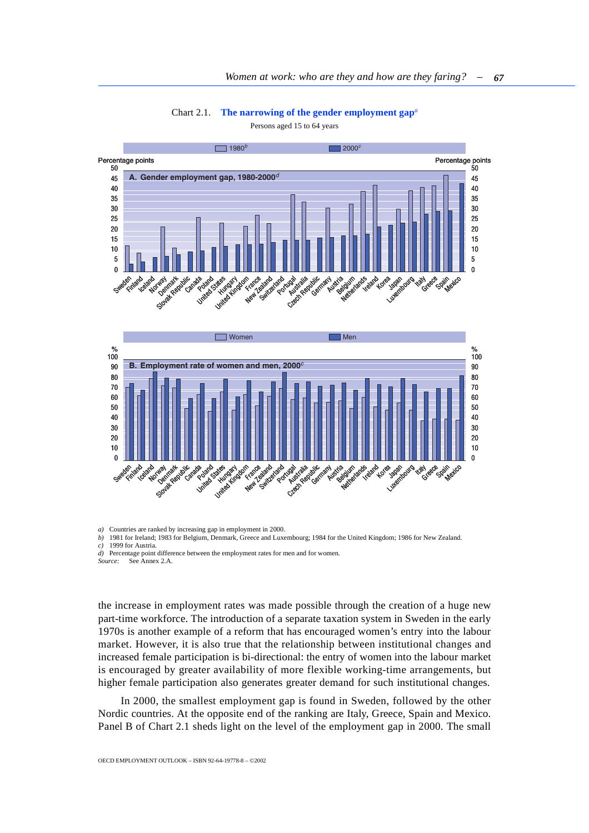Chart 2.1. **The narrowing of the gender employment gap***<sup>a</sup>*

<span id="page-6-0"></span>50  $\Omega$ 45 40 35 30 25 20 15 10 5 50  $\Omega$ 45 40 35 30 25 20 15 10 5  $\Box$  1980<sup>b</sup> **A. Gender employment gap, 1980-2000**<sup>d</sup>  $\Box$  2000<sup>c</sup> Percentage points **Percentage points Percentage points Percentage points** Sweden Finland Learnolway Slovak Republic Canada va dand states urited Kingdom New Zealand Switzerland Portugality (Republic Germany Austria Belgium Netherlands Ireland Korea Lutembourg taly Australia Greece spain ico





*a*) Countries are ranked by increasing gap in employment in 2000.<br>*b*) 1981 for Ireland: 1983 for Belgium, Denmark, Greece and Luxe

*b)* 1981 for Ireland; 1983 for Belgium, Denmark, Greece and Luxembourg; 1984 for the United Kingdom; 1986 for New Zealand.

*c)* 1999 for Austria.

*d)* Percentage point difference between the employment rates for men and for women.

*Source:* See Annex 2.A.

the increase in employment rates was made possible through the creation of a huge new part-time workforce. The introduction of a separate taxation system in Sweden in the early 1970s is another example of a reform that has encouraged women's entry into the labour market. However, it is also true that the relationship between institutional changes and increased female participation is bi-directional: the entry of women into the labour market is encouraged by greater availability of more flexible working-time arrangements, but higher female participation also generates greater demand for such institutional changes.

In 2000, the smallest employment gap is found in Sweden, followed by the other Nordic countries. At the opposite end of the ranking are Italy, Greece, Spain and Mexico. Panel B of Chart 2.1 sheds light on the level of the employment gap in 2000. The small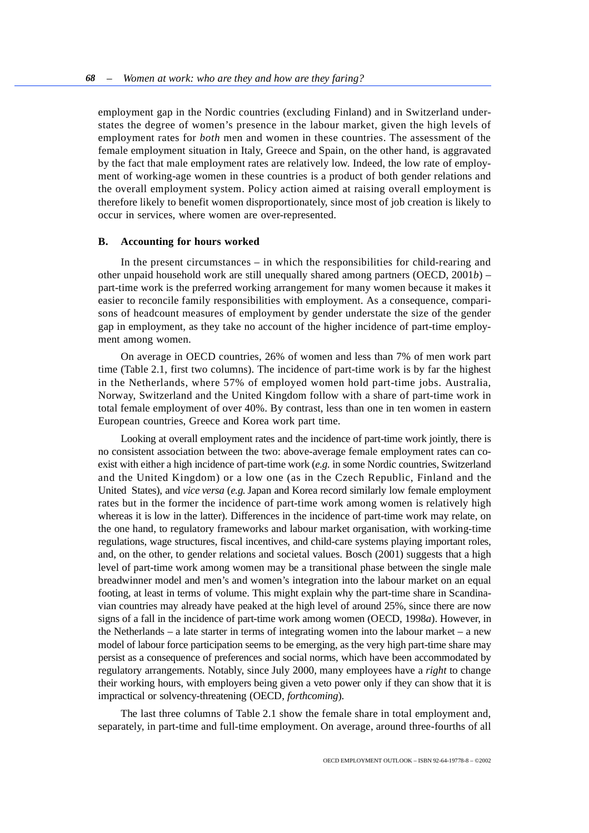employment gap in the Nordic countries (excluding Finland) and in Switzerland understates the degree of women's presence in the labour market, given the high levels of employment rates for *both* men and women in these countries. The assessment of the female employment situation in Italy, Greece and Spain, on the other hand, is aggravated by the fact that male employment rates are relatively low. Indeed, the low rate of employment of working-age women in these countries is a product of both gender relations and the overall employment system. Policy action aimed at raising overall employment is therefore likely to benefit women disproportionately, since most of job creation is likely to occur in services, where women are over-represented.

## **B. Accounting for hours worked**

In the present circumstances – in which the responsibilities for child-rearing and other unpaid household work are still unequally shared among partners (OECD, 2001*b*) – part-time work is the preferred working arrangement for many women because it makes it easier to reconcile family responsibilities with employment. As a consequence, comparisons of headcount measures of employment by gender understate the size of the gender gap in employment, as they take no account of the higher incidence of part-time employment among women.

On average in OECD countries, 26% of women and less than 7% of men work part time (Table 2.1, first two columns). The incidence of part-time work is by far the highest in the Netherlands, where 57% of employed women hold part-time jobs. Australia, Norway, Switzerland and the United Kingdom follow with a share of part-time work in total female employment of over 40%. By contrast, less than one in ten women in eastern European countries, Greece and Korea work part time.

Looking at overall employment rates and the incidence of part-time work jointly, there is no consistent association between the two: above-average female employment rates can coexist with either a high incidence of part-time work (*e.g.* in some Nordic countries, Switzerland and the United Kingdom) or a low one (as in the Czech Republic, Finland and the United States), and *vice versa* (*e.g.* Japan and Korea record similarly low female employment rates but in the former the incidence of part-time work among women is relatively high whereas it is low in the latter). Differences in the incidence of part-time work may relate, on the one hand, to regulatory frameworks and labour market organisation, with working-time regulations, wage structures, fiscal incentives, and child-care systems playing important roles, and, on the other, to gender relations and societal values. Bosch (2001) suggests that a high level of part-time work among women may be a transitional phase between the single male breadwinner model and men's and women's integration into the labour market on an equal footing, at least in terms of volume. This might explain why the part-time share in Scandinavian countries may already have peaked at the high level of around 25%, since there are now signs of a fall in the incidence of part-time work among women (OECD, 1998*a*). However, in the Netherlands – a late starter in terms of integrating women into the labour market – a new model of labour force participation seems to be emerging, as the very high part-time share may persist as a consequence of preferences and social norms, which have been accommodated by regulatory arrangements. Notably, since July 2000, many employees have a *right* to change their working hours, with employers being given a veto power only if they can show that it is impractical or solvency-threatening (OECD, *forthcoming*).

The last three columns of Table 2.1 show the female share in total employment and, separately, in part-time and full-time employment. On average, around three-fourths of all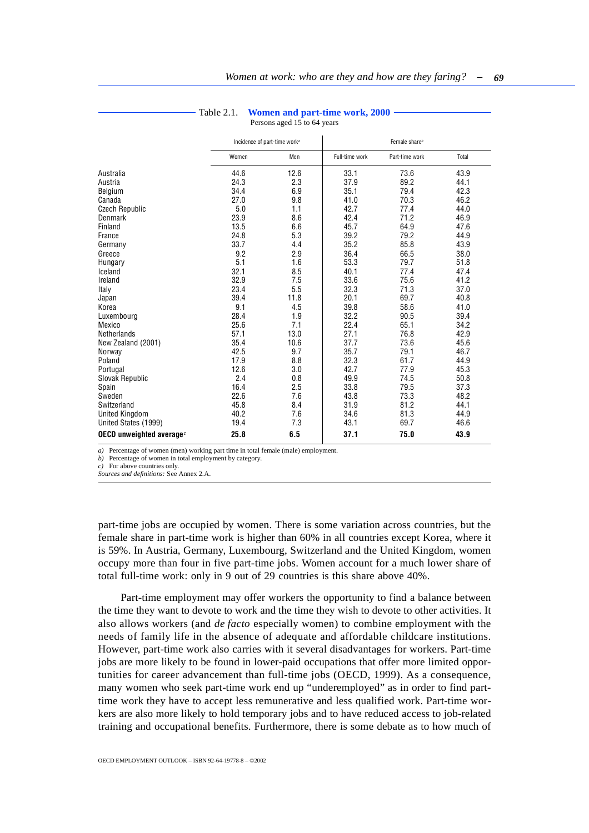<span id="page-8-0"></span>

|                             |       | Incidence of part-time work <sup>a</sup> | Female share <sup>b</sup> |                |       |  |
|-----------------------------|-------|------------------------------------------|---------------------------|----------------|-------|--|
|                             | Women | Men                                      | Full-time work            | Part-time work | Total |  |
| Australia                   | 44.6  | 12.6                                     | 33.1                      | 73.6           | 43.9  |  |
| Austria                     | 24.3  | 2.3                                      | 37.9                      | 89.2           | 44.1  |  |
| Belgium                     | 34.4  | 6.9                                      | 35.1                      | 79.4           | 42.3  |  |
| Canada                      | 27.0  | 9.8                                      | 41.0                      | 70.3           | 46.2  |  |
| <b>Czech Republic</b>       | 5.0   | 1.1                                      | 42.7                      | 77.4           | 44.0  |  |
| Denmark                     | 23.9  | 8.6                                      | 42.4                      | 71.2           | 46.9  |  |
| Finland                     | 13.5  | 6.6                                      | 45.7                      | 64.9           | 47.6  |  |
| France                      | 24.8  | 5.3                                      | 39.2                      | 79.2           | 44.9  |  |
| Germany                     | 33.7  | 4.4                                      | 35.2                      | 85.8           | 43.9  |  |
| Greece                      | 9.2   | 2.9                                      | 36.4                      | 66.5           | 38.0  |  |
| Hungary                     | 5.1   | 1.6                                      | 53.3                      | 79.7           | 51.8  |  |
| Iceland                     | 32.1  | 8.5                                      | 40.1                      | 77.4           | 47.4  |  |
| Ireland                     | 32.9  | 7.5                                      | 33.6                      | 75.6           | 41.2  |  |
| Italy                       | 23.4  | 5.5                                      | 32.3                      | 71.3           | 37.0  |  |
| Japan                       | 39.4  | 11.8                                     | 20.1                      | 69.7           | 40.8  |  |
| Korea                       | 9.1   | 4.5                                      | 39.8                      | 58.6           | 41.0  |  |
| Luxembourg                  | 28.4  | 1.9                                      | 32.2                      | 90.5           | 39.4  |  |
| Mexico                      | 25.6  | 7.1                                      | 22.4                      | 65.1           | 34.2  |  |
| <b>Netherlands</b>          | 57.1  | 13.0                                     | 27.1                      | 76.8           | 42.9  |  |
| New Zealand (2001)          | 35.4  | 10.6                                     | 37.7                      | 73.6           | 45.6  |  |
| Norway                      | 42.5  | 9.7                                      | 35.7                      | 79.1           | 46.7  |  |
| Poland                      | 17.9  | 8.8                                      | 32.3                      | 61.7           | 44.9  |  |
| Portugal                    | 12.6  | 3.0                                      | 42.7                      | 77.9           | 45.3  |  |
| Slovak Republic             | 2.4   | 0.8                                      | 49.9                      | 74.5           | 50.8  |  |
| Spain                       | 16.4  | 2.5                                      | 33.8                      | 79.5           | 37.3  |  |
| Sweden                      | 22.6  | 7.6                                      | 43.8                      | 73.3           | 48.2  |  |
| Switzerland                 | 45.8  | 8.4                                      | 31.9                      | 81.2           | 44.1  |  |
| <b>United Kingdom</b>       | 40.2  | 7.6                                      | 34.6                      | 81.3           | 44.9  |  |
| United States (1999)        | 19.4  | 7.3                                      | 43.1                      | 69.7           | 46.6  |  |
| OECD unweighted average $c$ | 25.8  | 6.5                                      | 37.1                      | 75.0           | 43.9  |  |

## Table 2.1. **Women and part-time work, 2000**

Persons aged 15 to 64 years

*a)* Percentage of women (men) working part time in total female (male) employment.

*b)* Percentage of women in total employment by category.

*c)* For above countries only.

*Sources and definitions:* See Annex 2.A.

part-time jobs are occupied by women. There is some variation across countries, but the female share in part-time work is higher than 60% in all countries except Korea, where it is 59%. In Austria, Germany, Luxembourg, Switzerland and the United Kingdom, women occupy more than four in five part-time jobs. Women account for a much lower share of total full-time work: only in 9 out of 29 countries is this share above 40%.

Part-time employment may offer workers the opportunity to find a balance between the time they want to devote to work and the time they wish to devote to other activities. It also allows workers (and *de facto* especially women) to combine employment with the needs of family life in the absence of adequate and affordable childcare institutions. However, part-time work also carries with it several disadvantages for workers. Part-time jobs are more likely to be found in lower-paid occupations that offer more limited opportunities for career advancement than full-time jobs (OECD, 1999). As a consequence, many women who seek part-time work end up "underemployed" as in order to find parttime work they have to accept less remunerative and less qualified work. Part-time workers are also more likely to hold temporary jobs and to have reduced access to job-related training and occupational benefits. Furthermore, there is some debate as to how much of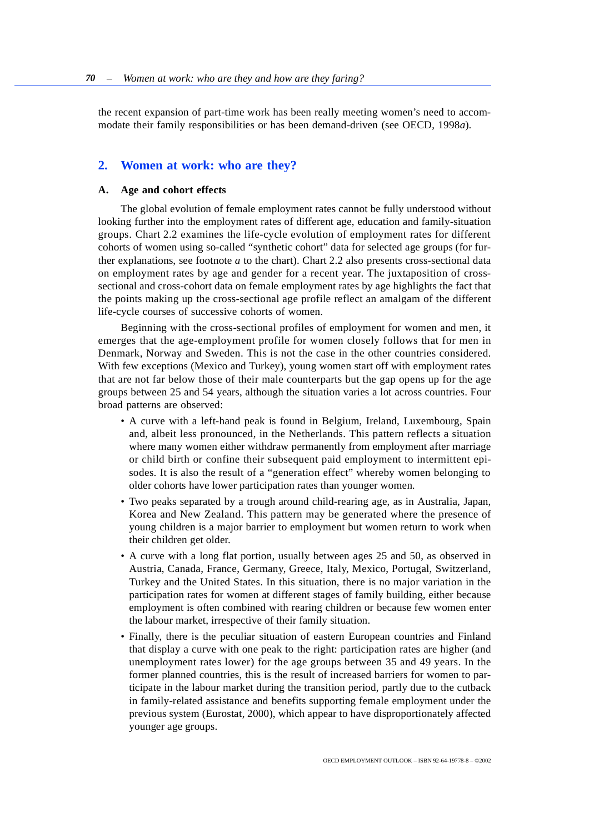<span id="page-9-0"></span>the recent expansion of part-time work has been really meeting women's need to accommodate their family responsibilities or has been demand-driven (see OECD, 1998*a*).

# **2. Women at work: who are they?**

## **A. Age and cohort effects**

The global evolution of female employment rates cannot be fully understood without looking further into the employment rates of different age, education and family-situation groups. Chart 2.2 examines the life-cycle evolution of employment rates for different cohorts of women using so-called "synthetic cohort" data for selected age groups (for further explanations, see footnote *a* to the chart). Chart 2.2 also presents cross-sectional data on employment rates by age and gender for a recent year. The juxtaposition of crosssectional and cross-cohort data on female employment rates by age highlights the fact that the points making up the cross-sectional age profile reflect an amalgam of the different life-cycle courses of successive cohorts of women.

Beginning with the cross-sectional profiles of employment for women and men, it emerges that the age-employment profile for women closely follows that for men in Denmark, Norway and Sweden. This is not the case in the other countries considered. With few exceptions (Mexico and Turkey), young women start off with employment rates that are not far below those of their male counterparts but the gap opens up for the age groups between 25 and 54 years, although the situation varies a lot across countries. Four broad patterns are observed:

- A curve with a left-hand peak is found in Belgium, Ireland, Luxembourg, Spain and, albeit less pronounced, in the Netherlands. This pattern reflects a situation where many women either withdraw permanently from employment after marriage or child birth or confine their subsequent paid employment to intermittent episodes. It is also the result of a "generation effect" whereby women belonging to older cohorts have lower participation rates than younger women.
- Two peaks separated by a trough around child-rearing age, as in Australia, Japan, Korea and New Zealand. This pattern may be generated where the presence of young children is a major barrier to employment but women return to work when their children get older.
- A curve with a long flat portion, usually between ages 25 and 50, as observed in Austria, Canada, France, Germany, Greece, Italy, Mexico, Portugal, Switzerland, Turkey and the United States. In this situation, there is no major variation in the participation rates for women at different stages of family building, either because employment is often combined with rearing children or because few women enter the labour market, irrespective of their family situation.
- Finally, there is the peculiar situation of eastern European countries and Finland that display a curve with one peak to the right: participation rates are higher (and unemployment rates lower) for the age groups between 35 and 49 years. In the former planned countries, this is the result of increased barriers for women to participate in the labour market during the transition period, partly due to the cutback in family-related assistance and benefits supporting female employment under the previous system (Eurostat, 2000), which appear to have disproportionately affected younger age groups.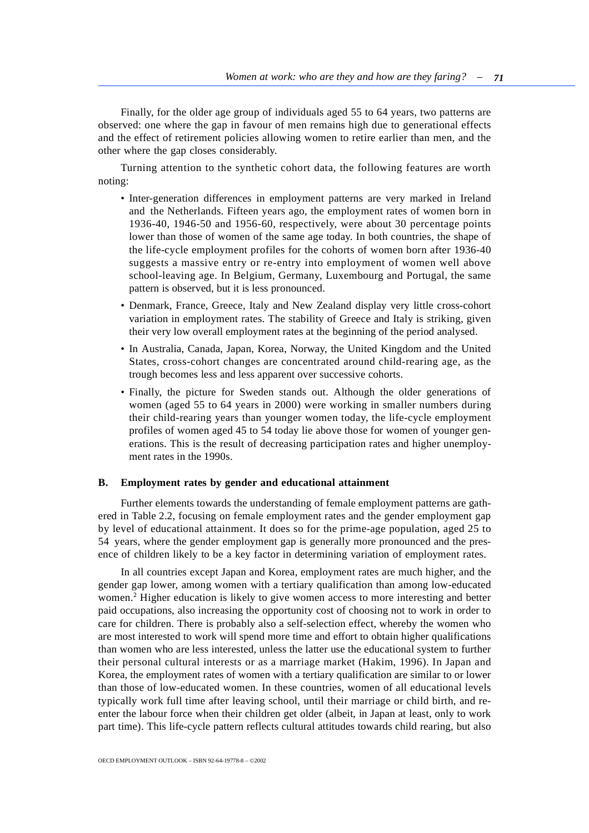Finally, for the older age group of individuals aged 55 to 64 years, two patterns are observed: one where the gap in favour of men remains high due to generational effects and the effect of retirement policies allowing women to retire earlier than men, and the other where the gap closes considerably.

Turning attention to the synthetic cohort data, the following features are worth noting:

- Inter-generation differences in employment patterns are very marked in Ireland and the Netherlands. Fifteen years ago, the employment rates of women born in 1936-40, 1946-50 and 1956-60, respectively, were about 30 percentage points lower than those of women of the same age today. In both countries, the shape of the life-cycle employment profiles for the cohorts of women born after 1936-40 suggests a massive entry or re-entry into employment of women well above school-leaving age. In Belgium, Germany, Luxembourg and Portugal, the same pattern is observed, but it is less pronounced.
- Denmark, France, Greece, Italy and New Zealand display very little cross-cohort variation in employment rates. The stability of Greece and Italy is striking, given their very low overall employment rates at the beginning of the period analysed.
- In Australia, Canada, Japan, Korea, Norway, the United Kingdom and the United States, cross-cohort changes are concentrated around child-rearing age, as the trough becomes less and less apparent over successive cohorts.
- Finally, the picture for Sweden stands out. Although the older generations of women (aged 55 to 64 years in 2000) were working in smaller numbers during their child-rearing years than younger women today, the life-cycle employment profiles of women aged 45 to 54 today lie above those for women of younger generations. This is the result of decreasing participation rates and higher unemployment rates in the 1990s.

## **B. Employment rates by gender and educational attainment**

Further elements towards the understanding of female employment patterns are gathered in Table 2.2, focusing on female employment rates and the gender employment gap by level of educational attainment. It does so for the prime-age population, aged 25 to 54 years, where the gender employment gap is generally more pronounced and the presence of children likely to be a key factor in determining variation of employment rates.

In all countries except Japan and Korea, employment rates are much higher, and the gender gap lower, among women with a tertiary qualification than among low-educated women.<sup>2</sup> Higher education is likely to give women access to more interesting and better paid occupations, also increasing the opportunity cost of choosing not to work in order to care for children. There is probably also a self-selection effect, whereby the women who are most interested to work will spend more time and effort to obtain higher qualifications than women who are less interested, unless the latter use the educational system to further their personal cultural interests or as a marriage market (Hakim, 1996). In Japan and Korea, the employment rates of women with a tertiary qualification are similar to or lower than those of low-educated women. In these countries, women of all educational levels typically work full time after leaving school, until their marriage or child birth, and reenter the labour force when their children get older (albeit, in Japan at least, only to work part time). This life-cycle pattern reflects cultural attitudes towards child rearing, but also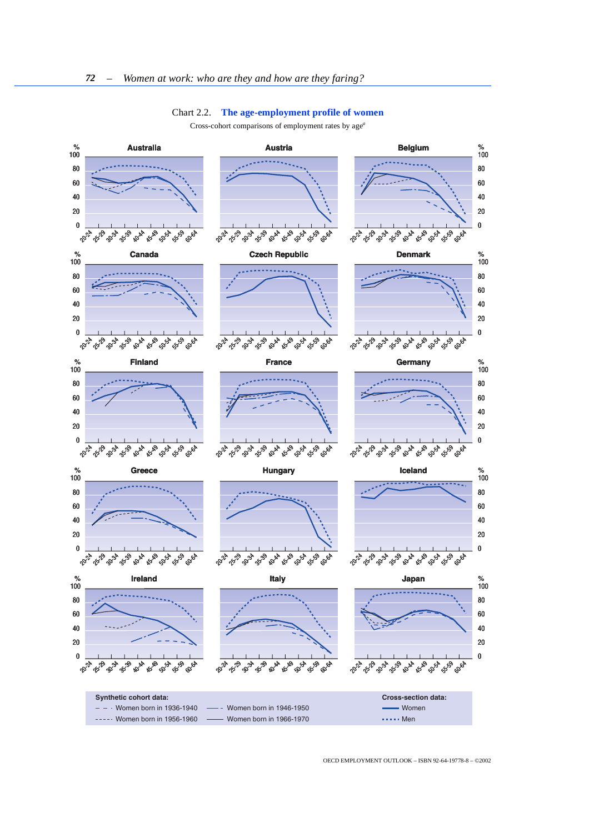### Chart 2.2. **The age-employment profile of women**

Cross-cohort comparisons of employment rates by age*<sup>a</sup>*

<span id="page-11-0"></span>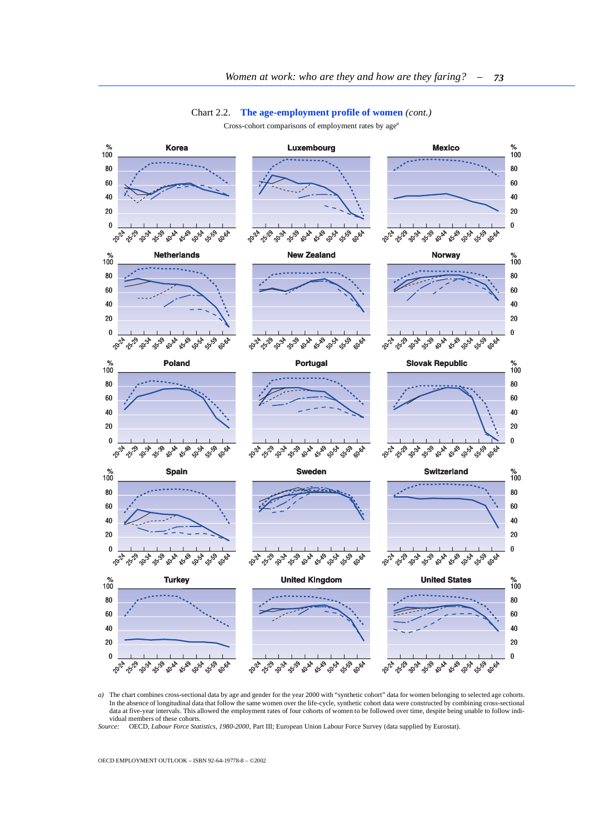### Chart 2.2. **The age-employment profile of women** *(cont.)*

Cross-cohort comparisons of employment rates by age*<sup>a</sup>*



*a)* The chart combines cross-sectional data by age and gender for the year 2000 with "synthetic cohort" data for women belonging to selected age cohorts. In the absence of longitudinal data that follow the same women over the life-cycle, synthetic cohort data were constructed by combining cross-sectional data at five-year intervals. This allowed the employment rates of four cohorts of women to be followed over time, despite being unable to follow individual members of these cohorts<br>Source: OECD, Labour Force Sta

*Source:* OECD, *Labour Force Statistics, 1980-2000*, Part III; European Union Labour Force Survey (data supplied by Eurostat).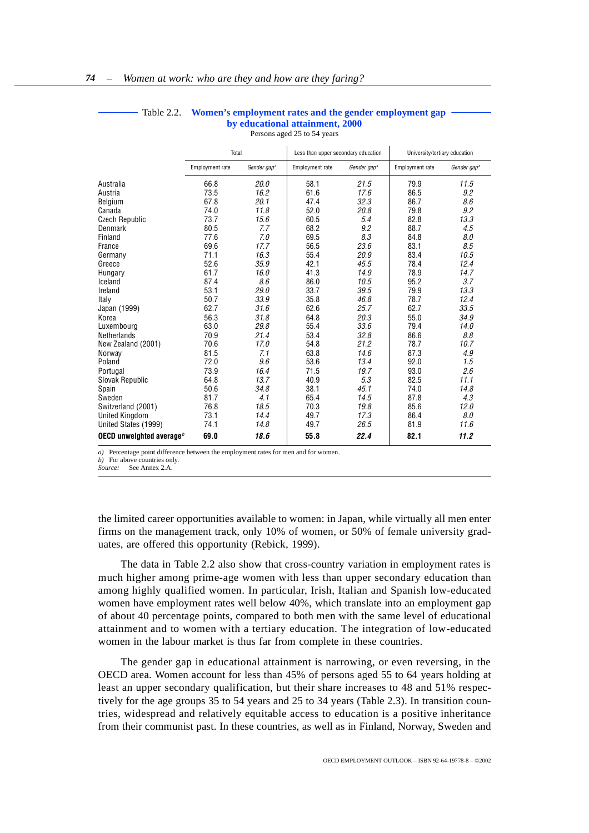<span id="page-13-0"></span>

|                             | Total           |                         | Less than upper secondary education |                         | University/tertiary education |                         |
|-----------------------------|-----------------|-------------------------|-------------------------------------|-------------------------|-------------------------------|-------------------------|
|                             | Employment rate | Gender gap <sup>a</sup> | Employment rate                     | Gender gap <sup>a</sup> | Employment rate               | Gender gap <sup>a</sup> |
| Australia                   | 66.8            | 20.0                    | 58.1                                | 21.5                    | 79.9                          | 11.5                    |
| Austria                     | 73.5            | 16.2                    | 61.6                                | 17.6                    | 86.5                          | 9.2                     |
| Belgium                     | 67.8            | 20.1                    | 47.4                                | 32.3                    | 86.7                          | 8.6                     |
| Canada                      | 74.0            | 11.8                    | 52.0                                | 20.8                    | 79.8                          | 9.2                     |
| <b>Czech Republic</b>       | 73.7            | 15.6                    | 60.5                                | 5.4                     | 82.8                          | 13.3                    |
| Denmark                     | 80.5            | 7.7                     | 68.2                                | 9.2                     | 88.7                          | 4.5                     |
| Finland                     | 77.6            | 7.0                     | 69.5                                | 8.3                     | 84.8                          | 8.0                     |
| France                      | 69.6            | 17.7                    | 56.5                                | 23.6                    | 83.1                          | 8.5                     |
| Germany                     | 71.1            | 16.3                    | 55.4                                | 20.9                    | 83.4                          | 10.5                    |
| Greece                      | 52.6            | 35.9                    | 42.1                                | 45.5                    | 78.4                          | 12.4                    |
| Hungary                     | 61.7            | 16.0                    | 41.3                                | 14.9                    | 78.9                          | 14.7                    |
| Iceland                     | 87.4            | 8.6                     | 86.0                                | 10.5                    | 95.2                          | 3.7                     |
| Ireland                     | 53.1            | 29.0                    | 33.7                                | 39.5                    | 79.9                          | 13.3                    |
| Italy                       | 50.7            | 33.9                    | 35.8                                | 46.8                    | 78.7                          | 12.4                    |
| Japan (1999)                | 62.7            | 31.6                    | 62.6                                | 25.7                    | 62.7                          | 33.5                    |
| Korea                       | 56.3            | 31.8                    | 64.8                                | 20.3                    | 55.0                          | 34.9                    |
| Luxembourg                  | 63.0            | 29.8                    | 55.4                                | 33.6                    | 79.4                          | 14.0                    |
| <b>Netherlands</b>          | 70.9            | 21.4                    | 53.4                                | 32.8                    | 86.6                          | 8.8                     |
| New Zealand (2001)          | 70.6            | 17.0                    | 54.8                                | 21.2                    | 78.7                          | 10.7                    |
| Norway                      | 81.5            | 7.1                     | 63.8                                | 14.6                    | 87.3                          | 4.9                     |
| Poland                      | 72.0            | 9.6                     | 53.6                                | 13.4                    | 92.0                          | 1.5                     |
| Portugal                    | 73.9            | 16.4                    | 71.5                                | 19.7                    | 93.0                          | 2.6                     |
| Slovak Republic             | 64.8            | 13.7                    | 40.9                                | 5.3                     | 82.5                          | 11.1                    |
| Spain                       | 50.6            | 34.8                    | 38.1                                | 45.1                    | 74.0                          | 14.8                    |
| Sweden                      | 81.7            | 4.1                     | 65.4                                | 14.5                    | 87.8                          | 4.3                     |
| Switzerland (2001)          | 76.8            | 18.5                    | 70.3                                | 19.8                    | 85.6                          | 12.0                    |
| <b>United Kingdom</b>       | 73.1            | 14.4                    | 49.7                                | 17.3                    | 86.4                          | 8.0                     |
| United States (1999)        | 74.1            | 14.8                    | 49.7                                | 26.5                    | 81.9                          | 11.6                    |
| OECD unweighted average $b$ | 69.0            | 18.6                    | 55.8                                | 22.4                    | 82.1                          | 11.2                    |

## Table 2.2. **Women's employment rates and the gender employment gap by educational attainment, 2000**

Persons aged 25 to 54 years

*a)* Percentage point difference between the employment rates for men and for women.

*b)* For above countries only.

*Source:* See Annex 2.A.

the limited career opportunities available to women: in Japan, while virtually all men enter firms on the management track, only 10% of women, or 50% of female university graduates, are offered this opportunity (Rebick, 1999).

The data in Table 2.2 also show that cross-country variation in employment rates is much higher among prime-age women with less than upper secondary education than among highly qualified women. In particular, Irish, Italian and Spanish low-educated women have employment rates well below 40%, which translate into an employment gap of about 40 percentage points, compared to both men with the same level of educational attainment and to women with a tertiary education. The integration of low-educated women in the labour market is thus far from complete in these countries.

The gender gap in educational attainment is narrowing, or even reversing, in the OECD area. Women account for less than 45% of persons aged 55 to 64 years holding at least an upper secondary qualification, but their share increases to 48 and 51% respectively for the age groups 35 to 54 years and 25 to 34 years (Table 2.3). In transition countries, widespread and relatively equitable access to education is a positive inheritance from their communist past. In these countries, as well as in Finland, Norway, Sweden and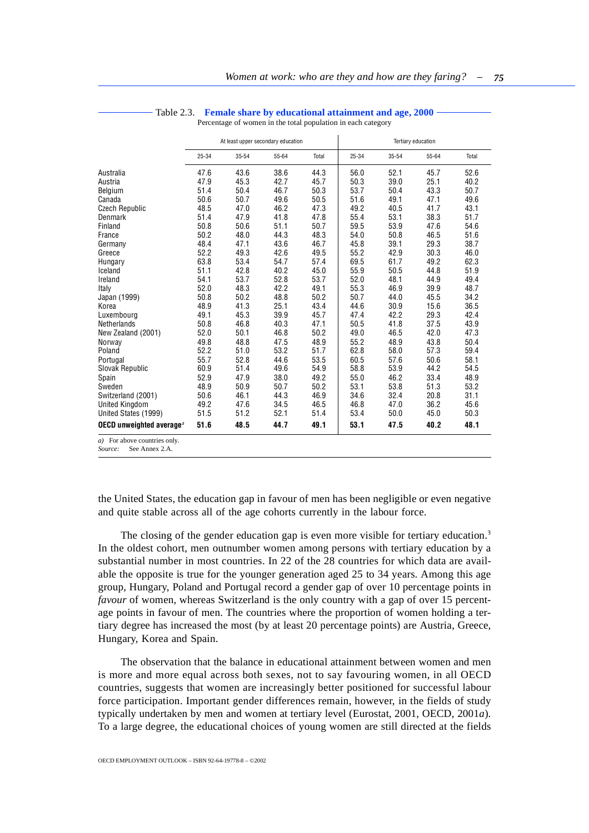<span id="page-14-0"></span>

|                                                                          |       | At least upper secondary education |       |       |       | Tertiary education |       |       |  |
|--------------------------------------------------------------------------|-------|------------------------------------|-------|-------|-------|--------------------|-------|-------|--|
|                                                                          | 25-34 | 35-54                              | 55-64 | Total | 25-34 | $35 - 54$          | 55-64 | Total |  |
| Australia                                                                | 47.6  | 43.6                               | 38.6  | 44.3  | 56.0  | 52.1               | 45.7  | 52.6  |  |
| Austria                                                                  | 47.9  | 45.3                               | 42.7  | 45.7  | 50.3  | 39.0               | 25.1  | 40.2  |  |
| Belgium                                                                  | 51.4  | 50.4                               | 46.7  | 50.3  | 53.7  | 50.4               | 43.3  | 50.7  |  |
| Canada                                                                   | 50.6  | 50.7                               | 49.6  | 50.5  | 51.6  | 49.1               | 47.1  | 49.6  |  |
| <b>Czech Republic</b>                                                    | 48.5  | 47.0                               | 46.2  | 47.3  | 49.2  | 40.5               | 41.7  | 43.1  |  |
| Denmark                                                                  | 51.4  | 47.9                               | 41.8  | 47.8  | 55.4  | 53.1               | 38.3  | 51.7  |  |
| Finland                                                                  | 50.8  | 50.6                               | 51.1  | 50.7  | 59.5  | 53.9               | 47.6  | 54.6  |  |
| France                                                                   | 50.2  | 48.0                               | 44.3  | 48.3  | 54.0  | 50.8               | 46.5  | 51.6  |  |
| Germany                                                                  | 48.4  | 47.1                               | 43.6  | 46.7  | 45.8  | 39.1               | 29.3  | 38.7  |  |
| Greece                                                                   | 52.2  | 49.3                               | 42.6  | 49.5  | 55.2  | 42.9               | 30.3  | 46.0  |  |
| Hungary                                                                  | 63.8  | 53.4                               | 54.7  | 57.4  | 69.5  | 61.7               | 49.2  | 62.3  |  |
| Iceland                                                                  | 51.1  | 42.8                               | 40.2  | 45.0  | 55.9  | 50.5               | 44.8  | 51.9  |  |
| Ireland                                                                  | 54.1  | 53.7                               | 52.8  | 53.7  | 52.0  | 48.1               | 44.9  | 49.4  |  |
| Italy                                                                    | 52.0  | 48.3                               | 42.2  | 49.1  | 55.3  | 46.9               | 39.9  | 48.7  |  |
| Japan (1999)                                                             | 50.8  | 50.2                               | 48.8  | 50.2  | 50.7  | 44.0               | 45.5  | 34.2  |  |
| Korea                                                                    | 48.9  | 41.3                               | 25.1  | 43.4  | 44.6  | 30.9               | 15.6  | 36.5  |  |
| Luxembourg                                                               | 49.1  | 45.3                               | 39.9  | 45.7  | 47.4  | 42.2               | 29.3  | 42.4  |  |
| Netherlands                                                              | 50.8  | 46.8                               | 40.3  | 47.1  | 50.5  | 41.8               | 37.5  | 43.9  |  |
| New Zealand (2001)                                                       | 52.0  | 50.1                               | 46.8  | 50.2  | 49.0  | 46.5               | 42.0  | 47.3  |  |
| Norway                                                                   | 49.8  | 48.8                               | 47.5  | 48.9  | 55.2  | 48.9               | 43.8  | 50.4  |  |
| Poland                                                                   | 52.2  | 51.0                               | 53.2  | 51.7  | 62.8  | 58.0               | 57.3  | 59.4  |  |
| Portugal                                                                 | 55.7  | 52.8                               | 44.6  | 53.5  | 60.5  | 57.6               | 50.6  | 58.1  |  |
| Slovak Republic                                                          | 60.9  | 51.4                               | 49.6  | 54.9  | 58.8  | 53.9               | 44.2  | 54.5  |  |
| Spain                                                                    | 52.9  | 47.9                               | 38.0  | 49.2  | 55.0  | 46.2               | 33.4  | 48.9  |  |
| Sweden                                                                   | 48.9  | 50.9                               | 50.7  | 50.2  | 53.1  | 53.8               | 51.3  | 53.2  |  |
| Switzerland (2001)                                                       | 50.6  | 46.1                               | 44.3  | 46.9  | 34.6  | 32.4               | 20.8  | 31.1  |  |
| <b>United Kingdom</b>                                                    | 49.2  | 47.6                               | 34.5  | 46.5  | 46.8  | 47.0               | 36.2  | 45.6  |  |
| United States (1999)                                                     | 51.5  | 51.2                               | 52.1  | 51.4  | 53.4  | 50.0               | 45.0  | 50.3  |  |
| OECD unweighted average <sup>a</sup>                                     | 51.6  | 48.5                               | 44.7  | 49.1  | 53.1  | 47.5               | 40.2  | 48.1  |  |
| a) For above countries only.<br>$Sourca$ , $Saa \Lambdannay \mathcal{A}$ |       |                                    |       |       |       |                    |       |       |  |

### Table 2.3. **Female share by educational attainment and age, 2000**

Percentage of women in the total population in each category

**See Annex 2.A.** 

the United States, the education gap in favour of men has been negligible or even negative and quite stable across all of the age cohorts currently in the labour force.

The closing of the gender education gap is even more visible for tertiary education.<sup>3</sup> In the oldest cohort, men outnumber women among persons with tertiary education by a substantial number in most countries. In 22 of the 28 countries for which data are available the opposite is true for the younger generation aged 25 to 34 years. Among this age group, Hungary, Poland and Portugal record a gender gap of over 10 percentage points in *favour* of women, whereas Switzerland is the only country with a gap of over 15 percentage points in favour of men. The countries where the proportion of women holding a tertiary degree has increased the most (by at least 20 percentage points) are Austria, Greece, Hungary, Korea and Spain.

The observation that the balance in educational attainment between women and men is more and more equal across both sexes, not to say favouring women, in all OECD countries, suggests that women are increasingly better positioned for successful labour force participation. Important gender differences remain, however, in the fields of study typically undertaken by men and women at tertiary level (Eurostat, 2001, OECD, 2001*a*). To a large degree, the educational choices of young women are still directed at the fields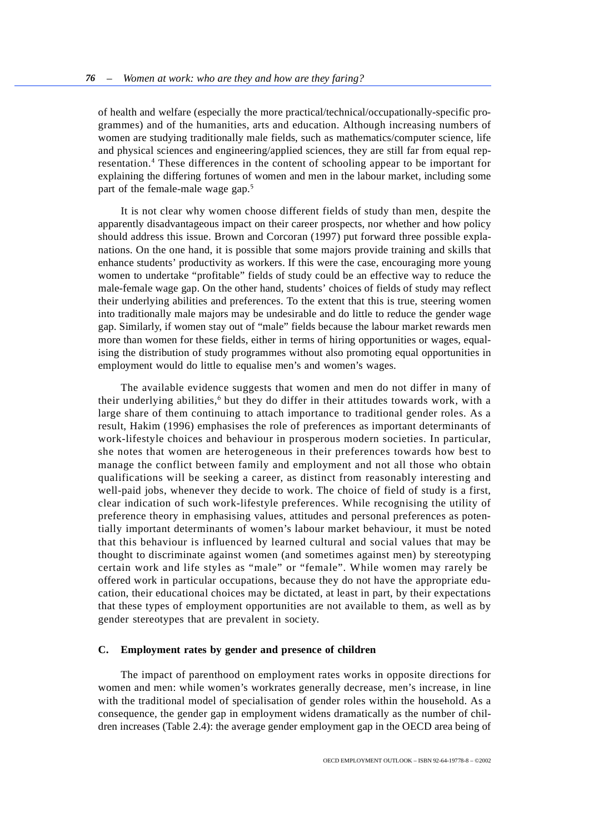of health and welfare (especially the more practical/technical/occupationally-specific programmes) and of the humanities, arts and education. Although increasing numbers of women are studying traditionally male fields, such as mathematics/computer science, life and physical sciences and engineering/applied sciences, they are still far from equal representation.<sup>4</sup> These differences in the content of schooling appear to be important for explaining the differing fortunes of women and men in the labour market, including some part of the female-male wage gap.<sup>5</sup>

It is not clear why women choose different fields of study than men, despite the apparently disadvantageous impact on their career prospects, nor whether and how policy should address this issue. Brown and Corcoran (1997) put forward three possible explanations. On the one hand, it is possible that some majors provide training and skills that enhance students' productivity as workers. If this were the case, encouraging more young women to undertake "profitable" fields of study could be an effective way to reduce the male-female wage gap. On the other hand, students' choices of fields of study may reflect their underlying abilities and preferences. To the extent that this is true, steering women into traditionally male majors may be undesirable and do little to reduce the gender wage gap. Similarly, if women stay out of "male" fields because the labour market rewards men more than women for these fields, either in terms of hiring opportunities or wages, equalising the distribution of study programmes without also promoting equal opportunities in employment would do little to equalise men's and women's wages.

The available evidence suggests that women and men do not differ in many of their underlying abilities,<sup>6</sup> but they do differ in their attitudes towards work, with a large share of them continuing to attach importance to traditional gender roles. As a result, Hakim (1996) emphasises the role of preferences as important determinants of work-lifestyle choices and behaviour in prosperous modern societies. In particular, she notes that women are heterogeneous in their preferences towards how best to manage the conflict between family and employment and not all those who obtain qualifications will be seeking a career, as distinct from reasonably interesting and well-paid jobs, whenever they decide to work. The choice of field of study is a first, clear indication of such work-lifestyle preferences. While recognising the utility of preference theory in emphasising values, attitudes and personal preferences as potentially important determinants of women's labour market behaviour, it must be noted that this behaviour is influenced by learned cultural and social values that may be thought to discriminate against women (and sometimes against men) by stereotyping certain work and life styles as "male" or "female". While women may rarely be offered work in particular occupations, because they do not have the appropriate education, their educational choices may be dictated, at least in part, by their expectations that these types of employment opportunities are not available to them, as well as by gender stereotypes that are prevalent in society.

### **C. Employment rates by gender and presence of children**

The impact of parenthood on employment rates works in opposite directions for women and men: while women's workrates generally decrease, men's increase, in line with the traditional model of specialisation of gender roles within the household. As a consequence, the gender gap in employment widens dramatically as the number of children increases (Table 2.4): the average gender employment gap in the OECD area being of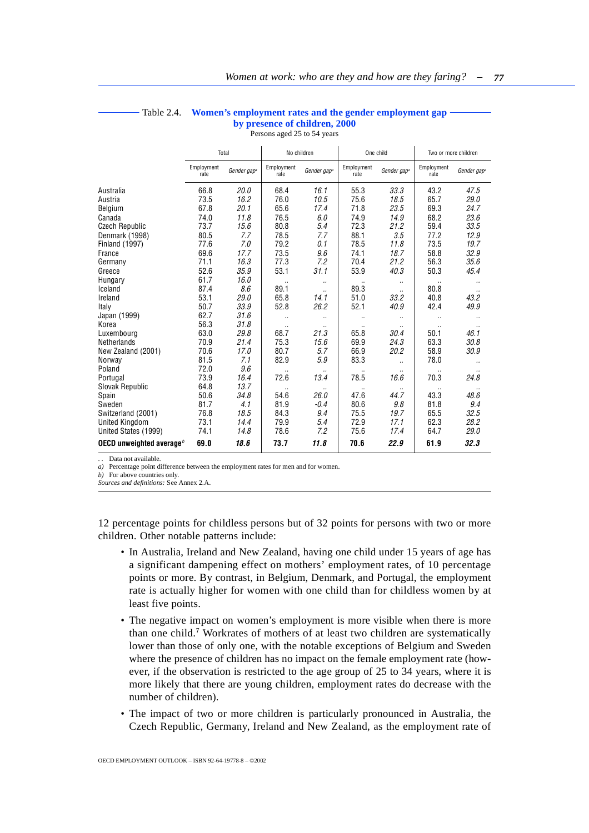<span id="page-16-0"></span>

|                             | Total              |                         |                    | No children             |                    | One child               |                    | Two or more children    |
|-----------------------------|--------------------|-------------------------|--------------------|-------------------------|--------------------|-------------------------|--------------------|-------------------------|
|                             | Employment<br>rate | Gender gap <sup>a</sup> | Employment<br>rate | Gender gap <sup>a</sup> | Employment<br>rate | Gender gap <sup>a</sup> | Employment<br>rate | Gender gap <sup>a</sup> |
| Australia                   | 66.8               | 20.0                    | 68.4               | 16.1                    | 55.3               | 33.3                    | 43.2               | 47.5                    |
| Austria                     | 73.5               | 16.2                    | 76.0               | 10.5                    | 75.6               | 18.5                    | 65.7               | 29.0                    |
| Belgium                     | 67.8               | 20.1                    | 65.6               | 17.4                    | 71.8               | 23.5                    | 69.3               | 24.7                    |
| Canada                      | 74.0               | 11.8                    | 76.5               | 6.0                     | 74.9               | 14.9                    | 68.2               | 23.6                    |
| <b>Czech Republic</b>       | 73.7               | 15.6                    | 80.8               | 5.4                     | 72.3               | 21.2                    | 59.4               | 33.5                    |
| Denmark (1998)              | 80.5               | 7.7                     | 78.5               | 7.7                     | 88.1               | 3.5                     | 77.2               | 12.9                    |
| <b>Finland (1997)</b>       | 77.6               | 7.0                     | 79.2               | 0.1                     | 78.5               | 11.8                    | 73.5               | 19.7                    |
| France                      | 69.6               | 17.7                    | 73.5               | 9.6                     | 74.1               | 18.7                    | 58.8               | 32.9                    |
| Germany                     | 71.1               | 16.3                    | 77.3               | 7.2                     | 70.4               | 21.2                    | 56.3               | 35.6                    |
| Greece                      | 52.6               | 35.9                    | 53.1               | 31.1                    | 53.9               | 40.3                    | 50.3               | 45.4                    |
| Hungary                     | 61.7               | 16.0                    |                    |                         |                    | $\cdot$ .               |                    | $\cdot$                 |
| Iceland                     | 87.4               | 8.6                     | 89.1               | $\ddot{\phantom{a}}$    | 89.3               |                         | 80.8               | $\cdot$ .               |
| Ireland                     | 53.1               | 29.0                    | 65.8               | 14.1                    | 51.0               | 33.2                    | 40.8               | 43.2                    |
| Italy                       | 50.7               | 33.9                    | 52.8               | 26.2                    | 52.1               | 40.9                    | 42.4               | 49.9                    |
| Japan (1999)                | 62.7               | 31.6                    | $\ddotsc$          |                         | $\ddotsc$          |                         | $\ddotsc$          | $\cdot$                 |
| Korea                       | 56.3               | 31.8                    |                    |                         | $\ddotsc$          |                         |                    | $\cdot$                 |
| Luxembourg                  | 63.0               | 29.8                    | 68.7               | 21.3                    | 65.8               | 30.4                    | 50.1               | 46.1                    |
| Netherlands                 | 70.9               | 21.4                    | 75.3               | 15.6                    | 69.9               | 24.3                    | 63.3               | 30.8                    |
| New Zealand (2001)          | 70.6               | 17.0                    | 80.7               | 5.7                     | 66.9               | 20.2                    | 58.9               | 30.9                    |
| Norway                      | 81.5               | 7.1                     | 82.9               | 5.9                     | 83.3               |                         | 78.0               |                         |
| Poland                      | 72.0               | 9.6                     |                    |                         |                    |                         |                    |                         |
| Portugal                    | 73.9               | 16.4                    | 72.6               | 13.4                    | 78.5               | 16.6                    | 70.3               | 24.8                    |
| Slovak Republic             | 64.8               | 13.7                    |                    |                         |                    |                         |                    |                         |
| Spain                       | 50.6               | 34.8                    | 54.6               | 26.0                    | 47.6               | 44.7                    | 43.3               | 48.6                    |
| Sweden                      | 81.7               | 4.1                     | 81.9               | $-0.4$                  | 80.6               | 9.8                     | 81.8               | 9.4                     |
| Switzerland (2001)          | 76.8               | 18.5                    | 84.3               | 9.4                     | 75.5               | 19.7                    | 65.5               | 32.5                    |
| United Kingdom              | 73.1               | 14.4                    | 79.9               | 5.4                     | 72.9               | 17.1                    | 62.3               | 28.2                    |
| United States (1999)        | 74.1               | 14.8                    | 78.6               | 7.2                     | 75.6               | 17.4                    | 64.7               | 29.0                    |
| OECD unweighted average $b$ | 69.0               | 18.6                    | 73.7               | 11.8                    | 70.6               | 22.9                    | 61.9               | 32.3                    |

## Table 2.4. **Women's employment rates and the gender employment gap by presence of children, 2000**

Persons aged 25 to 54 years

Data not available.

*a)* Percentage point difference between the employment rates for men and for women.

*b)* For above countries only.

*Sources and definitions:* See Annex 2.A.

12 percentage points for childless persons but of 32 points for persons with two or more children. Other notable patterns include:

- In Australia, Ireland and New Zealand, having one child under 15 years of age has a significant dampening effect on mothers' employment rates, of 10 percentage points or more. By contrast, in Belgium, Denmark, and Portugal, the employment rate is actually higher for women with one child than for childless women by at least five points.
- The negative impact on women's employment is more visible when there is more than one child.<sup>7</sup> Workrates of mothers of at least two children are systematically lower than those of only one, with the notable exceptions of Belgium and Sweden where the presence of children has no impact on the female employment rate (however, if the observation is restricted to the age group of 25 to 34 years, where it is more likely that there are young children, employment rates do decrease with the number of children).
- The impact of two or more children is particularly pronounced in Australia, the Czech Republic, Germany, Ireland and New Zealand, as the employment rate of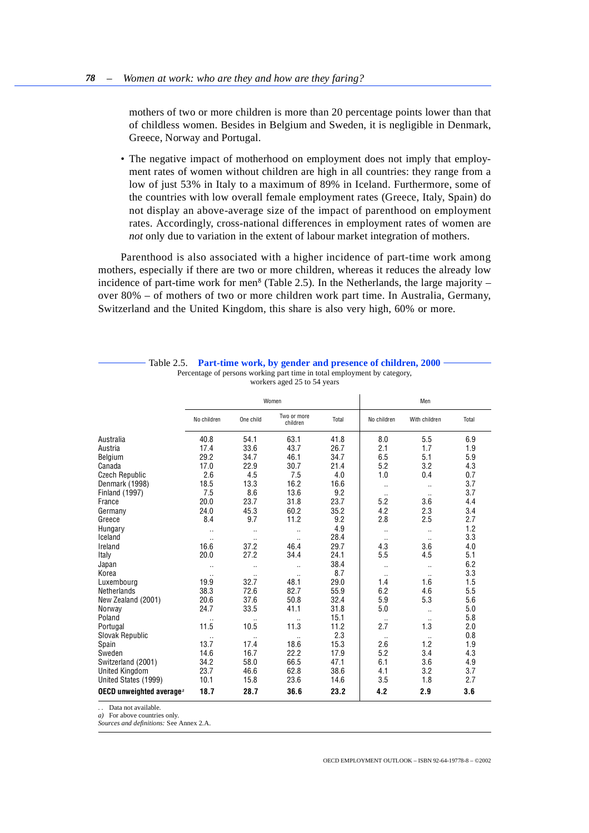<span id="page-17-0"></span>mothers of two or more children is more than 20 percentage points lower than that of childless women. Besides in Belgium and Sweden, it is negligible in Denmark, Greece, Norway and Portugal.

• The negative impact of motherhood on employment does not imply that employment rates of women without children are high in all countries: they range from a low of just 53% in Italy to a maximum of 89% in Iceland. Furthermore, some of the countries with low overall female employment rates (Greece, Italy, Spain) do not display an above-average size of the impact of parenthood on employment rates. Accordingly, cross-national differences in employment rates of women are *not* only due to variation in the extent of labour market integration of mothers.

Parenthood is also associated with a higher incidence of part-time work among mothers, especially if there are two or more children, whereas it reduces the already low incidence of part-time work for men<sup>8</sup> (Table 2.5). In the Netherlands, the large majority  $$ over 80% – of mothers of two or more children work part time. In Australia, Germany, Switzerland and the United Kingdom, this share is also very high, 60% or more.

|                                      |             |           | Women                   |       |             | Men           |       |
|--------------------------------------|-------------|-----------|-------------------------|-------|-------------|---------------|-------|
|                                      | No children | One child | Two or more<br>children | Total | No children | With children | Total |
| Australia                            | 40.8        | 54.1      | 63.1                    | 41.8  | 8.0         | 5.5           | 6.9   |
| Austria                              | 17.4        | 33.6      | 43.7                    | 26.7  | 2.1         | 1.7           | 1.9   |
| Belgium                              | 29.2        | 34.7      | 46.1                    | 34.7  | 6.5         | 5.1           | 5.9   |
| Canada                               | 17.0        | 22.9      | 30.7                    | 21.4  | 5.2         | 3.2           | 4.3   |
| <b>Czech Republic</b>                | 2.6         | 4.5       | 7.5                     | 4.0   | 1.0         | 0.4           | 0.7   |
| Denmark (1998)                       | 18.5        | 13.3      | 16.2                    | 16.6  | $\ddotsc$   | $\ddotsc$     | 3.7   |
| <b>Finland (1997)</b>                | 7.5         | 8.6       | 13.6                    | 9.2   | $\cdot$ .   | $\cdot$ .     | 3.7   |
| France                               | 20.0        | 23.7      | 31.8                    | 23.7  | 5.2         | 3.6           | 4.4   |
| Germany                              | 24.0        | 45.3      | 60.2                    | 35.2  | 4.2         | 2.3           | 3.4   |
| Greece                               | 8.4         | 9.7       | 11.2                    | 9.2   | 2.8         | 2.5           | 2.7   |
| Hungary                              | $\ddotsc$   | $\cdot$ . | $\ddotsc$               | 4.9   | $\ddotsc$   | $\ldots$      | 1.2   |
| Iceland                              | $\ddotsc$   |           |                         | 28.4  | $\ddotsc$   | $\cdot$ .     | 3.3   |
| Ireland                              | 16.6        | 37.2      | 46.4                    | 29.7  | 4.3         | 3.6           | 4.0   |
| Italy                                | 20.0        | 27.2      | 34.4                    | 24.1  | 5.5         | 4.5           | 5.1   |
| Japan                                |             | ٠.        | $\ddotsc$               | 38.4  | $\ddotsc$   | $\ddotsc$     | 6.2   |
| Korea                                | $\ddotsc$   | $\ddotsc$ | $\ddotsc$               | 8.7   | $\ddotsc$   | $\ddotsc$     | 3.3   |
| Luxembourg                           | 19.9        | 32.7      | 48.1                    | 29.0  | 1.4         | 1.6           | 1.5   |
| <b>Netherlands</b>                   | 38.3        | 72.6      | 82.7                    | 55.9  | 6.2         | 4.6           | 5.5   |
| New Zealand (2001)                   | 20.6        | 37.6      | 50.8                    | 32.4  | 5.9         | 5.3           | 5.6   |
| Norway                               | 24.7        | 33.5      | 41.1                    | 31.8  | 5.0         | $\ddotsc$     | 5.0   |
| Poland                               |             |           | $\ddotsc$               | 15.1  |             |               | 5.8   |
| Portugal                             | 11.5        | 10.5      | 11.3                    | 11.2  | 2.7         | 1.3           | 2.0   |
| Slovak Republic                      |             |           |                         | 2.3   |             |               | 0.8   |
| Spain                                | 13.7        | 17.4      | 18.6                    | 15.3  | 2.6         | 1.2           | 1.9   |
| Sweden                               | 14.6        | 16.7      | 22.2                    | 17.9  | 5.2         | 3.4           | 4.3   |
| Switzerland (2001)                   | 34.2        | 58.0      | 66.5                    | 47.1  | 6.1         | 3.6           | 4.9   |
| <b>United Kinadom</b>                | 23.7        | 46.6      | 62.8                    | 38.6  | 4.1         | 3.2           | 3.7   |
| United States (1999)                 | 10.1        | 15.8      | 23.6                    | 14.6  | 3.5         | 1.8           | 2.7   |
| OECD unweighted average <sup>a</sup> | 18.7        | 28.7      | 36.6                    | 23.2  | 4.2         | 2.9           | 3.6   |

Table 2.5. **Part-time work, by gender and presence of children, 2000** Percentage of persons working part time in total employment by category, workers aged 25 to 54 years

. . Data not available.

*a)* For above countries only.

*Sources and definitions:* See Annex 2.A.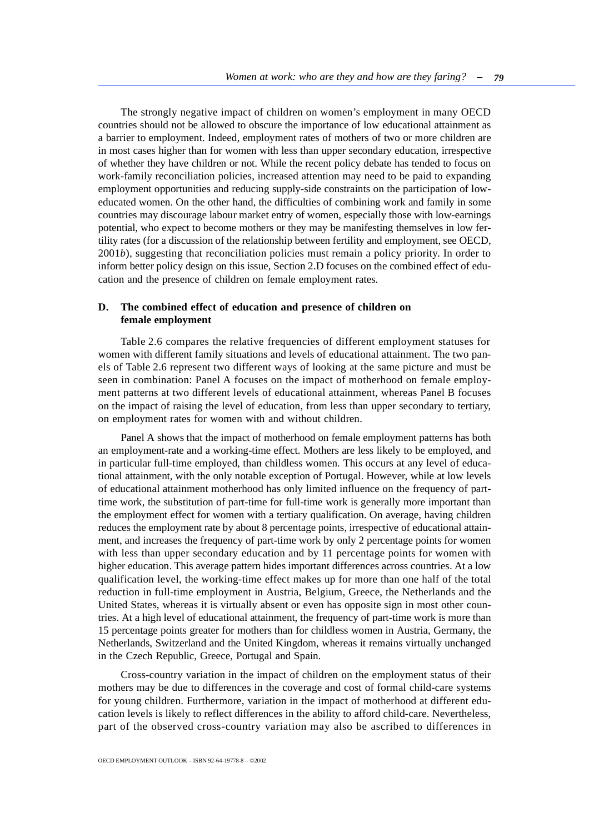The strongly negative impact of children on women's employment in many OECD countries should not be allowed to obscure the importance of low educational attainment as a barrier to employment. Indeed, employment rates of mothers of two or more children are in most cases higher than for women with less than upper secondary education, irrespective of whether they have children or not. While the recent policy debate has tended to focus on work-family reconciliation policies, increased attention may need to be paid to expanding employment opportunities and reducing supply-side constraints on the participation of loweducated women. On the other hand, the difficulties of combining work and family in some countries may discourage labour market entry of women, especially those with low-earnings potential, who expect to become mothers or they may be manifesting themselves in low fertility rates (for a discussion of the relationship between fertility and employment, see OECD, 2001*b*), suggesting that reconciliation policies must remain a policy priority. In order to inform better policy design on this issue, Section 2.D focuses on the combined effect of education and the presence of children on female employment rates.

## **D. The combined effect of education and presence of children on female employment**

Table 2.6 compares the relative frequencies of different employment statuses for women with different family situations and levels of educational attainment. The two panels of Table 2.6 represent two different ways of looking at the same picture and must be seen in combination: Panel A focuses on the impact of motherhood on female employment patterns at two different levels of educational attainment, whereas Panel B focuses on the impact of raising the level of education, from less than upper secondary to tertiary, on employment rates for women with and without children.

Panel A shows that the impact of motherhood on female employment patterns has both an employment-rate and a working-time effect. Mothers are less likely to be employed, and in particular full-time employed, than childless women. This occurs at any level of educational attainment, with the only notable exception of Portugal. However, while at low levels of educational attainment motherhood has only limited influence on the frequency of parttime work, the substitution of part-time for full-time work is generally more important than the employment effect for women with a tertiary qualification. On average, having children reduces the employment rate by about 8 percentage points, irrespective of educational attainment, and increases the frequency of part-time work by only 2 percentage points for women with less than upper secondary education and by 11 percentage points for women with higher education. This average pattern hides important differences across countries. At a low qualification level, the working-time effect makes up for more than one half of the total reduction in full-time employment in Austria, Belgium, Greece, the Netherlands and the United States, whereas it is virtually absent or even has opposite sign in most other countries. At a high level of educational attainment, the frequency of part-time work is more than 15 percentage points greater for mothers than for childless women in Austria, Germany, the Netherlands, Switzerland and the United Kingdom, whereas it remains virtually unchanged in the Czech Republic, Greece, Portugal and Spain.

Cross-country variation in the impact of children on the employment status of their mothers may be due to differences in the coverage and cost of formal child-care systems for young children. Furthermore, variation in the impact of motherhood at different education levels is likely to reflect differences in the ability to afford child-care. Nevertheless, part of the observed cross-country variation may also be ascribed to differences in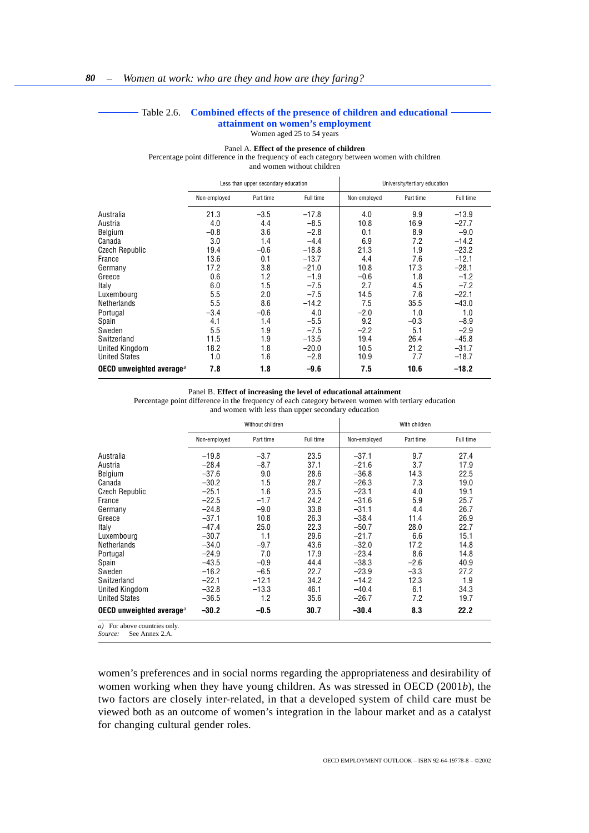#### Table 2.6. **Combined effects of the presence of children and educational attainment on women's employment**

Women aged 25 to 54 years

#### Panel A. **Effect of the presence of children**

<span id="page-19-0"></span>Percentage point difference in the frequency of each category between women with children and women without children Less than upper secondary education **University/tertiary education** Non-employed Part time Full time Non-employed Part time Full time Australia 21.3 –3.5 –17.8 4.0 9.9 –13.9 Austria 4.0 4.4 –8.5 10.8 16.9 –27.7 Belgium –0.8 3.6 –2.8 0.1 8.9 –9.0 Canada 3.0 1.4 –4.4 6.9 7.2 –14.2 Czech Republic 19.4 –0.6 –18.8 21.3 1.9 –23.2 France 13.6 0.1 –13.7 4.4 7.6 –12.1 Germany 17.2 3.8 –21.0 10.8 17.3 –28.1 Greece 0.6 1.2 –1.9 –0.6 1.8 –1.2 Italy 6.0 1.5 –7.5 2.7 4.5 –7.2 Luxembourg 5.5 2.0 −7.5 14.5 7.6 −22.1<br>Netherlands 5.5 8.6 −14.2 7.5 35.5 −43.0 Netherlands 5.5 8.6 –14.2 7.5 35.5 –43.0 Portugal –3.4 –0.6 4.0 –2.0 1.0 1.0 Spain 4.1 1.4 –5.5 9.2 –0.3 –8.9 Sweden 5.5 1.9 –7.5 –2.2 5.1 –2.9 Switzerland 11.5 1.9 –13.5 19.4 26.4 –45.8 United Kingdom 18.2 1.8 −20.0 10.5 21.2 −31.7<br>
United States 1.0 1.6 −2.8 10.9 7.7 −18.7 United States 1.0 1.6 –2.8 10.9 7.7 –18.7 **OECD unweighted average***<sup>a</sup>* **7.8 1.8 –9.6 7.5 10.6 –18.2**

#### Panel B. **Effect of increasing the level of educational attainment**

Percentage point difference in the frequency of each category between women with tertiary education and women with less than upper secondary education

|                                                   |              | Without children |           |              | With children |           |
|---------------------------------------------------|--------------|------------------|-----------|--------------|---------------|-----------|
|                                                   | Non-employed | Part time        | Full time | Non-employed | Part time     | Full time |
| Australia                                         | $-19.8$      | $-3.7$           | 23.5      | $-37.1$      | 9.7           | 27.4      |
| Austria                                           | $-28.4$      | $-8.7$           | 37.1      | $-21.6$      | 3.7           | 17.9      |
| Belgium                                           | $-37.6$      | 9.0              | 28.6      | $-36.8$      | 14.3          | 22.5      |
| Canada                                            | $-30.2$      | 1.5              | 28.7      | $-26.3$      | 7.3           | 19.0      |
| <b>Czech Republic</b>                             | $-25.1$      | 1.6              | 23.5      | $-23.1$      | 4.0           | 19.1      |
| France                                            | $-22.5$      | $-1.7$           | 24.2      | $-31.6$      | 5.9           | 25.7      |
| Germany                                           | $-24.8$      | $-9.0$           | 33.8      | $-31.1$      | 4.4           | 26.7      |
| Greece                                            | $-37.1$      | 10.8             | 26.3      | $-38.4$      | 11.4          | 26.9      |
| Italy                                             | $-47.4$      | 25.0             | 22.3      | $-50.7$      | 28.0          | 22.7      |
| Luxembourg                                        | $-30.7$      | 1.1              | 29.6      | $-21.7$      | 6.6           | 15.1      |
| Netherlands                                       | $-34.0$      | $-9.7$           | 43.6      | $-32.0$      | 17.2          | 14.8      |
| Portugal                                          | $-24.9$      | 7.0              | 17.9      | $-23.4$      | 8.6           | 14.8      |
| Spain                                             | $-43.5$      | $-0.9$           | 44.4      | $-38.3$      | $-2.6$        | 40.9      |
| Sweden                                            | $-16.2$      | $-6.5$           | 22.7      | $-23.9$      | $-3.3$        | 27.2      |
| Switzerland                                       | $-22.1$      | $-12.1$          | 34.2      | $-14.2$      | 12.3          | 1.9       |
| United Kingdom                                    | $-32.8$      | $-13.3$          | 46.1      | $-40.4$      | 6.1           | 34.3      |
| <b>United States</b>                              | $-36.5$      | 1.2              | 35.6      | $-26.7$      | 7.2           | 19.7      |
| OECD unweighted average <sup><math>a</math></sup> | $-30.2$      | $-0.5$           | 30.7      | $-30.4$      | 8.3           | 22.2      |
| a) For above countries only.<br>$\sim$            |              |                  |           |              |               |           |

*Source:* See Annex 2.A.

women's preferences and in social norms regarding the appropriateness and desirability of women working when they have young children. As was stressed in OECD (2001*b*), the two factors are closely inter-related, in that a developed system of child care must be viewed both as an outcome of women's integration in the labour market and as a catalyst for changing cultural gender roles.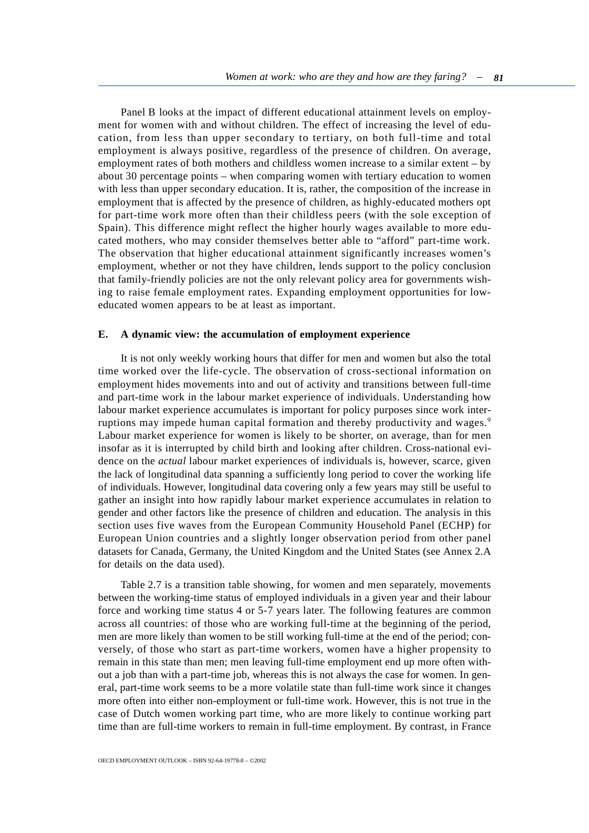Panel B looks at the impact of different educational attainment levels on employment for women with and without children. The effect of increasing the level of education, from less than upper secondary to tertiary, on both full-time and total employment is always positive, regardless of the presence of children. On average, employment rates of both mothers and childless women increase to a similar extent – by about 30 percentage points – when comparing women with tertiary education to women with less than upper secondary education. It is, rather, the composition of the increase in employment that is affected by the presence of children, as highly-educated mothers opt for part-time work more often than their childless peers (with the sole exception of Spain). This difference might reflect the higher hourly wages available to more educated mothers, who may consider themselves better able to "afford" part-time work. The observation that higher educational attainment significantly increases women's employment, whether or not they have children, lends support to the policy conclusion that family-friendly policies are not the only relevant policy area for governments wishing to raise female employment rates. Expanding employment opportunities for loweducated women appears to be at least as important.

## **E. A dynamic view: the accumulation of employment experience**

It is not only weekly working hours that differ for men and women but also the total time worked over the life-cycle. The observation of cross-sectional information on employment hides movements into and out of activity and transitions between full-time and part-time work in the labour market experience of individuals. Understanding how labour market experience accumulates is important for policy purposes since work interruptions may impede human capital formation and thereby productivity and wages.<sup>9</sup> Labour market experience for women is likely to be shorter, on average, than for men insofar as it is interrupted by child birth and looking after children. Cross-national evidence on the *actual* labour market experiences of individuals is, however, scarce, given the lack of longitudinal data spanning a sufficiently long period to cover the working life of individuals. However, longitudinal data covering only a few years may still be useful to gather an insight into how rapidly labour market experience accumulates in relation to gender and other factors like the presence of children and education. The analysis in this section uses five waves from the European Community Household Panel (ECHP) for European Union countries and a slightly longer observation period from other panel datasets for Canada, Germany, the United Kingdom and the United States (see Annex 2.A for details on the data used).

Table 2.7 is a transition table showing, for women and men separately, movements between the working-time status of employed individuals in a given year and their labour force and working time status 4 or 5-7 years later. The following features are common across all countries: of those who are working full-time at the beginning of the period, men are more likely than women to be still working full-time at the end of the period; conversely, of those who start as part-time workers, women have a higher propensity to remain in this state than men; men leaving full-time employment end up more often without a job than with a part-time job, whereas this is not always the case for women. In general, part-time work seems to be a more volatile state than full-time work since it changes more often into either non-employment or full-time work. However, this is not true in the case of Dutch women working part time, who are more likely to continue working part time than are full-time workers to remain in full-time employment. By contrast, in France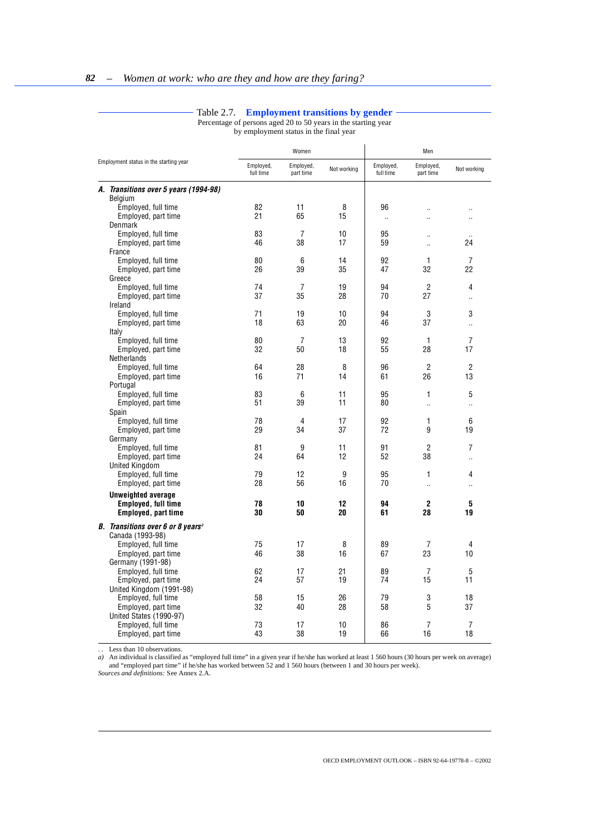### Table 2.7. **Employment transitions by gender**

Percentage of persons aged 20 to 50 years in the starting year by employment status in the final year

<span id="page-21-0"></span>

|                                                      |                        | Women                  |             | Men                    |                        |                      |  |
|------------------------------------------------------|------------------------|------------------------|-------------|------------------------|------------------------|----------------------|--|
| Employment status in the starting year               | Employed,<br>full time | Employed,<br>part time | Not working | Employed,<br>full time | Employed,<br>part time | Not working          |  |
| A. Transitions over 5 years (1994-98)                |                        |                        |             |                        |                        |                      |  |
| Belgium                                              |                        |                        |             |                        |                        |                      |  |
| Employed, full time                                  | 82                     | 11                     | 8           | 96                     |                        |                      |  |
| Employed, part time                                  | 21                     | 65                     | 15          | $\ddot{\phantom{a}}$   | $\ddot{\phantom{a}}$   | $\ddot{\phantom{a}}$ |  |
| <b>Denmark</b>                                       |                        |                        |             |                        |                        |                      |  |
| Employed, full time                                  | 83                     | $\overline{7}$         | 10          | 95                     |                        |                      |  |
| Employed, part time                                  | 46                     | 38                     | 17          | 59                     | $\ddot{\phantom{a}}$   | 24                   |  |
| France                                               |                        |                        |             |                        |                        |                      |  |
| Employed, full time                                  | 80                     | 6                      | 14          | 92                     | 1                      | 7                    |  |
| Employed, part time                                  | 26                     | 39                     | 35          | 47                     | 32                     | 22                   |  |
| Greece                                               |                        |                        |             |                        | $\overline{2}$         | 4                    |  |
| Employed, full time                                  | 74<br>37               | $\overline{7}$<br>35   | 19<br>28    | 94<br>70               | 27                     |                      |  |
| Employed, part time<br>Ireland                       |                        |                        |             |                        |                        | $\ddot{\phantom{a}}$ |  |
| Employed, full time                                  | 71                     | 19                     | 10          | 94                     | 3                      | 3                    |  |
|                                                      | 18                     | 63                     | 20          | 46                     | 37                     |                      |  |
| Employed, part time<br>Italy                         |                        |                        |             |                        |                        | à.                   |  |
| Employed, full time                                  | 80                     | 7                      | 13          | 92                     | 1                      | 7                    |  |
| Employed, part time                                  | 32                     | 50                     | 18          | 55                     | 28                     | 17                   |  |
| Netherlands                                          |                        |                        |             |                        |                        |                      |  |
| Employed, full time                                  | 64                     | 28                     | 8           | 96                     | $\overline{2}$         | $\overline{2}$       |  |
| Employed, part time                                  | 16                     | 71                     | 14          | 61                     | 26                     | 13                   |  |
| Portugal                                             |                        |                        |             |                        |                        |                      |  |
| Employed, full time                                  | 83                     | 6                      | 11          | 95                     | 1                      | 5                    |  |
| Employed, part time                                  | 51                     | 39                     | 11          | 80                     | $\ddot{\phantom{a}}$   | ä.                   |  |
| Spain                                                |                        |                        |             |                        |                        |                      |  |
| Employed, full time                                  | 78                     | 4                      | 17          | 92                     | 1                      | 6                    |  |
| Employed, part time                                  | 29                     | 34                     | 37          | 72                     | 9                      | 19                   |  |
| Germany                                              |                        |                        |             |                        |                        |                      |  |
| Employed, full time                                  | 81                     | 9                      | 11          | 91                     | 2                      | 7                    |  |
| Employed, part time                                  | 24                     | 64                     | 12          | 52                     | 38                     | .,                   |  |
| <b>United Kingdom</b>                                |                        |                        |             |                        |                        |                      |  |
| Employed, full time                                  | 79                     | 12                     | 9           | 95                     | 1                      | 4                    |  |
| Employed, part time                                  | 28                     | 56                     | 16          | 70                     | ä,                     | ă,                   |  |
| <b>Unweighted average</b>                            |                        |                        |             |                        |                        |                      |  |
| <b>Employed, full time</b>                           | 78                     | 10                     | 12          | 94                     | $\mathbf{2}$           | 5                    |  |
| <b>Employed, part time</b>                           | 30                     | 50                     | 20          | 61                     | 28                     | 19                   |  |
| <b>B.</b> Transitions over 6 or 8 years <sup>a</sup> |                        |                        |             |                        |                        |                      |  |
| Canada (1993-98)                                     |                        |                        |             |                        |                        |                      |  |
| Employed, full time                                  | 75                     | 17                     | 8           | 89                     | 7                      | 4                    |  |
| Employed, part time                                  | 46                     | 38                     | 16          | 67                     | 23                     | 10                   |  |
| Germany (1991-98)                                    |                        |                        |             |                        |                        |                      |  |
| Employed, full time                                  | 62                     | 17                     | 21          | 89                     | 7                      | 5                    |  |
| Employed, part time                                  | 24                     | 57                     | 19          | 74                     | 15                     | 11                   |  |
| United Kingdom (1991-98)                             |                        |                        |             |                        |                        |                      |  |
| Employed, full time                                  | 58                     | 15                     | 26          | 79                     | 3                      | 18                   |  |
| Employed, part time                                  | 32                     | 40                     | 28          | 58                     | 5                      | 37                   |  |
| United States (1990-97)                              |                        |                        |             |                        |                        |                      |  |
| Employed, full time                                  | 73                     | 17                     | 10          | 86                     | 7                      | 7                    |  |
| Employed, part time                                  | 43                     | 38                     | 19          | 66                     | 16                     | 18                   |  |

. . Less than 10 observations.

*a*) An individual is classified as "employed full time" in a given year if he/she has worked at least 1 560 hours (30 hours per week on average) and "employed part time" if he/she has worked between 52 and 1 560 hours (between 1 and 30 hours per week). *Sources and definitions:* See Annex 2.A.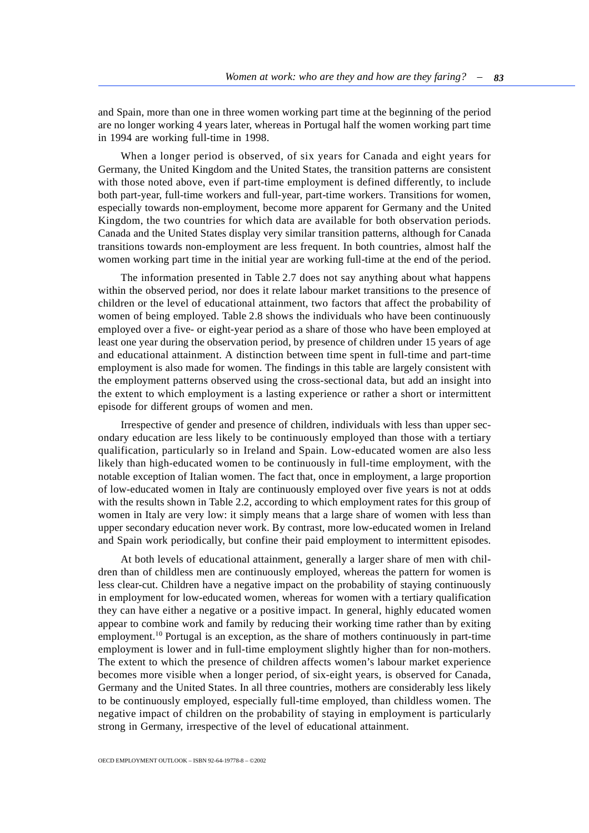and Spain, more than one in three women working part time at the beginning of the period are no longer working 4 years later, whereas in Portugal half the women working part time in 1994 are working full-time in 1998.

When a longer period is observed, of six years for Canada and eight years for Germany, the United Kingdom and the United States, the transition patterns are consistent with those noted above, even if part-time employment is defined differently, to include both part-year, full-time workers and full-year, part-time workers. Transitions for women, especially towards non-employment, become more apparent for Germany and the United Kingdom, the two countries for which data are available for both observation periods. Canada and the United States display very similar transition patterns, although for Canada transitions towards non-employment are less frequent. In both countries, almost half the women working part time in the initial year are working full-time at the end of the period.

The information presented in Table 2.7 does not say anything about what happens within the observed period, nor does it relate labour market transitions to the presence of children or the level of educational attainment, two factors that affect the probability of women of being employed. Table 2.8 shows the individuals who have been continuously employed over a five- or eight-year period as a share of those who have been employed at least one year during the observation period, by presence of children under 15 years of age and educational attainment. A distinction between time spent in full-time and part-time employment is also made for women. The findings in this table are largely consistent with the employment patterns observed using the cross-sectional data, but add an insight into the extent to which employment is a lasting experience or rather a short or intermittent episode for different groups of women and men.

Irrespective of gender and presence of children, individuals with less than upper secondary education are less likely to be continuously employed than those with a tertiary qualification, particularly so in Ireland and Spain. Low-educated women are also less likely than high-educated women to be continuously in full-time employment, with the notable exception of Italian women. The fact that, once in employment, a large proportion of low-educated women in Italy are continuously employed over five years is not at odds with the results shown in Table 2.2, according to which employment rates for this group of women in Italy are very low: it simply means that a large share of women with less than upper secondary education never work. By contrast, more low-educated women in Ireland and Spain work periodically, but confine their paid employment to intermittent episodes.

At both levels of educational attainment, generally a larger share of men with children than of childless men are continuously employed, whereas the pattern for women is less clear-cut. Children have a negative impact on the probability of staying continuously in employment for low-educated women, whereas for women with a tertiary qualification they can have either a negative or a positive impact. In general, highly educated women appear to combine work and family by reducing their working time rather than by exiting employment.<sup>10</sup> Portugal is an exception, as the share of mothers continuously in part-time employment is lower and in full-time employment slightly higher than for non-mothers. The extent to which the presence of children affects women's labour market experience becomes more visible when a longer period, of six-eight years, is observed for Canada, Germany and the United States. In all three countries, mothers are considerably less likely to be continuously employed, especially full-time employed, than childless women. The negative impact of children on the probability of staying in employment is particularly strong in Germany, irrespective of the level of educational attainment.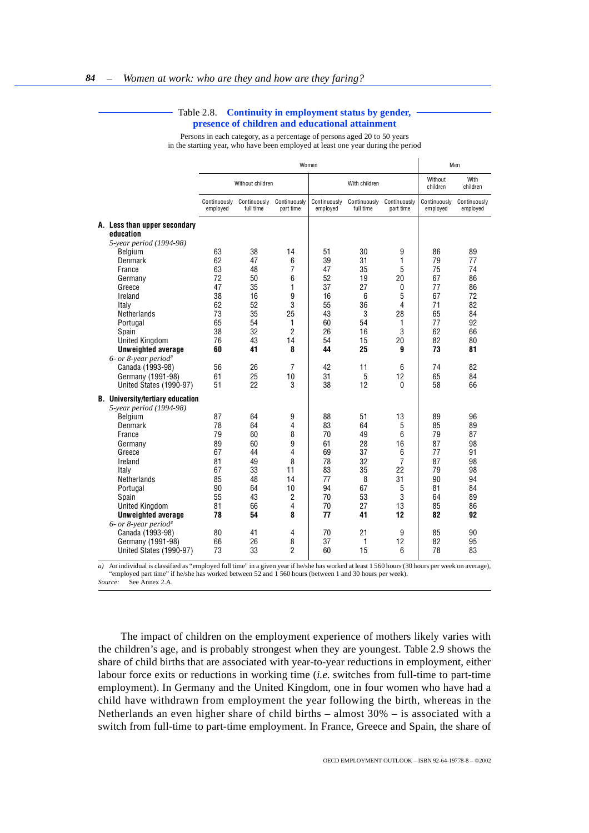#### Table 2.8. **Continuity in employment status by gender, presence of children and educational attainment**

Persons in each category, as a percentage of persons aged 20 to 50 years in the starting year, who have been employed at least one year during the period

<span id="page-23-0"></span>

|                                                                                                                                                                                                                                                                              | Women                                                                |                                                                      |                                                             |                                                                      |                                                                     |                                                                             |                                                                      | Men                                                                  |
|------------------------------------------------------------------------------------------------------------------------------------------------------------------------------------------------------------------------------------------------------------------------------|----------------------------------------------------------------------|----------------------------------------------------------------------|-------------------------------------------------------------|----------------------------------------------------------------------|---------------------------------------------------------------------|-----------------------------------------------------------------------------|----------------------------------------------------------------------|----------------------------------------------------------------------|
|                                                                                                                                                                                                                                                                              |                                                                      | Without children                                                     |                                                             | With children                                                        |                                                                     |                                                                             | Without<br>children                                                  | With<br>children                                                     |
|                                                                                                                                                                                                                                                                              | Continuously<br>employed                                             | Continuously<br>full time                                            | Continuously<br>part time                                   | Continuously<br>employed                                             | Continuously<br>full time                                           | Continuously<br>part time                                                   | Continuously<br>employed                                             | Continuously<br>employed                                             |
| A. Less than upper secondary<br>education<br>5-year period (1994-98)<br>Belgium                                                                                                                                                                                              | 63                                                                   | 38                                                                   | 14                                                          | 51                                                                   | 30                                                                  | 9                                                                           | 86                                                                   | 89                                                                   |
| Denmark<br>France<br>Germany<br>Greece                                                                                                                                                                                                                                       | 62<br>63<br>72<br>47                                                 | 47<br>48<br>50<br>35                                                 | 6<br>7<br>6<br>1                                            | 39<br>47<br>52<br>37                                                 | 31<br>35<br>19<br>27                                                | 1<br>5<br>20<br>0                                                           | 79<br>75<br>67<br>77                                                 | 77<br>74<br>86<br>86                                                 |
| Ireland<br>Italy<br>Netherlands<br>Portugal<br>Spain<br><b>United Kingdom</b>                                                                                                                                                                                                | 38<br>62<br>73<br>65<br>38<br>76                                     | 16<br>52<br>35<br>54<br>32<br>43                                     | 9<br>3<br>25<br>1<br>$\overline{2}$<br>14                   | 16<br>55<br>43<br>60<br>26<br>54                                     | 6<br>36<br>3<br>54<br>16<br>15                                      | 5<br>4<br>28<br>1<br>3<br>20                                                | 67<br>71<br>65<br>77<br>62<br>82                                     | 72<br>82<br>84<br>92<br>66<br>80                                     |
| <b>Unweighted average</b><br>$6$ - or 8-year period <sup>a</sup><br>Canada (1993-98)<br>Germany (1991-98)<br>United States (1990-97)                                                                                                                                         | 60<br>56<br>61<br>51                                                 | 41<br>26<br>25<br>22                                                 | 8<br>7<br>10<br>3                                           | 44<br>42<br>31<br>38                                                 | 25<br>11<br>5<br>12                                                 | g<br>6<br>12<br>0                                                           | 73<br>74<br>65<br>58                                                 | 81<br>82<br>84<br>66                                                 |
| <b>B.</b> University/tertiary education<br>5-year period (1994-98)<br>Belgium<br>Denmark<br>France<br>Germany<br>Greece<br>Ireland<br>Italy<br>Netherlands<br>Portugal<br>Spain<br><b>United Kingdom</b><br><b>Unweighted average</b><br>$6$ - or 8-year period <sup>a</sup> | 87<br>78<br>79<br>89<br>67<br>81<br>67<br>85<br>90<br>55<br>81<br>78 | 64<br>64<br>60<br>60<br>44<br>49<br>33<br>48<br>64<br>43<br>66<br>54 | 9<br>4<br>8<br>9<br>4<br>8<br>11<br>14<br>10<br>2<br>4<br>8 | 88<br>83<br>70<br>61<br>69<br>78<br>83<br>77<br>94<br>70<br>70<br>77 | 51<br>64<br>49<br>28<br>37<br>32<br>35<br>8<br>67<br>53<br>27<br>41 | 13<br>5<br>6<br>16<br>6<br>$\overline{7}$<br>22<br>31<br>5<br>3<br>13<br>12 | 89<br>85<br>79<br>87<br>77<br>87<br>79<br>90<br>81<br>64<br>85<br>82 | 96<br>89<br>87<br>98<br>91<br>98<br>98<br>94<br>84<br>89<br>86<br>92 |
| Canada (1993-98)<br>Germany (1991-98)<br>United States (1990-97)                                                                                                                                                                                                             | 80<br>66<br>73                                                       | 41<br>26<br>33                                                       | 4<br>8<br>$\overline{2}$                                    | 70<br>37<br>60                                                       | 21<br>1<br>15                                                       | 9<br>12<br>6                                                                | 85<br>82<br>78                                                       | 90<br>95<br>83                                                       |

*a*) An individual is classified as "employed full time" in a given year if he/she has worked at least 1 560 hours (30 hours per week on average), "employed part time" if he/she has worked between 52 and 1 560 hours (between 1 and 30 hours per week). *Source:* See Annex 2.A.

The impact of children on the employment experience of mothers likely varies with the children's age, and is probably strongest when they are youngest. Table 2.9 shows the share of child births that are associated with year-to-year reductions in employment, either labour force exits or reductions in working time (*i.e.* switches from full-time to part-time employment). In Germany and the United Kingdom, one in four women who have had a child have withdrawn from employment the year following the birth, whereas in the Netherlands an even higher share of child births – almost 30% – is associated with a switch from full-time to part-time employment. In France, Greece and Spain, the share of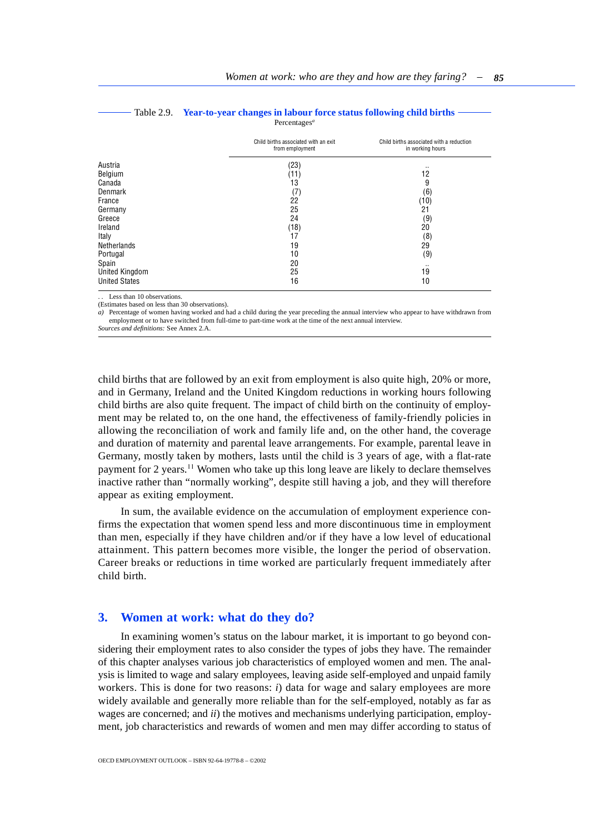<span id="page-24-1"></span><span id="page-24-0"></span>

|                      | Child births associated with an exit<br>from employment | Child births associated with a reduction<br>in working hours |
|----------------------|---------------------------------------------------------|--------------------------------------------------------------|
| Austria              | (23)                                                    | $\sim$                                                       |
| Belgium              | (11)                                                    | 12                                                           |
| Canada               | 13                                                      | 9                                                            |
| Denmark              | (7)                                                     | (6)                                                          |
| France               | 22                                                      | (10)                                                         |
| Germany              | 25                                                      | 21                                                           |
| Greece               | 24                                                      | (9)                                                          |
| Ireland              | (18)                                                    | 20                                                           |
| Italy                | 17                                                      | (8)                                                          |
| Netherlands          | 19                                                      | 29                                                           |
| Portugal             | 10                                                      | (9)                                                          |
| Spain                | 20                                                      | $\sim$                                                       |
| United Kingdom       | 25                                                      | 19                                                           |
| <b>United States</b> | 16                                                      | 10                                                           |

#### Table 2.9. **Year-to-year changes in labour force status following child births** Percentages*<sup>a</sup>*

Less than 10 observations.

(Estimates based on less than 30 observations).

*a)* Percentage of women having worked and had a child during the year preceding the annual interview who appear to have withdrawn from employment or to have switched from full-time to part-time work at the time of the next annual interview.

*Sources and definitions:* See Annex 2.A.

child births that are followed by an exit from employment is also quite high, 20% or more, and in Germany, Ireland and the United Kingdom reductions in working hours following child births are also quite frequent. The impact of child birth on the continuity of employment may be related to, on the one hand, the effectiveness of family-friendly policies in allowing the reconciliation of work and family life and, on the other hand, the coverage and duration of maternity and parental leave arrangements. For example, parental leave in Germany, mostly taken by mothers, lasts until the child is 3 years of age, with a flat-rate payment for 2 years.<sup>11</sup> Women who take up this long leave are likely to declare themselves inactive rather than "normally working", despite still having a job, and they will therefore appear as exiting employment.

In sum, the available evidence on the accumulation of employment experience confirms the expectation that women spend less and more discontinuous time in employment than men, especially if they have children and/or if they have a low level of educational attainment. This pattern becomes more visible, the longer the period of observation. Career breaks or reductions in time worked are particularly frequent immediately after child birth.

## **3. Women at work: what do they do?**

In examining women's status on the labour market, it is important to go beyond considering their employment rates to also consider the types of jobs they have. The remainder of this chapter analyses various job characteristics of employed women and men. The analysis is limited to wage and salary employees, leaving aside self-employed and unpaid family workers. This is done for two reasons: *i*) data for wage and salary employees are more widely available and generally more reliable than for the self-employed, notably as far as wages are concerned; and *ii*) the motives and mechanisms underlying participation, employment, job characteristics and rewards of women and men may differ according to status of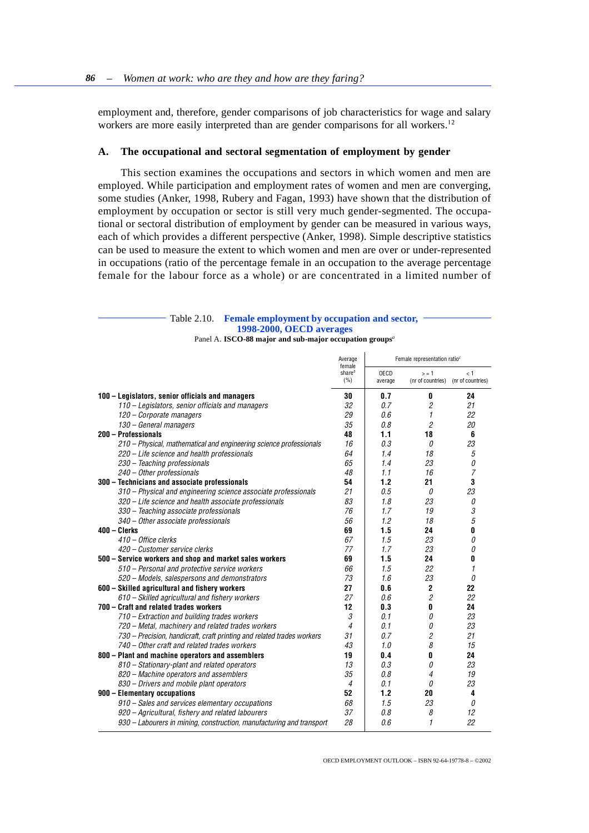<span id="page-25-0"></span>employment and, therefore, gender comparisons of job characteristics for wage and salary workers are more easily interpreted than are gender comparisons for all workers.<sup>12</sup>

### **A. The occupational and sectoral segmentation of employment by gender**

This section examines the occupations and sectors in which women and men are employed. While participation and employment rates of women and men are converging, some studies (Anker, 1998, Rubery and Fagan, 1993) have shown that the distribution of employment by occupation or sector is still very much gender-segmented. The occupational or sectoral distribution of employment by gender can be measured in various ways, each of which provides a different perspective (Anker, 1998). Simple descriptive statistics can be used to measure the extent to which women and men are over or under-represented in occupations (ratio of the percentage female in an occupation to the average percentage female for the labour force as a whole) or are concentrated in a limited number of

#### Table 2.10. **Female employment by occupation and sector, 1998-2000, OECD averages** Panel A. **ISCO-88 major and sub-major occupation groups***<sup>a</sup>* Average female share*<sup>b</sup>*  $(%)$ Female representation ratio*<sup>c</sup>* OECD average  $\sim$   $-1$ (nr of countries)  $\leq 1$ (nr of countries) **100 – Legislators, senior officials and managers 30 0.7 0 24** *110 – Legislators, senior officials and managers 32 0.7 2 21 120 – Corporate managers 29 0.6 1 22 130 – General managers 35 0.8 2 20* **200 – Professionals 48 1.1 18 6** *210 – Physical, mathematical and engineering science professionals 16 0.3 0 23 220 – Life science and health professionals 64 1.4 18 5 230 – Teaching professionals 65 1.4 23 0 240 – Other professionals 48 1.1 16 7* **300 – Technicians and associate professionals 54 1.2 21 3** *310 – Physical and engineering science associate professionals 21 0.5 0 23 320 – Life science and health associate professionals 83 1.8 23 0 330 – Teaching associate professionals 76 1.7 19 3 340 – Other associate professionals 56 1.2 18 5* **400 – Clerks 69 1.5 24 0** *410 – Office clerks 67 1.5 23 0 420 – Customer service clerks 77 1.7 23 0* **500 – Service workers and shop and market sales workers 69 1.5 24 0** *510 – Personal and protective service workers 66 1.5 22 1 520 – Models, salespersons and demonstrators 73 1.6 23 0* **600 – Skilled agricultural and fishery workers 27 0.6 2 22** *610 – Skilled agricultural and fishery workers 27 0.6 2 22* **700 – Craft and related trades workers 12 0.3 0 24** *710 – Extraction and building trades workers 3 0.1 0 23 720 – Metal, machinery and related trades workers 4 0.1 0 23 730 – Precision, handicraft, craft printing and related trades workers 31 0.7 2 21 740 – Other craft and related trades workers 43 1.0 8 15* **800** – Plant and machine operators and assemblers **19 19 0.4 0 24 810** – Stationary-plant and related operators **13 13 0.3 0 23** *810 – Stationary-plant and related operators 13 0.3 0 23 820 – Machine operators and assemblers 35 0.8 4 19 830 – Drivers and mobile plant operators 4 0.1 0 23* **900 – Elementary occupations 52 1.2 20 4** *910 – Sales and services elementary occupations 68 1.5 23 0 920 – Agricultural, fishery and related labourers 37 0.8 8 12*

*930 – Labourers in mining, construction, manufacturing and transport 28 0.6 1 22*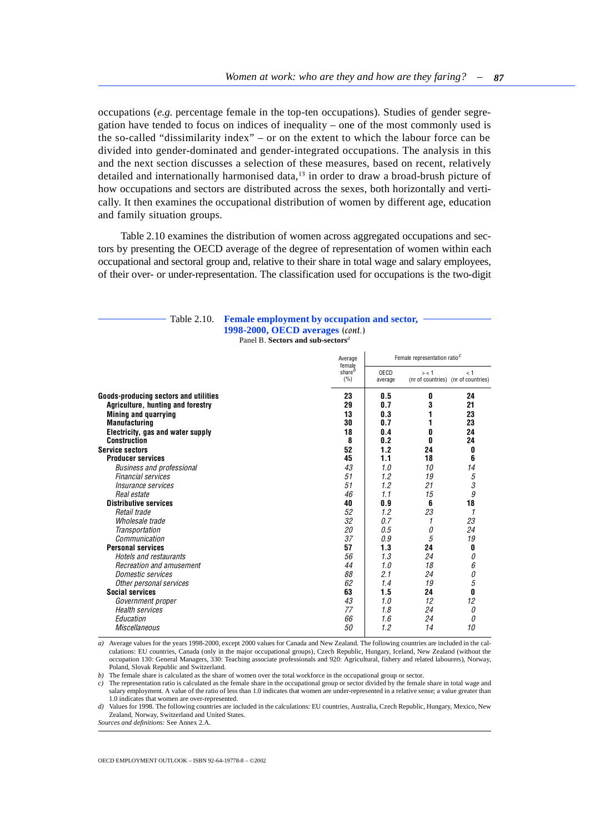occupations (*e.g.* percentage female in the top-ten occupations). Studies of gender segregation have tended to focus on indices of inequality – one of the most commonly used is the so-called "dissimilarity index" – or on the extent to which the labour force can be divided into gender-dominated and gender-integrated occupations. The analysis in this and the next section discusses a selection of these measures, based on recent, relatively detailed and internationally harmonised data,<sup>13</sup> in order to draw a broad-brush picture of how occupations and sectors are distributed across the sexes, both horizontally and vertically. It then examines the occupational distribution of women by different age, education and family situation groups.

Table 2.10 examines the distribution of women across aggregated occupations and sectors by presenting the OECD average of the degree of representation of women within each occupational and sectoral group and, relative to their share in total wage and salary employees, of their over- or under-representation. The classification used for occupations is the two-digit

#### Table 2.10. **Female employment by occupation and sector, 1998-2000, OECD averages** *(cont.)* Panel B. **Sectors and sub-sectors***<sup>d</sup>*

|                                       | Average<br>female<br>share <sup><i>b</i></sup><br>(%) | Female representation ratio <sup>c</sup> |         |                                            |
|---------------------------------------|-------------------------------------------------------|------------------------------------------|---------|--------------------------------------------|
|                                       |                                                       | OECD<br>average                          | $S = 1$ | < 1<br>(nr of countries) (nr of countries) |
| Goods-producing sectors and utilities | 23                                                    | 0.5                                      | 0       | 24                                         |
| Agriculture, hunting and forestry     | 29                                                    | 0.7                                      | 3       | 21                                         |
| Mining and quarrying                  | 13                                                    | 0.3                                      |         | 23                                         |
| <b>Manufacturing</b>                  | 30                                                    | 0.7                                      |         | 23                                         |
| Electricity, gas and water supply     | 18                                                    | 0.4                                      | 0       | 24                                         |
| <b>Construction</b>                   | 8                                                     | 0.2                                      | 0       | 24                                         |
| <b>Service sectors</b>                | 52                                                    | 1.2                                      | 24      | 0                                          |
| <b>Producer services</b>              | 45                                                    | 1.1                                      | 18      | 6                                          |
| <b>Business and professional</b>      | 43                                                    | 1.0                                      | 10      | 14                                         |
| <b>Financial services</b>             | 51                                                    | 1.2                                      | 19      | 5                                          |
| <i>Insurance services</i>             | 51                                                    | 1.2                                      | 21      | 3                                          |
| Real estate                           | 46                                                    | 1.1                                      | 15      | 9                                          |
| <b>Distributive services</b>          | 40                                                    | 0.9                                      | 6       | 18                                         |
| Retail trade                          | 52                                                    | 1.2                                      | 23      | 1                                          |
| Wholesale trade                       | 32                                                    | 0.7                                      |         | 23                                         |
| Transportation                        | 20                                                    | 0.5                                      | 0       | 24                                         |
| Communication                         | 37                                                    | 0.9                                      | 5       | 19                                         |
| <b>Personal services</b>              | 57                                                    | 1.3                                      | 24      | 0                                          |
| <b>Hotels and restaurants</b>         | 56                                                    | 1.3                                      | 24      | <sup>0</sup>                               |
| Recreation and amusement              | 44                                                    | 1.0                                      | 18      | 6                                          |
| Domestic services                     | 88                                                    | 2.1                                      | 24      | 0                                          |
| Other personal services               | 62                                                    | 1.4                                      | 19      | 5                                          |
| <b>Social services</b>                | 63                                                    | 1.5                                      | 24      | 0                                          |
| Government proper                     | 43                                                    | 1.0                                      | 12      | 12                                         |
| <b>Health services</b>                | 77                                                    | 1.8                                      | 24      | 0                                          |
| Education                             | 66                                                    | 1.6                                      | 24      | <sup>0</sup>                               |
| <b>Miscellaneous</b>                  | 50                                                    | 1.2                                      | 14      | 10                                         |

*a)* Average values for the years 1998-2000, except 2000 values for Canada and New Zealand. The following countries are included in the calculations: EU countries, Canada (only in the major occupational groups), Czech Republic, Hungary, Iceland, New Zealand (without the occupation 130: General Managers, 330: Teaching associate professionals and 920: Agricultural, fishery and related labourers), Norway, Poland, Slovak Republic and Switzerland.

*b)* The female share is calculated as the share of women over the total workforce in the occupational group or sector.

*c)* The representation ratio is calculated as the female share in the occupational group or sector divided by the female share in total wage and salary employment. A value of the ratio of less than 1.0 indicates that women are under-represented in a relative sense; a value greater than 1.0 indicates that women are over-represented.

*d*) Values for 1998. The following countries are included in the calculations: EU countries, Australia, Czech Republic, Hungary, Mexico, New Zealand, Norway, Switzerland and United States.

*Sources and definitions:* See Annex 2.A.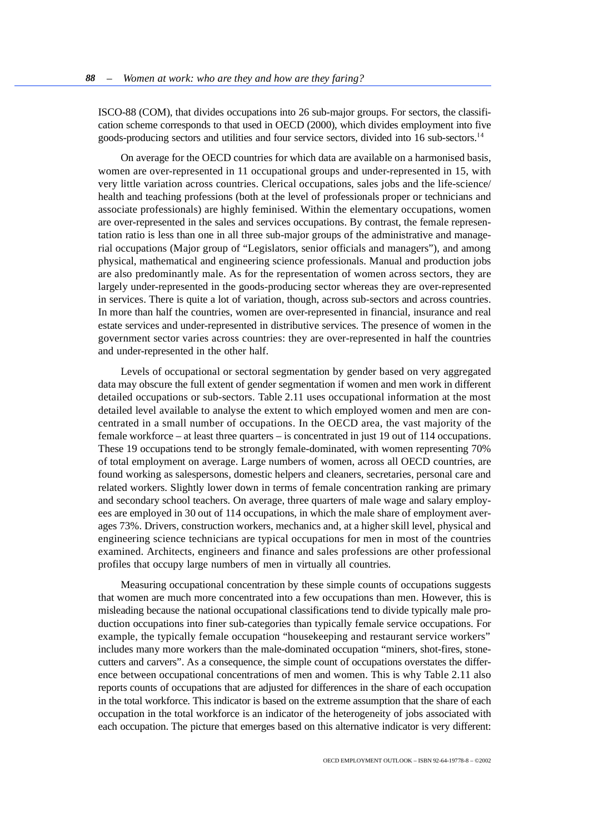ISCO-88 (COM), that divides occupations into 26 sub-major groups. For sectors, the classification scheme corresponds to that used in OECD (2000), which divides employment into five goods-producing sectors and utilities and four service sectors, divided into 16 sub-sectors.<sup>14</sup>

On average for the OECD countries for which data are available on a harmonised basis, women are over-represented in 11 occupational groups and under-represented in 15, with very little variation across countries. Clerical occupations, sales jobs and the life-science/ health and teaching professions (both at the level of professionals proper or technicians and associate professionals) are highly feminised. Within the elementary occupations, women are over-represented in the sales and services occupations. By contrast, the female representation ratio is less than one in all three sub-major groups of the administrative and managerial occupations (Major group of "Legislators, senior officials and managers"), and among physical, mathematical and engineering science professionals. Manual and production jobs are also predominantly male. As for the representation of women across sectors, they are largely under-represented in the goods-producing sector whereas they are over-represented in services. There is quite a lot of variation, though, across sub-sectors and across countries. In more than half the countries, women are over-represented in financial, insurance and real estate services and under-represented in distributive services. The presence of women in the government sector varies across countries: they are over-represented in half the countries and under-represented in the other half.

Levels of occupational or sectoral segmentation by gender based on very aggregated data may obscure the full extent of gender segmentation if women and men work in different detailed occupations or sub-sectors. Table 2.11 uses occupational information at the most detailed level available to analyse the extent to which employed women and men are concentrated in a small number of occupations. In the OECD area, the vast majority of the female workforce – at least three quarters – is concentrated in just 19 out of 114 occupations. These 19 occupations tend to be strongly female-dominated, with women representing 70% of total employment on average. Large numbers of women, across all OECD countries, are found working as salespersons, domestic helpers and cleaners, secretaries, personal care and related workers. Slightly lower down in terms of female concentration ranking are primary and secondary school teachers. On average, three quarters of male wage and salary employees are employed in 30 out of 114 occupations, in which the male share of employment averages 73%. Drivers, construction workers, mechanics and, at a higher skill level, physical and engineering science technicians are typical occupations for men in most of the countries examined. Architects, engineers and finance and sales professions are other professional profiles that occupy large numbers of men in virtually all countries.

Measuring occupational concentration by these simple counts of occupations suggests that women are much more concentrated into a few occupations than men. However, this is misleading because the national occupational classifications tend to divide typically male production occupations into finer sub-categories than typically female service occupations. For example, the typically female occupation "housekeeping and restaurant service workers" includes many more workers than the male-dominated occupation "miners, shot-fires, stonecutters and carvers". As a consequence, the simple count of occupations overstates the difference between occupational concentrations of men and women. This is why Table 2.11 also reports counts of occupations that are adjusted for differences in the share of each occupation in the total workforce. This indicator is based on the extreme assumption that the share of each occupation in the total workforce is an indicator of the heterogeneity of jobs associated with each occupation. The picture that emerges based on this alternative indicator is very different: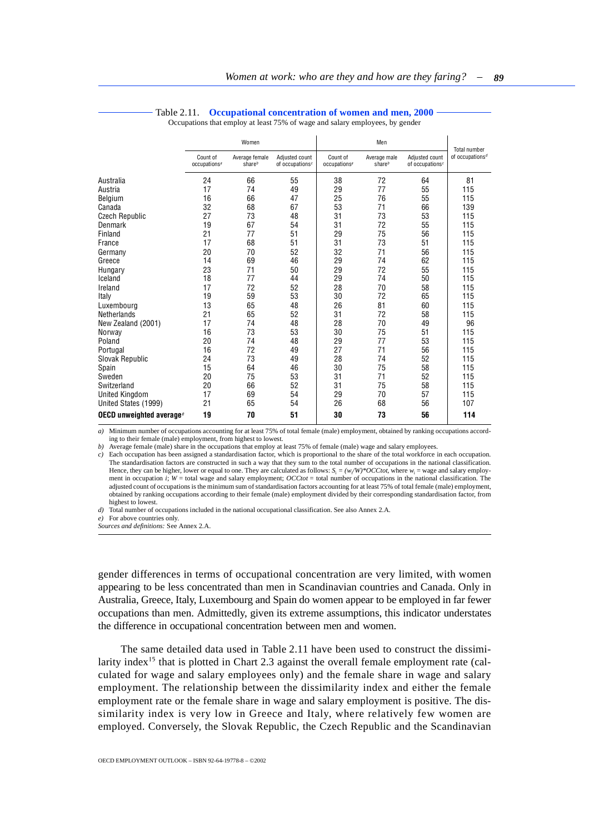<span id="page-28-0"></span>

|                                                   | Women                                |                             |                                      | Men                                  |                           |                                      | Total number                             |
|---------------------------------------------------|--------------------------------------|-----------------------------|--------------------------------------|--------------------------------------|---------------------------|--------------------------------------|------------------------------------------|
|                                                   | Count of<br>occupations <sup>a</sup> | Average female<br>share $b$ | Adjusted count<br>of occupations $c$ | Count of<br>occupations <sup>a</sup> | Average male<br>share $b$ | Adjusted count<br>of occupations $c$ | of occupations <sup><math>d</math></sup> |
| Australia                                         | 24                                   | 66                          | 55                                   | 38                                   | 72                        | 64                                   | 81                                       |
| Austria                                           | 17                                   | 74                          | 49                                   | 29                                   | 77                        | 55                                   | 115                                      |
| Belgium                                           | 16                                   | 66                          | 47                                   | 25                                   | 76                        | 55                                   | 115                                      |
| Canada                                            | 32                                   | 68                          | 67                                   | 53                                   | 71                        | 66                                   | 139                                      |
| <b>Czech Republic</b>                             | 27                                   | 73                          | 48                                   | 31                                   | 73                        | 53                                   | 115                                      |
| Denmark                                           | 19                                   | 67                          | 54                                   | 31                                   | 72                        | 55                                   | 115                                      |
| Finland                                           | 21                                   | 77                          | 51                                   | 29                                   | 75                        | 56                                   | 115                                      |
| France                                            | 17                                   | 68                          | 51                                   | 31                                   | 73                        | 51                                   | 115                                      |
| Germany                                           | 20                                   | 70                          | 52                                   | 32                                   | 71                        | 56                                   | 115                                      |
| Greece                                            | 14                                   | 69                          | 46                                   | 29                                   | 74                        | 62                                   | 115                                      |
| Hungary                                           | 23                                   | 71                          | 50                                   | 29                                   | 72                        | 55                                   | 115                                      |
| Iceland                                           | 18                                   | 77                          | 44                                   | 29                                   | 74                        | 50                                   | 115                                      |
| Ireland                                           | 17                                   | 72                          | 52                                   | 28                                   | 70                        | 58                                   | 115                                      |
| Italy                                             | 19                                   | 59                          | 53                                   | 30                                   | 72                        | 65                                   | 115                                      |
| Luxembourg                                        | 13                                   | 65                          | 48                                   | 26                                   | 81                        | 60                                   | 115                                      |
| Netherlands                                       | 21                                   | 65                          | 52                                   | 31                                   | 72                        | 58                                   | 115                                      |
| New Zealand (2001)                                | 17                                   | 74                          | 48                                   | 28                                   | 70                        | 49                                   | 96                                       |
| Norway                                            | 16                                   | 73                          | 53                                   | 30                                   | 75                        | 51                                   | 115                                      |
| Poland                                            | 20                                   | 74                          | 48                                   | 29                                   | 77                        | 53                                   | 115                                      |
| Portugal                                          | 16                                   | 72                          | 49                                   | 27                                   | 71                        | 56                                   | 115                                      |
| Slovak Republic                                   | 24                                   | 73                          | 49                                   | 28                                   | 74                        | 52                                   | 115                                      |
| Spain                                             | 15                                   | 64                          | 46                                   | 30                                   | 75                        | 58                                   | 115                                      |
| Sweden                                            | 20                                   | 75                          | 53                                   | 31                                   | 71                        | 52                                   | 115                                      |
| Switzerland                                       | 20                                   | 66                          | 52                                   | 31                                   | 75                        | 58                                   | 115                                      |
| <b>United Kingdom</b>                             | 17                                   | 69                          | 54                                   | 29                                   | 70                        | 57                                   | 115                                      |
| United States (1999)                              | 21                                   | 65                          | 54                                   | 26                                   | 68                        | 56                                   | 107                                      |
| OECD unweighted average <sup><math>e</math></sup> | 19                                   | 70                          | 51                                   | 30                                   | 73                        | 56                                   | 114                                      |

#### Table 2.11. **Occupational concentration of women and men, 2000**

Occupations that employ at least 75% of wage and salary employees, by gender

*a)* Minimum number of occupations accounting for at least 75% of total female (male) employment, obtained by ranking occupations according to their female (male) employment, from highest to lowest.

*b*) Average female (male) share in the occupations that employ at least 75% of female (male) wage and salary employees.

*c)* Each occupation has been assigned a standardisation factor, which is proportional to the share of the total workforce in each occupation. The standardisation factors are constructed in such a way that they sum to the total number of occupations in the national classification. Hence, they can be higher, lower or equal to one. They are calculated as follows:  $S_i = (w_i/W)^* OCCtot$ , where  $w_i =$  wage and salary employment in occupation *i*; *W* = total wage and salary employment; *OCCtot* = total number of occupations in the national classification. The adjusted count of occupations is the minimum sum of standardisation factors accounting for at least 75% of total female (male) employment, obtained by ranking occupations according to their female (male) employment divided by their corresponding standardisation factor, from highest to lowest.

*d)* Total number of occupations included in the national occupational classification. See also Annex 2.A.

*e)* For above countries only.

*Sources and definitions:* See Annex 2.A.

gender differences in terms of occupational concentration are very limited, with women appearing to be less concentrated than men in Scandinavian countries and Canada. Only in Australia, Greece, Italy, Luxembourg and Spain do women appear to be employed in far fewer occupations than men. Admittedly, given its extreme assumptions, this indicator understates the difference in occupational concentration between men and women.

The same detailed data used in Table 2.11 have been used to construct the dissimilarity index<sup>15</sup> that is plotted in Chart 2.3 against the overall female employment rate (calculated for wage and salary employees only) and the female share in wage and salary employment. The relationship between the dissimilarity index and either the female employment rate or the female share in wage and salary employment is positive. The dissimilarity index is very low in Greece and Italy, where relatively few women are employed. Conversely, the Slovak Republic, the Czech Republic and the Scandinavian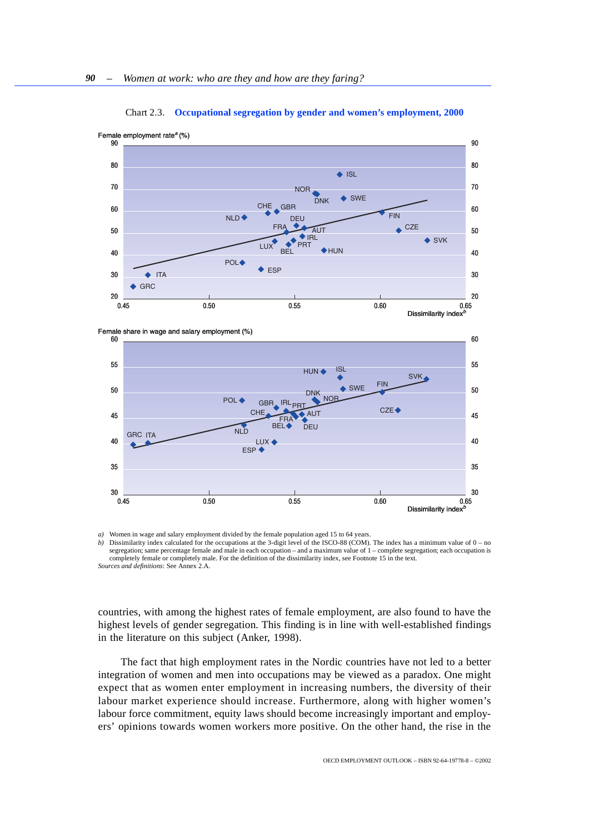<span id="page-29-0"></span>

Chart 2.3. **Occupational segregation by gender and women's employment, 2000**





Women in wage and salary employment divided by the female population aged 15 to 64 years.

*b*) Dissimilarity index calculated for the occupations at the 3-digit level of the ISCO-88 (COM). The index has a minimum value of 0 – no segregation; same percentage female and male in each occupation – and a maximum value of 1 – complete segregation; each occupation is completely female or completely male. For the definition of the dissimilarity index, see Footnote 15 in the text. *Sources and definitions*: See Annex 2.A.

countries, with among the highest rates of female employment, are also found to have the highest levels of gender segregation. This finding is in line with well-established findings in the literature on this subject (Anker, 1998).

The fact that high employment rates in the Nordic countries have not led to a better integration of women and men into occupations may be viewed as a paradox. One might expect that as women enter employment in increasing numbers, the diversity of their labour market experience should increase. Furthermore, along with higher women's labour force commitment, equity laws should become increasingly important and employers' opinions towards women workers more positive. On the other hand, the rise in the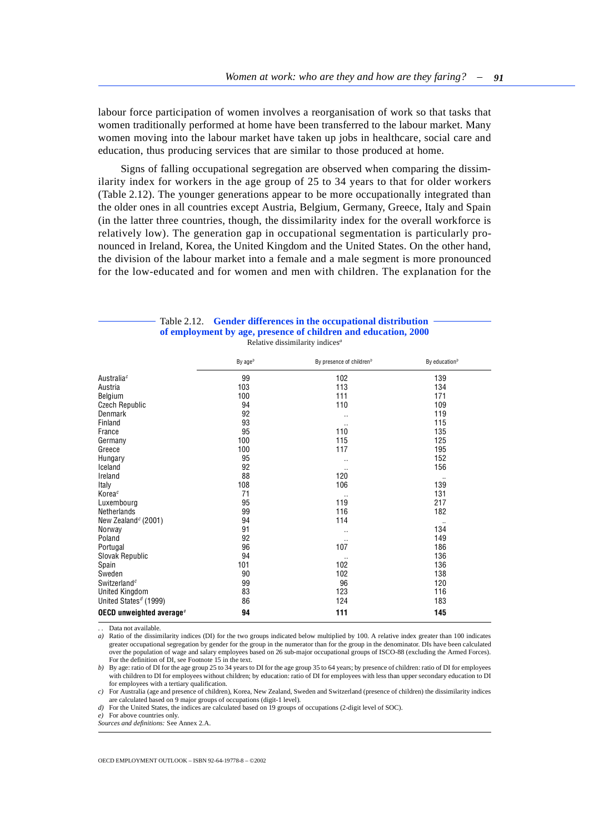<span id="page-30-0"></span>labour force participation of women involves a reorganisation of work so that tasks that women traditionally performed at home have been transferred to the labour market. Many women moving into the labour market have taken up jobs in healthcare, social care and education, thus producing services that are similar to those produced at home.

Signs of falling occupational segregation are observed when comparing the dissimilarity index for workers in the age group of 25 to 34 years to that for older workers (Table 2.12). The younger generations appear to be more occupationally integrated than the older ones in all countries except Austria, Belgium, Germany, Greece, Italy and Spain (in the latter three countries, though, the dissimilarity index for the overall workforce is relatively low). The generation gap in occupational segmentation is particularly pronounced in Ireland, Korea, the United Kingdom and the United States. On the other hand, the division of the labour market into a female and a male segment is more pronounced for the low-educated and for women and men with children. The explanation for the

| Table 2.12. Gender differences in the occupational distribution |  |  |
|-----------------------------------------------------------------|--|--|
| of employment by age, presence of children and education, 2000  |  |  |
| Relative dissimilarity indices <sup>a</sup>                     |  |  |

|                                      | By $ageb$ | By presence of children <sup>b</sup> | By education $b$ |
|--------------------------------------|-----------|--------------------------------------|------------------|
| Australiac                           | 99        | 102                                  | 139              |
| Austria                              | 103       | 113                                  | 134              |
| Belgium                              | 100       | 111                                  | 171              |
| <b>Czech Republic</b>                | 94        | 110                                  | 109              |
| Denmark                              | 92        | $\cdot$ .                            | 119              |
| Finland                              | 93        | $\cdot$ .                            | 115              |
| France                               | 95        | 110                                  | 135              |
| Germany                              | 100       | 115                                  | 125              |
| Greece                               | 100       | 117                                  | 195              |
| Hungary                              | 95        | $\cdot$ .                            | 152              |
| Iceland                              | 92        | $\cdot$ .                            | 156              |
| Ireland                              | 88        | 120                                  | $\cdot$ .        |
| Italy                                | 108       | 106                                  | 139              |
| Korea <sup>c</sup>                   | 71        | $\cdot$ .                            | 131              |
| Luxembourg                           | 95        | 119                                  | 217              |
| Netherlands                          | 99        | 116                                  | 182              |
| New Zealand <sup>c</sup> (2001)      | 94        | 114                                  | $\ddotsc$        |
| Norway                               | 91        | $\cdot$ .                            | 134              |
| Poland                               | 92        | $\cdots$                             | 149              |
| Portugal                             | 96        | 107                                  | 186              |
| Slovak Republic                      | 94        | $\cdots$                             | 136              |
| Spain                                | 101       | 102                                  | 136              |
| Sweden                               | 90        | 102                                  | 138              |
| Switzerland <sup>c</sup>             | 99        | 96                                   | 120              |
| United Kingdom                       | 83        | 123                                  | 116              |
| United States <sup>d</sup> (1999)    | 86        | 124                                  | 183              |
| OECD unweighted average <sup>e</sup> | 94        | 111                                  | 145              |

Data not available.

*a*) Ratio of the dissimilarity indices (DI) for the two groups indicated below multiplied by 100. A relative index greater than 100 indicates greater occupational segregation by gender for the group in the numerator than for the group in the denominator. DIs have been calculated over the population of wage and salary employees based on 26 sub-major occupational groups of ISCO-88 (excluding the Armed Forces). For the definition of DI, see Footnote 15 in the text.

*b*) By age: ratio of DI for the age group 25 to 34 years to DI for the age group 35 to 64 years; by presence of children: ratio of DI for employees with children to DI for employees without children; by education: ratio of DI for employees with less than upper secondary education to DI for employees with a tertiary qualification.

*c)* For Australia (age and presence of children), Korea, New Zealand, Sweden and Switzerland (presence of children) the dissimilarity indices are calculated based on 9 major groups of occupations (digit-1 level).

*d*) For the United States, the indices are calculated based on 19 groups of occupations (2-digit level of SOC).

*e)* For above countries only.

*Sources and definitions:* See Annex 2.A.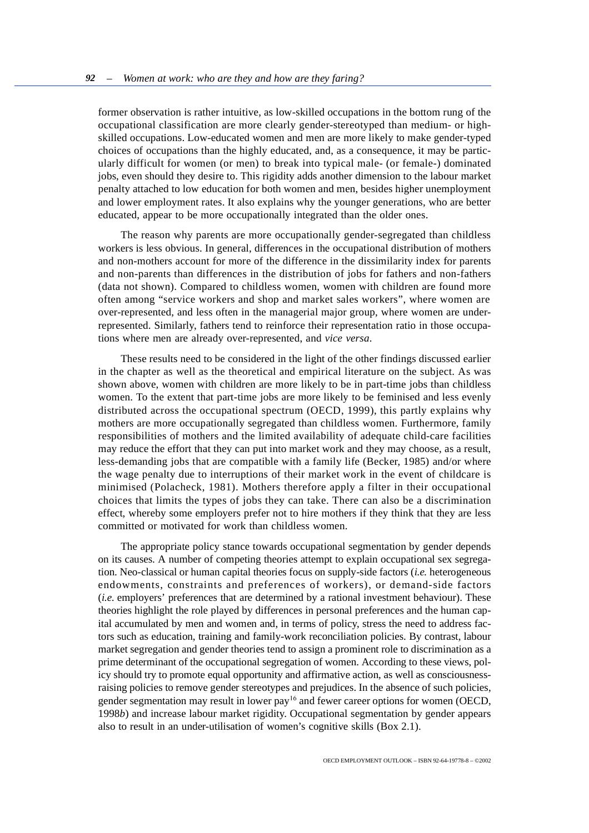former observation is rather intuitive, as low-skilled occupations in the bottom rung of the occupational classification are more clearly gender-stereotyped than medium- or highskilled occupations. Low-educated women and men are more likely to make gender-typed choices of occupations than the highly educated, and, as a consequence, it may be particularly difficult for women (or men) to break into typical male- (or female-) dominated jobs, even should they desire to. This rigidity adds another dimension to the labour market penalty attached to low education for both women and men, besides higher unemployment and lower employment rates. It also explains why the younger generations, who are better educated, appear to be more occupationally integrated than the older ones.

The reason why parents are more occupationally gender-segregated than childless workers is less obvious. In general, differences in the occupational distribution of mothers and non-mothers account for more of the difference in the dissimilarity index for parents and non-parents than differences in the distribution of jobs for fathers and non-fathers (data not shown). Compared to childless women, women with children are found more often among "service workers and shop and market sales workers", where women are over-represented, and less often in the managerial major group, where women are underrepresented. Similarly, fathers tend to reinforce their representation ratio in those occupations where men are already over-represented, and *vice versa*.

These results need to be considered in the light of the other findings discussed earlier in the chapter as well as the theoretical and empirical literature on the subject. As was shown above, women with children are more likely to be in part-time jobs than childless women. To the extent that part-time jobs are more likely to be feminised and less evenly distributed across the occupational spectrum (OECD, 1999), this partly explains why mothers are more occupationally segregated than childless women. Furthermore, family responsibilities of mothers and the limited availability of adequate child-care facilities may reduce the effort that they can put into market work and they may choose, as a result, less-demanding jobs that are compatible with a family life (Becker, 1985) and/or where the wage penalty due to interruptions of their market work in the event of childcare is minimised (Polacheck, 1981). Mothers therefore apply a filter in their occupational choices that limits the types of jobs they can take. There can also be a discrimination effect, whereby some employers prefer not to hire mothers if they think that they are less committed or motivated for work than childless women.

The appropriate policy stance towards occupational segmentation by gender depends on its causes. A number of competing theories attempt to explain occupational sex segregation. Neo-classical or human capital theories focus on supply-side factors (*i.e.* heterogeneous endowments, constraints and preferences of workers), or demand-side factors (*i.e.* employers' preferences that are determined by a rational investment behaviour). These theories highlight the role played by differences in personal preferences and the human capital accumulated by men and women and, in terms of policy, stress the need to address factors such as education, training and family-work reconciliation policies. By contrast, labour market segregation and gender theories tend to assign a prominent role to discrimination as a prime determinant of the occupational segregation of women. According to these views, policy should try to promote equal opportunity and affirmative action, as well as consciousnessraising policies to remove gender stereotypes and prejudices. In the absence of such policies, gender segmentation may result in lower pay<sup>16</sup> and fewer career options for women (OECD, 1998*b*) and increase labour market rigidity. Occupational segmentation by gender appears also to result in an under-utilisation of women's cognitive skills (Box 2.1).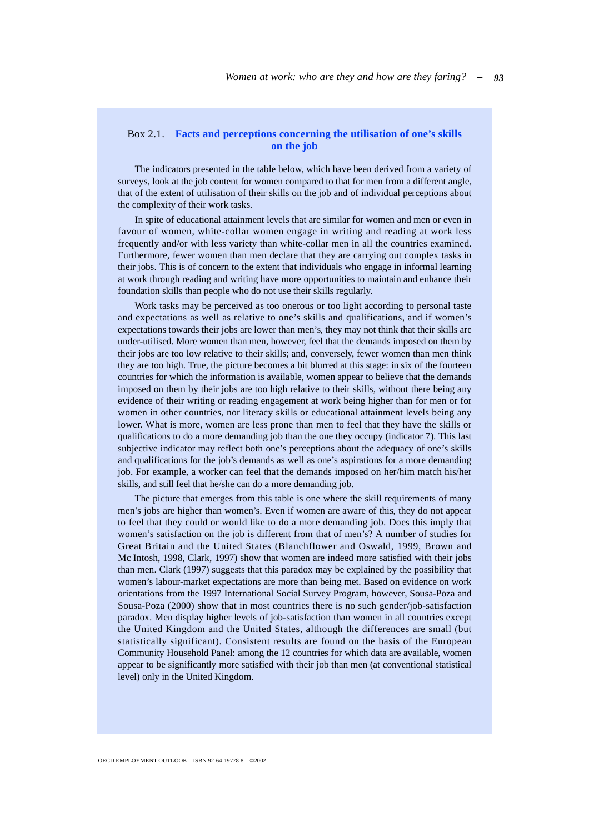## <span id="page-32-0"></span>Box 2.1. **Facts and perceptions concerning the utilisation of one's skills on the job**

The indicators presented in the table below, which have been derived from a variety of surveys, look at the job content for women compared to that for men from a different angle, that of the extent of utilisation of their skills on the job and of individual perceptions about the complexity of their work tasks.

In spite of educational attainment levels that are similar for women and men or even in favour of women, white-collar women engage in writing and reading at work less frequently and/or with less variety than white-collar men in all the countries examined. Furthermore, fewer women than men declare that they are carrying out complex tasks in their jobs. This is of concern to the extent that individuals who engage in informal learning at work through reading and writing have more opportunities to maintain and enhance their foundation skills than people who do not use their skills regularly.

Work tasks may be perceived as too onerous or too light according to personal taste and expectations as well as relative to one's skills and qualifications, and if women's expectations towards their jobs are lower than men's, they may not think that their skills are under-utilised. More women than men, however, feel that the demands imposed on them by their jobs are too low relative to their skills; and, conversely, fewer women than men think they are too high. True, the picture becomes a bit blurred at this stage: in six of the fourteen countries for which the information is available, women appear to believe that the demands imposed on them by their jobs are too high relative to their skills, without there being any evidence of their writing or reading engagement at work being higher than for men or for women in other countries, nor literacy skills or educational attainment levels being any lower. What is more, women are less prone than men to feel that they have the skills or qualifications to do a more demanding job than the one they occupy (indicator 7). This last subjective indicator may reflect both one's perceptions about the adequacy of one's skills and qualifications for the job's demands as well as one's aspirations for a more demanding job. For example, a worker can feel that the demands imposed on her/him match his/her skills, and still feel that he/she can do a more demanding job.

The picture that emerges from this table is one where the skill requirements of many men's jobs are higher than women's. Even if women are aware of this, they do not appear to feel that they could or would like to do a more demanding job. Does this imply that women's satisfaction on the job is different from that of men's? A number of studies for Great Britain and the United States (Blanchflower and Oswald, 1999, Brown and Mc Intosh, 1998, Clark, 1997) show that women are indeed more satisfied with their jobs than men. Clark (1997) suggests that this paradox may be explained by the possibility that women's labour-market expectations are more than being met. Based on evidence on work orientations from the 1997 International Social Survey Program, however, Sousa-Poza and Sousa-Poza (2000) show that in most countries there is no such gender/job-satisfaction paradox. Men display higher levels of job-satisfaction than women in all countries except the United Kingdom and the United States, although the differences are small (but statistically significant). Consistent results are found on the basis of the European Community Household Panel: among the 12 countries for which data are available, women appear to be significantly more satisfied with their job than men (at conventional statistical level) only in the United Kingdom.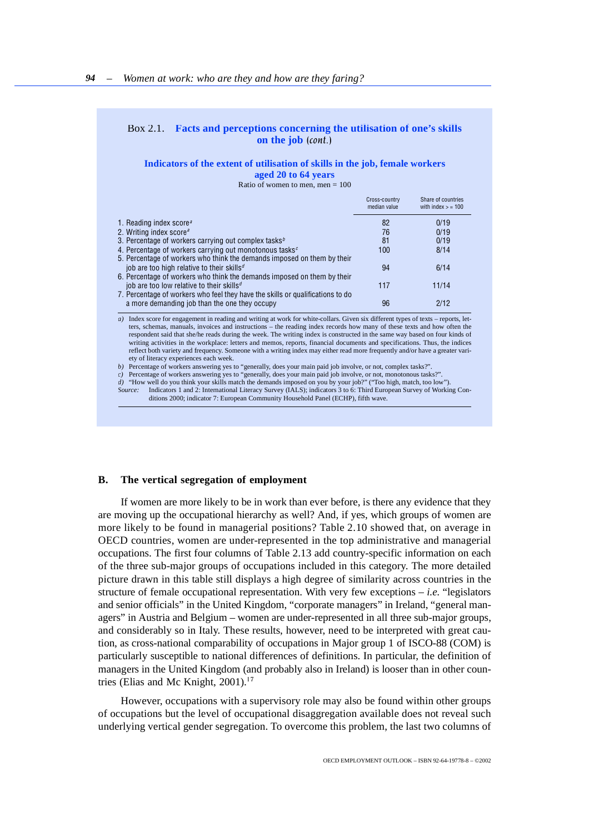## Box 2.1. **Facts and perceptions concerning the utilisation of one's skills on the job** *(cont.)*

### **Indicators of the extent of utilisation of skills in the job, female workers aged 20 to 64 years**

Ratio of women to men, men  $= 100$ 

|                                                                                | Cross-country<br>median value | Share of countries<br>with index $>$ = 100 |
|--------------------------------------------------------------------------------|-------------------------------|--------------------------------------------|
| 1. Reading index score <sup><math>a</math></sup>                               | 82                            | 0/19                                       |
| 2. Writing index score <sup>a</sup>                                            | 76                            | 0/19                                       |
| 3. Percentage of workers carrying out complex tasks <sup>b</sup>               | 81                            | 0/19                                       |
| 4. Percentage of workers carrying out monotonous tasks <sup>c</sup>            | 100                           | 8/14                                       |
| 5. Percentage of workers who think the demands imposed on them by their        |                               |                                            |
| job are too high relative to their skills <sup>d</sup>                         | 94                            | 6/14                                       |
| 6. Percentage of workers who think the demands imposed on them by their        |                               |                                            |
| job are too low relative to their skills <sup>d</sup>                          | 117                           | 11/14                                      |
| 7. Percentage of workers who feel they have the skills or qualifications to do |                               |                                            |
| a more demanding job than the one they occupy                                  | 96                            | 2/12                                       |
|                                                                                |                               |                                            |

*a)* Index score for engagement in reading and writing at work for white-collars. Given six different types of texts – reports, letters, schemas, manuals, invoices and instructions – the reading index records how many of these texts and how often the<br>respondent said that she/he reads during the week. The writing index is constructed in the same way ba writing activities in the workplace: letters and memos, reports, financial documents and specifications. Thus, the indices reflect both variety and frequency. Someone with a writing index may either read more frequently and/or have a greater variety of literacy experiences each week.

*b*) Percentage of workers answering yes to "generally, does your main paid job involve, or not, complex tasks?"

*c)* Percentage of workers answering yes to "generally, does your main paid job involve, or not, monotonous tasks?".

*d*) "How well do you think your skills match the demands imposed on you by your job?" ("Too high, match, too low").

*Source:* Indicators 1 and 2: International Literacy Survey (IALS); indicators 3 to 6: Third European Survey of Working Conditions 2000; indicator 7: European Community Household Panel (ECHP), fifth wave.

### **B. The vertical segregation of employment**

If women are more likely to be in work than ever before, is there any evidence that they are moving up the occupational hierarchy as well? And, if yes, which groups of women are more likely to be found in managerial positions? Table 2.10 showed that, on average in OECD countries, women are under-represented in the top administrative and managerial occupations. The first four columns of Table 2.13 add country-specific information on each of the three sub-major groups of occupations included in this category. The more detailed picture drawn in this table still displays a high degree of similarity across countries in the structure of female occupational representation. With very few exceptions – *i.e.* "legislators and senior officials" in the United Kingdom, "corporate managers" in Ireland, "general managers" in Austria and Belgium – women are under-represented in all three sub-major groups, and considerably so in Italy. These results, however, need to be interpreted with great caution, as cross-national comparability of occupations in Major group 1 of ISCO-88 (COM) is particularly susceptible to national differences of definitions. In particular, the definition of managers in the United Kingdom (and probably also in Ireland) is looser than in other countries (Elias and Mc Knight, 2001).<sup>17</sup>

However, occupations with a supervisory role may also be found within other groups of occupations but the level of occupational disaggregation available does not reveal such underlying vertical gender segregation. To overcome this problem, the last two columns of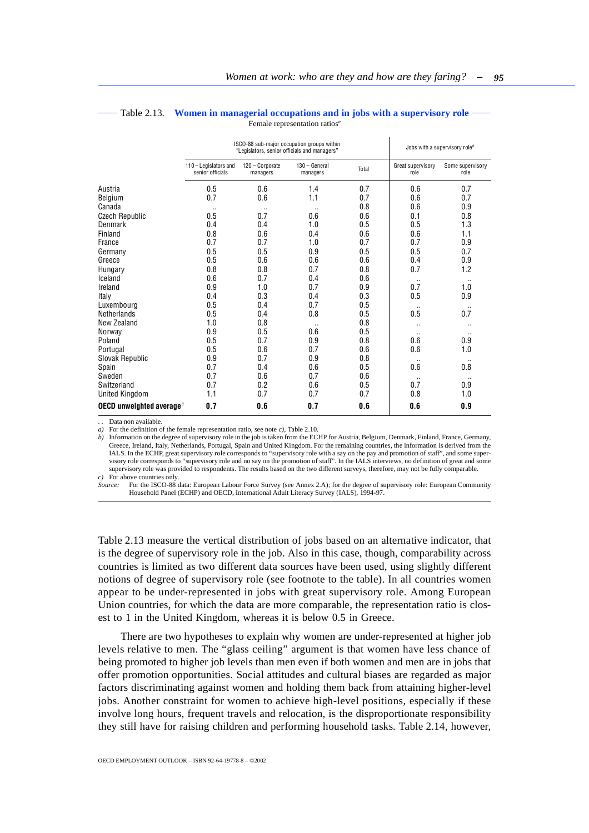|                             | ISCO-88 sub-major occupation groups within<br>"Legislators, senior officials and managers" |                             |                           |       | Jobs with a supervisory role <sup>b</sup> |                          |  |
|-----------------------------|--------------------------------------------------------------------------------------------|-----------------------------|---------------------------|-------|-------------------------------------------|--------------------------|--|
|                             | 110 - Legislators and<br>senior officials                                                  | 120 - Corporate<br>managers | 130 - General<br>managers | Total | Great supervisory<br>role                 | Some supervisory<br>role |  |
| Austria                     | 0.5                                                                                        | 0.6                         | 1.4                       | 0.7   | 0.6                                       | 0.7                      |  |
| Belgium                     | 0.7                                                                                        | 0.6                         | 1.1                       | 0.7   | 0.6                                       | 0.7                      |  |
| Canada                      | $\cdot$ .                                                                                  | $\cdot$ .                   | $\ddotsc$                 | 0.8   | 0.6                                       | 0.9                      |  |
| <b>Czech Republic</b>       | 0.5                                                                                        | 0.7                         | 0.6                       | 0.6   | 0.1                                       | 0.8                      |  |
| Denmark                     | 0.4                                                                                        | 0.4                         | 1.0                       | 0.5   | 0.5                                       | 1.3                      |  |
| Finland                     | 0.8                                                                                        | 0.6                         | 0.4                       | 0.6   | 0.6                                       | 1.1                      |  |
| France                      | 0.7                                                                                        | 0.7                         | 1.0                       | 0.7   | 0.7                                       | 0.9                      |  |
| Germany                     | 0.5                                                                                        | 0.5                         | 0.9                       | 0.5   | 0.5                                       | 0.7                      |  |
| Greece                      | 0.5                                                                                        | 0.6                         | 0.6                       | 0.6   | 0.4                                       | 0.9                      |  |
| Hungary                     | 0.8                                                                                        | 0.8                         | 0.7                       | 0.8   | 0.7                                       | 1.2                      |  |
| Iceland                     | 0.6                                                                                        | 0.7                         | 0.4                       | 0.6   | $\ldots$                                  | $\cdot$ .                |  |
| Ireland                     | 0.9                                                                                        | 1.0                         | 0.7                       | 0.9   | 0.7                                       | 1.0                      |  |
| Italy                       | 0.4                                                                                        | 0.3                         | 0.4                       | 0.3   | 0.5                                       | 0.9                      |  |
| Luxembourg                  | 0.5                                                                                        | 0.4                         | 0.7                       | 0.5   |                                           |                          |  |
| Netherlands                 | 0.5                                                                                        | 0.4                         | 0.8                       | 0.5   | 0.5                                       | 0.7                      |  |
| New Zealand                 | 1.0                                                                                        | 0.8                         | $\ldots$                  | 0.8   | $\cdot$ .                                 |                          |  |
| Norway                      | 0.9                                                                                        | 0.5                         | 0.6                       | 0.5   | $\cdot$ .                                 | $\cdot$ .                |  |
| Poland                      | 0.5                                                                                        | 0.7                         | 0.9                       | 0.8   | 0.6                                       | 0.9                      |  |
| Portugal                    | 0.5                                                                                        | 0.6                         | 0.7                       | 0.6   | 0.6                                       | 1.0                      |  |
| Slovak Republic             | 0.9                                                                                        | 0.7                         | 0.9                       | 0.8   |                                           | $\cdot$ .                |  |
| Spain                       | 0.7                                                                                        | 0.4                         | 0.6                       | 0.5   | 0.6                                       | 0.8                      |  |
| Sweden                      | 0.7                                                                                        | 0.6                         | 0.7                       | 0.6   |                                           |                          |  |
| Switzerland                 | 0.7                                                                                        | 0.2                         | 0.6                       | 0.5   | 0.7                                       | 0.9                      |  |
| United Kingdom              | 1.1                                                                                        | 0.7                         | 0.7                       | 0.7   | 0.8                                       | 1.0                      |  |
| OECD unweighted average $c$ | 0.7                                                                                        | 0.6                         | 0.7                       | 0.6   | 0.6                                       | 0.9                      |  |

#### <span id="page-34-0"></span>Table 2.13. **Women in managerial occupations and in jobs with a supervisory role** Female representation ratios*<sup>a</sup>*

. . Data non available.

*a)* For the definition of the female representation ratio, see note *c)*, Table 2.10.

*b*) Information on the degree of supervisory role in the job is taken from the ECHP for Austria, Belgium, Denmark, Finland, France, Germany, Greece, Ireland, Italy, Netherlands, Portugal, Spain and United Kingdom. For the remaining countries, the information is derived from the IALS. In the ECHP, great supervisory role corresponds to "supervisory role with a say on the pay and promotion of staff", and some supervisory role corresponds to "supervisory role and no say on the promotion of staff". In the IALS interviews, no definition of great and some supervisory role was provided to respondents. The results based on the two different surveys, therefore, may not be fully comparable.

*c)* For above countries only.

*Source:* For the ISCO-88 data: European Labour Force Survey (see Annex 2.A); for the degree of supervisory role: European Community Household Panel (ECHP) and OECD, International Adult Literacy Survey (IALS), 1994-97.

Table 2.13 measure the vertical distribution of jobs based on an alternative indicator, that is the degree of supervisory role in the job. Also in this case, though, comparability across countries is limited as two different data sources have been used, using slightly different notions of degree of supervisory role (see footnote to the table). In all countries women appear to be under-represented in jobs with great supervisory role. Among European Union countries, for which the data are more comparable, the representation ratio is closest to 1 in the United Kingdom, whereas it is below 0.5 in Greece.

There are two hypotheses to explain why women are under-represented at higher job levels relative to men. The "glass ceiling" argument is that women have less chance of being promoted to higher job levels than men even if both women and men are in jobs that offer promotion opportunities. Social attitudes and cultural biases are regarded as major factors discriminating against women and holding them back from attaining higher-level jobs. Another constraint for women to achieve high-level positions, especially if these involve long hours, frequent travels and relocation, is the disproportionate responsibility they still have for raising children and performing household tasks. Table 2.14, however,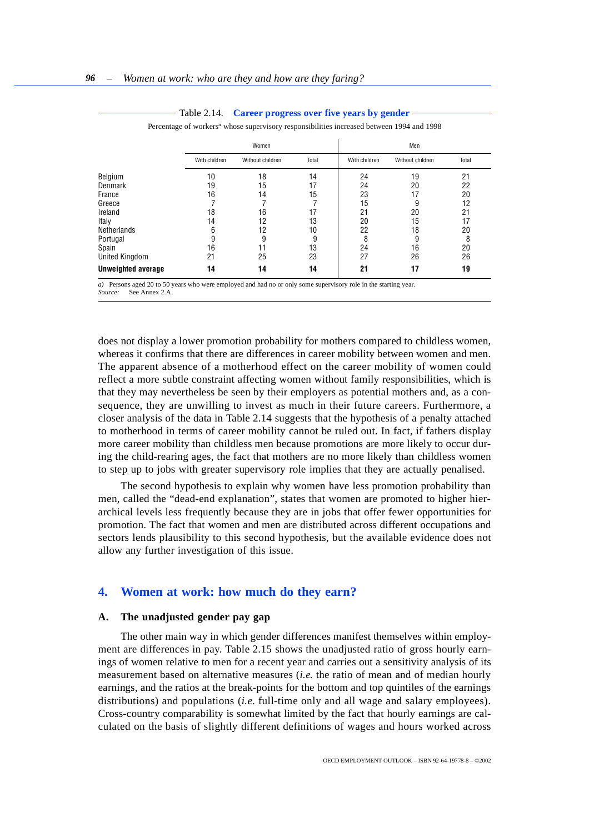<span id="page-35-1"></span><span id="page-35-0"></span>

|                           | Women         |                  |       |               | Men              |       |  |
|---------------------------|---------------|------------------|-------|---------------|------------------|-------|--|
|                           | With children | Without children | Total | With children | Without children | Total |  |
| Belgium                   | 10            | 18               | 14    | 24            | 19               | 21    |  |
| Denmark                   | 19            | 15               | 17    | 24            | 20               | 22    |  |
| France                    | 16            | 14               | 15    | 23            | 17               | 20    |  |
| Greece                    |               |                  |       | 15            | 9                | 12    |  |
| Ireland                   | 18            | 16               | 17    | 21            | 20               | 21    |  |
| Italy                     | 14            | 12               | 13    | 20            | 15               | 17    |  |
| Netherlands               | 6             | 12               | 10    | 22            | 18               | 20    |  |
| Portugal                  | 9             | 9                | 9     | 8             | 9                | 8     |  |
| Spain                     | 16            |                  | 13    | 24            | 16               | 20    |  |
| United Kingdom            | 21            | 25               | 23    | 27            | 26               | 26    |  |
| <b>Unweighted average</b> | 14            | 14               | 14    | 21            | 17               | 19    |  |

#### Table 2.14. **Career progress over five years by gender**

Percentage of workers<sup>a</sup> whose supervisory responsibilities increased between 1994 and 1998

*a*) Persons aged 20 to 50 years who were employed and had no or only some supervisory role in the starting year. *Source:* See Annex 2.A.

does not display a lower promotion probability for mothers compared to childless women, whereas it confirms that there are differences in career mobility between women and men. The apparent absence of a motherhood effect on the career mobility of women could reflect a more subtle constraint affecting women without family responsibilities, which is that they may nevertheless be seen by their employers as potential mothers and, as a consequence, they are unwilling to invest as much in their future careers. Furthermore, a closer analysis of the data in Table 2.14 suggests that the hypothesis of a penalty attached to motherhood in terms of career mobility cannot be ruled out. In fact, if fathers display more career mobility than childless men because promotions are more likely to occur during the child-rearing ages, the fact that mothers are no more likely than childless women to step up to jobs with greater supervisory role implies that they are actually penalised.

The second hypothesis to explain why women have less promotion probability than men, called the "dead-end explanation", states that women are promoted to higher hierarchical levels less frequently because they are in jobs that offer fewer opportunities for promotion. The fact that women and men are distributed across different occupations and sectors lends plausibility to this second hypothesis, but the available evidence does not allow any further investigation of this issue.

## **4. Women at work: how much do they earn?**

### **A. The unadjusted gender pay gap**

The other main way in which gender differences manifest themselves within employment are differences in pay. Table 2.15 shows the unadjusted ratio of gross hourly earnings of women relative to men for a recent year and carries out a sensitivity analysis of its measurement based on alternative measures (*i.e.* the ratio of mean and of median hourly earnings, and the ratios at the break-points for the bottom and top quintiles of the earnings distributions) and populations (*i.e.* full-time only and all wage and salary employees). Cross-country comparability is somewhat limited by the fact that hourly earnings are calculated on the basis of slightly different definitions of wages and hours worked across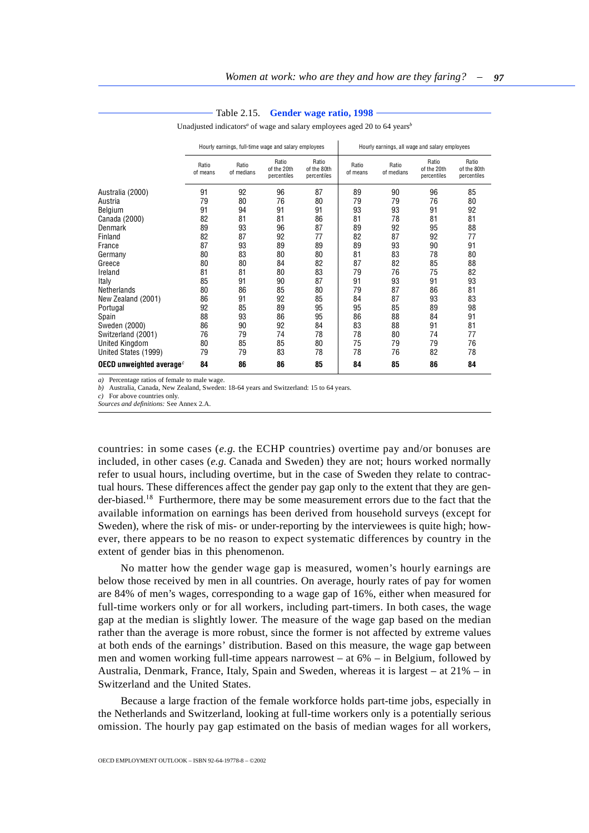<span id="page-36-0"></span>

|                             | Hourly earnings, full-time wage and salary employees |                     |                                     |                                     | Hourly earnings, all wage and salary employees |                     |                                     |                                     |
|-----------------------------|------------------------------------------------------|---------------------|-------------------------------------|-------------------------------------|------------------------------------------------|---------------------|-------------------------------------|-------------------------------------|
|                             | Ratio<br>of means                                    | Ratio<br>of medians | Ratio<br>of the 20th<br>percentiles | Ratio<br>of the 80th<br>percentiles | Ratio<br>of means                              | Ratio<br>of medians | Ratio<br>of the 20th<br>percentiles | Ratio<br>of the 80th<br>percentiles |
| Australia (2000)            | 91                                                   | 92                  | 96                                  | 87                                  | 89                                             | 90                  | 96                                  | 85                                  |
| Austria                     | 79                                                   | 80                  | 76                                  | 80                                  | 79                                             | 79                  | 76                                  | 80                                  |
| Belgium                     | 91                                                   | 94                  | 91                                  | 91                                  | 93                                             | 93                  | 91                                  | 92                                  |
| Canada (2000)               | 82                                                   | 81                  | 81                                  | 86                                  | 81                                             | 78                  | 81                                  | 81                                  |
| Denmark                     | 89                                                   | 93                  | 96                                  | 87                                  | 89                                             | 92                  | 95                                  | 88                                  |
| Finland                     | 82                                                   | 87                  | 92                                  | 77                                  | 82                                             | 87                  | 92                                  | 77                                  |
| France                      | 87                                                   | 93                  | 89                                  | 89                                  | 89                                             | 93                  | 90                                  | 91                                  |
| Germany                     | 80                                                   | 83                  | 80                                  | 80                                  | 81                                             | 83                  | 78                                  | 80                                  |
| Greece                      | 80                                                   | 80                  | 84                                  | 82                                  | 87                                             | 82                  | 85                                  | 88                                  |
| Ireland                     | 81                                                   | 81                  | 80                                  | 83                                  | 79                                             | 76                  | 75                                  | 82                                  |
| Italy                       | 85                                                   | 91                  | 90                                  | 87                                  | 91                                             | 93                  | 91                                  | 93                                  |
| Netherlands                 | 80                                                   | 86                  | 85                                  | 80                                  | 79                                             | 87                  | 86                                  | 81                                  |
| New Zealand (2001)          | 86                                                   | 91                  | 92                                  | 85                                  | 84                                             | 87                  | 93                                  | 83                                  |
| Portugal                    | 92                                                   | 85                  | 89                                  | 95                                  | 95                                             | 85                  | 89                                  | 98                                  |
| Spain                       | 88                                                   | 93                  | 86                                  | 95                                  | 86                                             | 88                  | 84                                  | 91                                  |
| Sweden (2000)               | 86                                                   | 90                  | 92                                  | 84                                  | 83                                             | 88                  | 91                                  | 81                                  |
| Switzerland (2001)          | 76                                                   | 79                  | 74                                  | 78                                  | 78                                             | 80                  | 74                                  | 77                                  |
| United Kingdom              | 80                                                   | 85                  | 85                                  | 80                                  | 75                                             | 79                  | 79                                  | 76                                  |
| United States (1999)        | 79                                                   | 79                  | 83                                  | 78                                  | 78                                             | 76                  | 82                                  | 78                                  |
| OECD unweighted average $c$ | 84                                                   | 86                  | 86                                  | 85                                  | 84                                             | 85                  | 86                                  | 84                                  |

#### Table 2.15. **Gender wage ratio, 1998**

Unadjusted indicators<sup>a</sup> of wage and salary employees aged 20 to 64 years<sup>b</sup>

*a)* Percentage ratios of female to male wage.

*b)* Australia, Canada, New Zealand, Sweden: 18-64 years and Switzerland: 15 to 64 years.

*c)* For above countries only.

*Sources and definitions:* See Annex 2.A.

countries: in some cases (*e.g.* the ECHP countries) overtime pay and/or bonuses are included, in other cases (*e.g.* Canada and Sweden) they are not; hours worked normally refer to usual hours, including overtime, but in the case of Sweden they relate to contractual hours. These differences affect the gender pay gap only to the extent that they are gender-biased.<sup>18</sup> Furthermore, there may be some measurement errors due to the fact that the available information on earnings has been derived from household surveys (except for Sweden), where the risk of mis- or under-reporting by the interviewees is quite high; however, there appears to be no reason to expect systematic differences by country in the extent of gender bias in this phenomenon.

No matter how the gender wage gap is measured, women's hourly earnings are below those received by men in all countries. On average, hourly rates of pay for women are 84% of men's wages, corresponding to a wage gap of 16%, either when measured for full-time workers only or for all workers, including part-timers. In both cases, the wage gap at the median is slightly lower. The measure of the wage gap based on the median rather than the average is more robust, since the former is not affected by extreme values at both ends of the earnings' distribution. Based on this measure, the wage gap between men and women working full-time appears narrowest – at 6% – in Belgium, followed by Australia, Denmark, France, Italy, Spain and Sweden, whereas it is largest – at 21% – in Switzerland and the United States.

Because a large fraction of the female workforce holds part-time jobs, especially in the Netherlands and Switzerland, looking at full-time workers only is a potentially serious omission. The hourly pay gap estimated on the basis of median wages for all workers,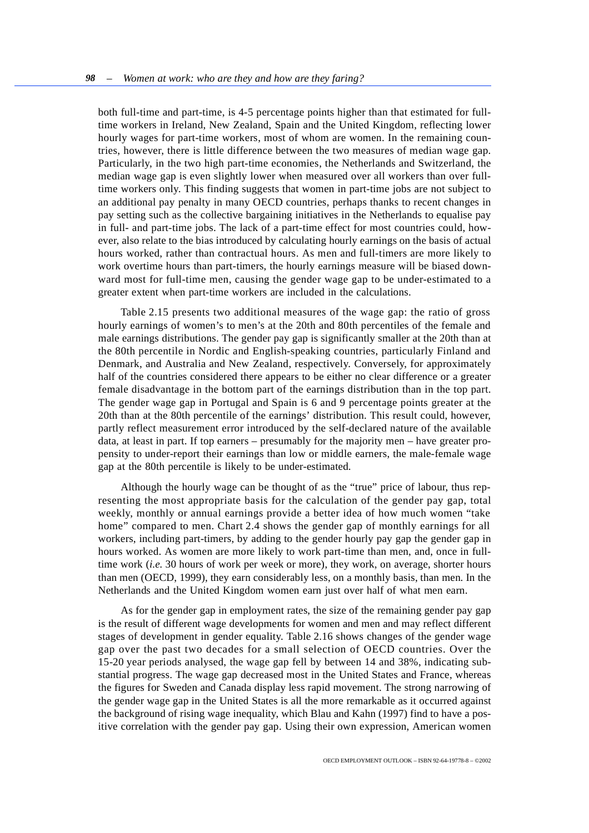both full-time and part-time, is 4-5 percentage points higher than that estimated for fulltime workers in Ireland, New Zealand, Spain and the United Kingdom, reflecting lower hourly wages for part-time workers, most of whom are women. In the remaining countries, however, there is little difference between the two measures of median wage gap. Particularly, in the two high part-time economies, the Netherlands and Switzerland, the median wage gap is even slightly lower when measured over all workers than over fulltime workers only. This finding suggests that women in part-time jobs are not subject to an additional pay penalty in many OECD countries, perhaps thanks to recent changes in pay setting such as the collective bargaining initiatives in the Netherlands to equalise pay in full- and part-time jobs. The lack of a part-time effect for most countries could, however, also relate to the bias introduced by calculating hourly earnings on the basis of actual hours worked, rather than contractual hours. As men and full-timers are more likely to work overtime hours than part-timers, the hourly earnings measure will be biased downward most for full-time men, causing the gender wage gap to be under-estimated to a greater extent when part-time workers are included in the calculations.

Table 2.15 presents two additional measures of the wage gap: the ratio of gross hourly earnings of women's to men's at the 20th and 80th percentiles of the female and male earnings distributions. The gender pay gap is significantly smaller at the 20th than at the 80th percentile in Nordic and English-speaking countries, particularly Finland and Denmark, and Australia and New Zealand, respectively. Conversely, for approximately half of the countries considered there appears to be either no clear difference or a greater female disadvantage in the bottom part of the earnings distribution than in the top part. The gender wage gap in Portugal and Spain is 6 and 9 percentage points greater at the 20th than at the 80th percentile of the earnings' distribution. This result could, however, partly reflect measurement error introduced by the self-declared nature of the available data, at least in part. If top earners – presumably for the majority men – have greater propensity to under-report their earnings than low or middle earners, the male-female wage gap at the 80th percentile is likely to be under-estimated.

Although the hourly wage can be thought of as the "true" price of labour, thus representing the most appropriate basis for the calculation of the gender pay gap, total weekly, monthly or annual earnings provide a better idea of how much women "take home" compared to men. Chart 2.4 shows the gender gap of monthly earnings for all workers, including part-timers, by adding to the gender hourly pay gap the gender gap in hours worked. As women are more likely to work part-time than men, and, once in fulltime work (*i.e.* 30 hours of work per week or more), they work, on average, shorter hours than men (OECD, 1999), they earn considerably less, on a monthly basis, than men. In the Netherlands and the United Kingdom women earn just over half of what men earn.

As for the gender gap in employment rates, the size of the remaining gender pay gap is the result of different wage developments for women and men and may reflect different stages of development in gender equality. Table 2.16 shows changes of the gender wage gap over the past two decades for a small selection of OECD countries. Over the 15-20 year periods analysed, the wage gap fell by between 14 and 38%, indicating substantial progress. The wage gap decreased most in the United States and France, whereas the figures for Sweden and Canada display less rapid movement. The strong narrowing of the gender wage gap in the United States is all the more remarkable as it occurred against the background of rising wage inequality, which Blau and Kahn (1997) find to have a positive correlation with the gender pay gap. Using their own expression, American women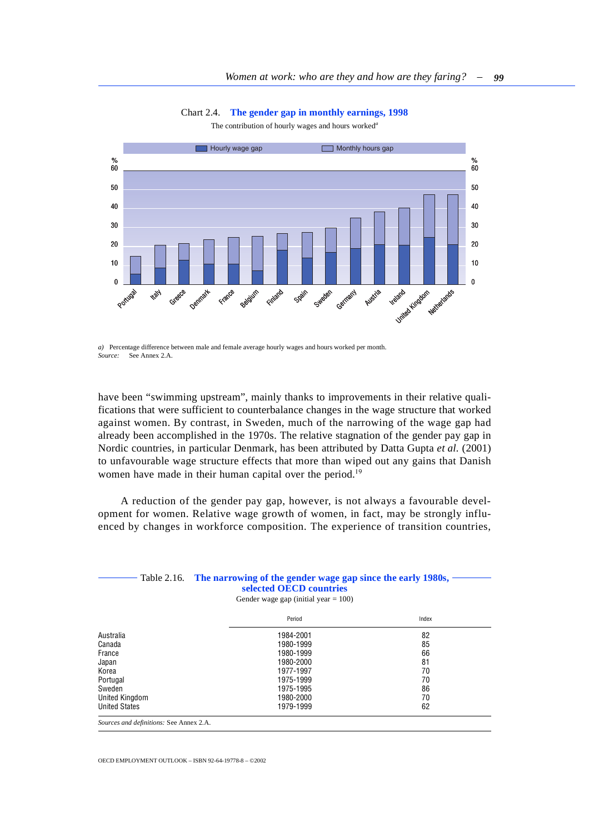Chart 2.4. **The gender gap in monthly earnings, 1998**

The contribution of hourly wages and hours worked*<sup>a</sup>*

<span id="page-38-0"></span>

*a)* Percentage difference between male and female average hourly wages and hours worked per month. *Source:* See Annex 2.A.

have been "swimming upstream", mainly thanks to improvements in their relative qualifications that were sufficient to counterbalance changes in the wage structure that worked against women. By contrast, in Sweden, much of the narrowing of the wage gap had already been accomplished in the 1970s. The relative stagnation of the gender pay gap in Nordic countries, in particular Denmark, has been attributed by Datta Gupta *et al.* (2001) to unfavourable wage structure effects that more than wiped out any gains that Danish women have made in their human capital over the period.<sup>19</sup>

A reduction of the gender pay gap, however, is not always a favourable development for women. Relative wage growth of women, in fact, may be strongly influenced by changes in workforce composition. The experience of transition countries,

### Table 2.16. **The narrowing of the gender wage gap since the early 1980s, selected OECD countries**

Gender wage gap (initial year  $= 100$ )

|                      | Period    | Index |
|----------------------|-----------|-------|
| Australia            | 1984-2001 | 82    |
| Canada               | 1980-1999 | 85    |
| France               | 1980-1999 | 66    |
| Japan                | 1980-2000 | 81    |
| Korea                | 1977-1997 | 70    |
| Portugal             | 1975-1999 | 70    |
| Sweden               | 1975-1995 | 86    |
| United Kingdom       | 1980-2000 | 70    |
| <b>United States</b> | 1979-1999 | 62    |
|                      |           |       |

*Sources and definitions:* See Annex 2.A.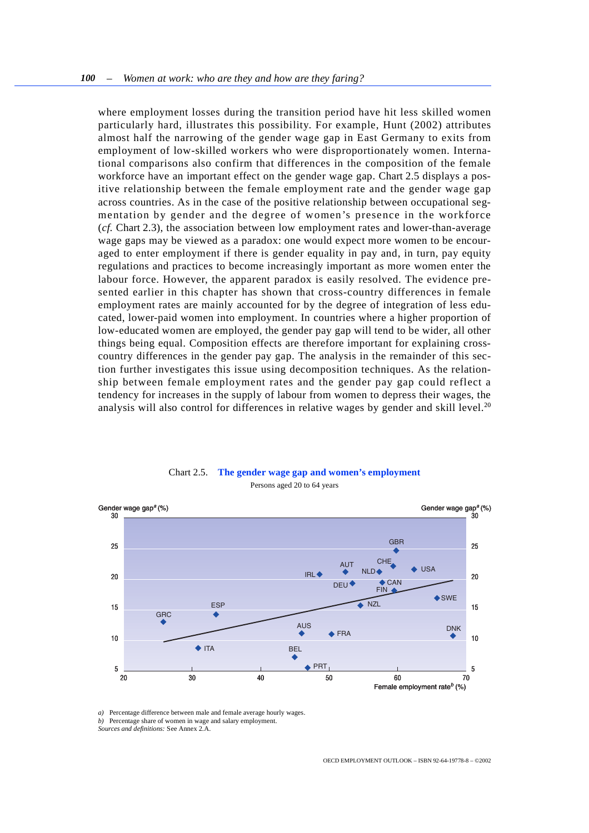<span id="page-39-0"></span>where employment losses during the transition period have hit less skilled women particularly hard, illustrates this possibility. For example, Hunt (2002) attributes almost half the narrowing of the gender wage gap in East Germany to exits from employment of low-skilled workers who were disproportionately women. International comparisons also confirm that differences in the composition of the female workforce have an important effect on the gender wage gap. Chart 2.5 displays a positive relationship between the female employment rate and the gender wage gap across countries. As in the case of the positive relationship between occupational segmentation by gender and the degree of women's presence in the workforce (*cf.* Chart 2.3), the association between low employment rates and lower-than-average wage gaps may be viewed as a paradox: one would expect more women to be encouraged to enter employment if there is gender equality in pay and, in turn, pay equity regulations and practices to become increasingly important as more women enter the labour force. However, the apparent paradox is easily resolved. The evidence presented earlier in this chapter has shown that cross-country differences in female employment rates are mainly accounted for by the degree of integration of less educated, lower-paid women into employment. In countries where a higher proportion of low-educated women are employed, the gender pay gap will tend to be wider, all other things being equal. Composition effects are therefore important for explaining crosscountry differences in the gender pay gap. The analysis in the remainder of this section further investigates this issue using decomposition techniques. As the relationship between female employment rates and the gender pay gap could reflect a tendency for increases in the supply of labour from women to depress their wages, the analysis will also control for differences in relative wages by gender and skill level.<sup>20</sup>



## Chart 2.5. **The gender wage gap and women's employment** Persons aged 20 to 64 years

*a)* Percentage difference between male and female average hourly wages.

*Sources and definitions:* See Annex 2.A.

*b)* Percentage share of women in wage and salary employment.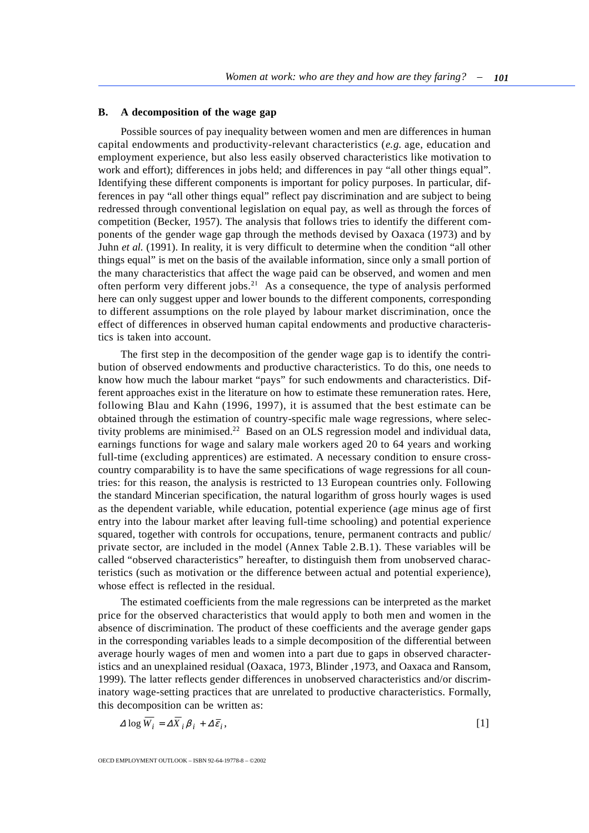## **B. A decomposition of the wage gap**

Possible sources of pay inequality between women and men are differences in human capital endowments and productivity-relevant characteristics (*e.g.* age, education and employment experience, but also less easily observed characteristics like motivation to work and effort); differences in jobs held; and differences in pay "all other things equal". Identifying these different components is important for policy purposes. In particular, differences in pay "all other things equal" reflect pay discrimination and are subject to being redressed through conventional legislation on equal pay, as well as through the forces of competition (Becker, 1957). The analysis that follows tries to identify the different components of the gender wage gap through the methods devised by Oaxaca (1973) and by Juhn *et al.* (1991). In reality, it is very difficult to determine when the condition "all other things equal" is met on the basis of the available information, since only a small portion of the many characteristics that affect the wage paid can be observed, and women and men often perform very different jobs.<sup>21</sup> As a consequence, the type of analysis performed here can only suggest upper and lower bounds to the different components, corresponding to different assumptions on the role played by labour market discrimination, once the effect of differences in observed human capital endowments and productive characteristics is taken into account.

The first step in the decomposition of the gender wage gap is to identify the contribution of observed endowments and productive characteristics. To do this, one needs to know how much the labour market "pays" for such endowments and characteristics. Different approaches exist in the literature on how to estimate these remuneration rates. Here, following Blau and Kahn (1996, 1997), it is assumed that the best estimate can be obtained through the estimation of country-specific male wage regressions, where selectivity problems are minimised.<sup>22</sup> Based on an OLS regression model and individual data, earnings functions for wage and salary male workers aged 20 to 64 years and working full-time (excluding apprentices) are estimated. A necessary condition to ensure crosscountry comparability is to have the same specifications of wage regressions for all countries: for this reason, the analysis is restricted to 13 European countries only. Following the standard Mincerian specification, the natural logarithm of gross hourly wages is used as the dependent variable, while education, potential experience (age minus age of first entry into the labour market after leaving full-time schooling) and potential experience squared, together with controls for occupations, tenure, permanent contracts and public/ private sector, are included in the model (Annex Table 2.B.1). These variables will be called "observed characteristics" hereafter, to distinguish them from unobserved characteristics (such as motivation or the difference between actual and potential experience), whose effect is reflected in the residual.

The estimated coefficients from the male regressions can be interpreted as the market price for the observed characteristics that would apply to both men and women in the absence of discrimination. The product of these coefficients and the average gender gaps in the corresponding variables leads to a simple decomposition of the differential between average hourly wages of men and women into a part due to gaps in observed characteristics and an unexplained residual (Oaxaca, 1973, Blinder ,1973, and Oaxaca and Ransom, 1999). The latter reflects gender differences in unobserved characteristics and/or discriminatory wage-setting practices that are unrelated to productive characteristics. Formally, this decomposition can be written as:

$$
\Delta \log W_i = \Delta X_i \beta_i + \Delta \bar{\epsilon}_i, \tag{1}
$$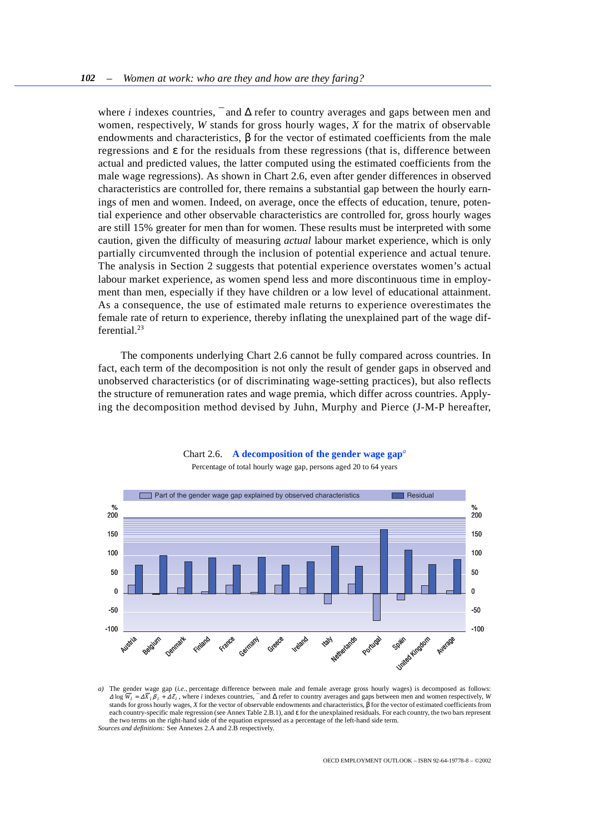<span id="page-41-0"></span>where *i* indexes countries,  $\bar{}$  and  $\Delta$  refer to country averages and gaps between men and women, respectively, *W* stands for gross hourly wages, *X* for the matrix of observable endowments and characteristics,  $\beta$  for the vector of estimated coefficients from the male regressions and ε for the residuals from these regressions (that is, difference between actual and predicted values, the latter computed using the estimated coefficients from the male wage regressions). As shown in Chart 2.6, even after gender differences in observed characteristics are controlled for, there remains a substantial gap between the hourly earnings of men and women. Indeed, on average, once the effects of education, tenure, potential experience and other observable characteristics are controlled for, gross hourly wages are still 15% greater for men than for women. These results must be interpreted with some caution, given the difficulty of measuring *actual* labour market experience, which is only partially circumvented through the inclusion of potential experience and actual tenure. The analysis in Section 2 suggests that potential experience overstates women's actual labour market experience, as women spend less and more discontinuous time in employment than men, especially if they have children or a low level of educational attainment. As a consequence, the use of estimated male returns to experience overestimates the female rate of return to experience, thereby inflating the unexplained part of the wage differential.<sup>23</sup>

The components underlying Chart 2.6 cannot be fully compared across countries. In fact, each term of the decomposition is not only the result of gender gaps in observed and unobserved characteristics (or of discriminating wage-setting practices), but also reflects the structure of remuneration rates and wage premia, which differ across countries. Applying the decomposition method devised by Juhn, Murphy and Pierce (J-M-P hereafter,



### Chart 2.6. **A decomposition of the gender wage gap***<sup>a</sup>*

Percentage of total hourly wage gap, persons aged 20 to 64 years

*a)* The gender wage gap (*i.e.,* percentage difference between male and female average gross hourly wages) is decomposed as follows:  $\Delta$  log  $W_i = \Delta X_i \beta_i + \Delta \bar{\epsilon}_i$ , where *i* indexes countries,  $\bar{\epsilon}$  and  $\Delta$  refer to country averages and gaps between men and women respectively, *W* stands for gross hourly wages, *X* for the vector of observable endowments and characteristics, β for the vector of estimated coefficients from each country-specific male regression (see Annex Table 2.B.1), and ε for the unexplained residuals. For each country, the two bars represent the two terms on the right-hand side of the equation expressed as a percentage of the left-hand side term. *Sources and definitions:* See Annexes 2.A and 2.B respectively.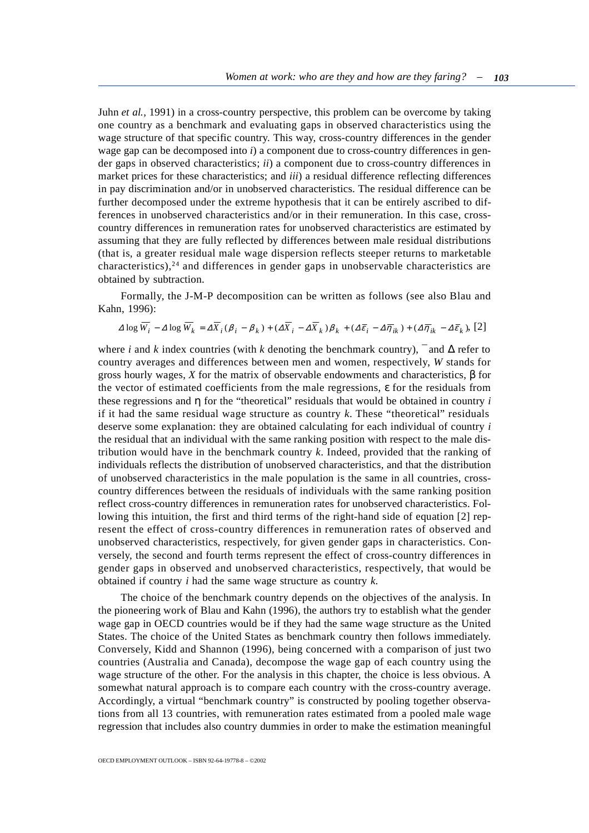Juhn *et al.*, 1991) in a cross-country perspective, this problem can be overcome by taking one country as a benchmark and evaluating gaps in observed characteristics using the wage structure of that specific country. This way, cross-country differences in the gender wage gap can be decomposed into *i*) a component due to cross-country differences in gender gaps in observed characteristics; *ii*) a component due to cross-country differences in market prices for these characteristics; and *iii*) a residual difference reflecting differences in pay discrimination and/or in unobserved characteristics. The residual difference can be further decomposed under the extreme hypothesis that it can be entirely ascribed to differences in unobserved characteristics and/or in their remuneration. In this case, crosscountry differences in remuneration rates for unobserved characteristics are estimated by assuming that they are fully reflected by differences between male residual distributions (that is, a greater residual male wage dispersion reflects steeper returns to marketable characteristics),<sup>24</sup> and differences in gender gaps in unobservable characteristics are obtained by subtraction.

Formally, the J-M-P decomposition can be written as follows (see also Blau and Kahn, 1996):

$$
\Delta \log \overline{W_i} - \Delta \log \overline{W_k} = \Delta \overline{X}_i (\beta_i - \beta_k) + (\Delta \overline{X}_i - \Delta \overline{X}_k) \beta_k + (\Delta \overline{\epsilon}_i - \Delta \overline{\eta}_{ik}) + (\Delta \overline{\eta}_{ik} - \Delta \overline{\epsilon}_k), [2]
$$

where *i* and *k* index countries (with *k* denoting the benchmark country),  $\bar{ }$  and  $\Delta$  refer to country averages and differences between men and women, respectively, *W* stands for gross hourly wages, *X* for the matrix of observable endowments and characteristics, β for the vector of estimated coefficients from the male regressions, ε for the residuals from these regressions and η for the "theoretical" residuals that would be obtained in country *i* if it had the same residual wage structure as country *k*. These "theoretical" residuals deserve some explanation: they are obtained calculating for each individual of country *i* the residual that an individual with the same ranking position with respect to the male distribution would have in the benchmark country *k*. Indeed, provided that the ranking of individuals reflects the distribution of unobserved characteristics, and that the distribution of unobserved characteristics in the male population is the same in all countries, crosscountry differences between the residuals of individuals with the same ranking position reflect cross-country differences in remuneration rates for unobserved characteristics. Following this intuition, the first and third terms of the right-hand side of equation [2] represent the effect of cross-country differences in remuneration rates of observed and unobserved characteristics, respectively, for given gender gaps in characteristics. Conversely, the second and fourth terms represent the effect of cross-country differences in gender gaps in observed and unobserved characteristics, respectively, that would be obtained if country *i* had the same wage structure as country *k*.

The choice of the benchmark country depends on the objectives of the analysis. In the pioneering work of Blau and Kahn (1996), the authors try to establish what the gender wage gap in OECD countries would be if they had the same wage structure as the United States. The choice of the United States as benchmark country then follows immediately. Conversely, Kidd and Shannon (1996), being concerned with a comparison of just two countries (Australia and Canada), decompose the wage gap of each country using the wage structure of the other. For the analysis in this chapter, the choice is less obvious. A somewhat natural approach is to compare each country with the cross-country average. Accordingly, a virtual "benchmark country" is constructed by pooling together observations from all 13 countries, with remuneration rates estimated from a pooled male wage regression that includes also country dummies in order to make the estimation meaningful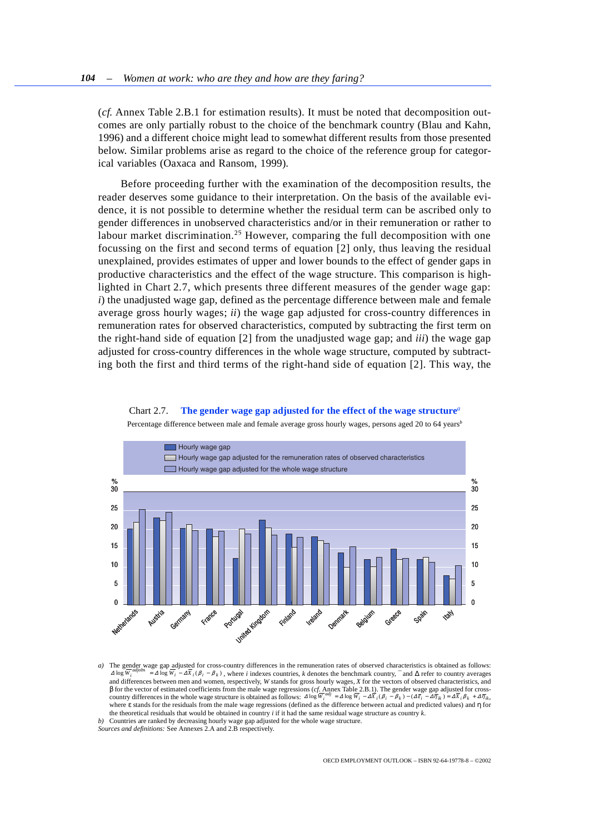<span id="page-43-0"></span>(*cf.* Annex Table 2.B.1 for estimation results). It must be noted that decomposition outcomes are only partially robust to the choice of the benchmark country (Blau and Kahn, 1996) and a different choice might lead to somewhat different results from those presented below. Similar problems arise as regard to the choice of the reference group for categorical variables (Oaxaca and Ransom, 1999).

Before proceeding further with the examination of the decomposition results, the reader deserves some guidance to their interpretation. On the basis of the available evidence, it is not possible to determine whether the residual term can be ascribed only to gender differences in unobserved characteristics and/or in their remuneration or rather to labour market discrimination.<sup>25</sup> However, comparing the full decomposition with one focussing on the first and second terms of equation [2] only, thus leaving the residual unexplained, provides estimates of upper and lower bounds to the effect of gender gaps in productive characteristics and the effect of the wage structure. This comparison is highlighted in Chart 2.7, which presents three different measures of the gender wage gap: *i*) the unadjusted wage gap, defined as the percentage difference between male and female average gross hourly wages; *ii*) the wage gap adjusted for cross-country differences in remuneration rates for observed characteristics, computed by subtracting the first term on the right-hand side of equation [2] from the unadjusted wage gap; and *iii*) the wage gap adjusted for cross-country differences in the whole wage structure, computed by subtracting both the first and third terms of the right-hand side of equation [2]. This way, the





Percentage difference between male and female average gross hourly wages, persons aged 20 to 64 years*<sup>b</sup>*

*b)* Countries are ranked by decreasing hourly wage gap adjusted for the whole wage structure.

*a)* The gender wage gap adjusted for cross-country differences in the remuneration rates of observed characteristics is obtained as follows:  $\Delta \log W_i^{augobs} = \Delta \log W_i - \Delta X_i (\beta_i - \beta_k)$ , where *i* indexes countries, *k* denotes the benchmark country,  $\bar{ }$  and  $\Delta$  refer to country averages and differences between men and women, respectively, *W* stands for gross hourly wages, *X* for the vectors of observed characteristics, and β for the vector of estimated coefficients from the male wage regressions (*cf.* Annex Table 2.B.1). The gender wage gap adjusted for crosscountry differences in the whole wage structure is obtained as follows:  $4\log \overline{W_i}^{adj} = 4\log \overline{W_i} - 4\overline{X_i}(\beta_i - \beta_k) - (4\overline{\epsilon_i} - 4\overline{\eta_k}) = 4\overline{X_i}\beta_k + 4\overline{\eta_k}$ where ε stands for the residuals from the male wage regressions (defined as the difference between actual and predicted values) and η for the theoretical residuals that would be obtained in country *i* if it had the same residual wage structure as country *k*.

*Sources and definitions:* See Annexes 2.A and 2.B respectively.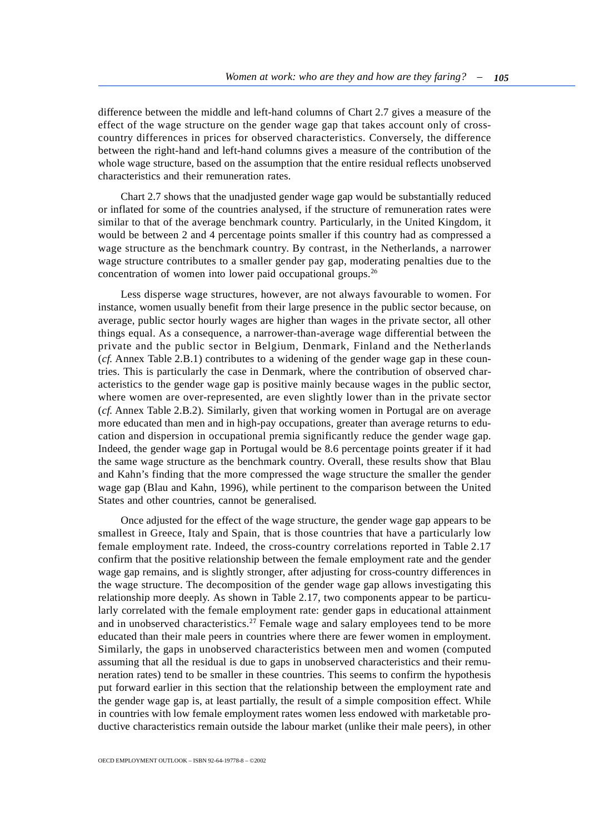difference between the middle and left-hand columns of Chart 2.7 gives a measure of the effect of the wage structure on the gender wage gap that takes account only of crosscountry differences in prices for observed characteristics. Conversely, the difference between the right-hand and left-hand columns gives a measure of the contribution of the whole wage structure, based on the assumption that the entire residual reflects unobserved characteristics and their remuneration rates.

Chart 2.7 shows that the unadjusted gender wage gap would be substantially reduced or inflated for some of the countries analysed, if the structure of remuneration rates were similar to that of the average benchmark country. Particularly, in the United Kingdom, it would be between 2 and 4 percentage points smaller if this country had as compressed a wage structure as the benchmark country. By contrast, in the Netherlands, a narrower wage structure contributes to a smaller gender pay gap, moderating penalties due to the concentration of women into lower paid occupational groups.<sup>26</sup>

Less disperse wage structures, however, are not always favourable to women. For instance, women usually benefit from their large presence in the public sector because, on average, public sector hourly wages are higher than wages in the private sector, all other things equal. As a consequence, a narrower-than-average wage differential between the private and the public sector in Belgium, Denmark, Finland and the Netherlands (*cf.* Annex Table 2.B.1) contributes to a widening of the gender wage gap in these countries. This is particularly the case in Denmark, where the contribution of observed characteristics to the gender wage gap is positive mainly because wages in the public sector, where women are over-represented, are even slightly lower than in the private sector (*cf.* Annex Table 2.B.2). Similarly, given that working women in Portugal are on average more educated than men and in high-pay occupations, greater than average returns to education and dispersion in occupational premia significantly reduce the gender wage gap. Indeed, the gender wage gap in Portugal would be 8.6 percentage points greater if it had the same wage structure as the benchmark country. Overall, these results show that Blau and Kahn's finding that the more compressed the wage structure the smaller the gender wage gap (Blau and Kahn, 1996), while pertinent to the comparison between the United States and other countries, cannot be generalised.

Once adjusted for the effect of the wage structure, the gender wage gap appears to be smallest in Greece, Italy and Spain, that is those countries that have a particularly low female employment rate. Indeed, the cross-country correlations reported in Table 2.17 confirm that the positive relationship between the female employment rate and the gender wage gap remains, and is slightly stronger, after adjusting for cross-country differences in the wage structure. The decomposition of the gender wage gap allows investigating this relationship more deeply. As shown in Table 2.17, two components appear to be particularly correlated with the female employment rate: gender gaps in educational attainment and in unobserved characteristics.<sup>27</sup> Female wage and salary employees tend to be more educated than their male peers in countries where there are fewer women in employment. Similarly, the gaps in unobserved characteristics between men and women (computed assuming that all the residual is due to gaps in unobserved characteristics and their remuneration rates) tend to be smaller in these countries. This seems to confirm the hypothesis put forward earlier in this section that the relationship between the employment rate and the gender wage gap is, at least partially, the result of a simple composition effect. While in countries with low female employment rates women less endowed with marketable productive characteristics remain outside the labour market (unlike their male peers), in other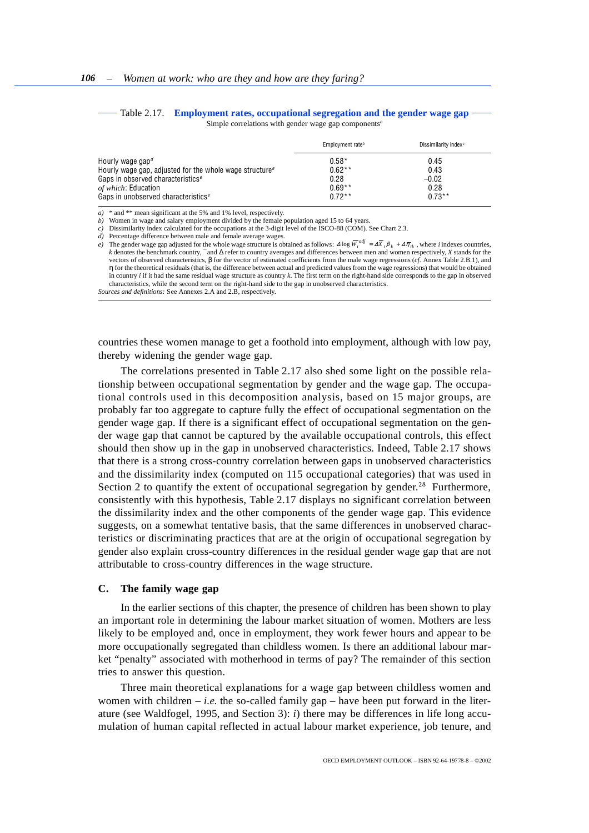#### <span id="page-45-0"></span>Table 2.17. **Employment rates, occupational segregation and the gender wage gap** Simple correlations with gender wage gap components*<sup>a</sup>*

|                                                                     | Employment rate <sup>b</sup> | Dissimilarity index <sup>c</sup> |
|---------------------------------------------------------------------|------------------------------|----------------------------------|
| Hourly wage gap <sup><math>d</math></sup>                           | $0.58*$                      | 0.45                             |
| Hourly wage gap, adjusted for the whole wage structure <sup>e</sup> | $0.62**$                     | 0.43                             |
| Gaps in observed characteristics <sup>e</sup>                       | 0.28                         | $-0.02$                          |
| of which: Education                                                 | $0.69**$                     | 0.28                             |
| Gaps in unobserved characteristics <sup>e</sup>                     | $0.72**$                     | $0.73***$                        |

*a)* \* and \*\* mean significant at the 5% and 1% level, respectively.

*b)* Women in wage and salary employment divided by the female population aged 15 to 64 years.

*c)* Dissimilarity index calculated for the occupations at the 3-digit level of the ISCO-88 (COM). See Chart 2.3.

*d)* Percentage difference between male and female average wages.

*e*) The gender wage gap adjusted for the whole wage structure is obtained as follows:  $\Delta \log \overline{W}_i^{adj} = \Delta \overline{X}_i \beta_k + \Delta \overline{\eta}_{ik}$ , where *i* indexes countries, *k* denotes the benchmark country, ¯ and ∆ refer to country averages and differences between men and women respectively, *X* stands for the vectors of observed characteristics, β for the vector of estimated coefficients from the male wage regressions (*cf.* Annex Table 2.B.1), and η for the theoretical residuals (that is, the difference between actual and predicted values from the wage regressions) that would be obtained in country *i* if it had the same residual wage structure as country *k*. The first term on the right-hand side corresponds to the gap in observed characteristics, while the second term on the right-hand side to the gap in unobserved characteristics. *Sources and definitions:* See Annexes 2.A and 2.B, respectively.

countries these women manage to get a foothold into employment, although with low pay, thereby widening the gender wage gap.

The correlations presented in Table 2.17 also shed some light on the possible relationship between occupational segmentation by gender and the wage gap. The occupational controls used in this decomposition analysis, based on 15 major groups, are probably far too aggregate to capture fully the effect of occupational segmentation on the gender wage gap. If there is a significant effect of occupational segmentation on the gender wage gap that cannot be captured by the available occupational controls, this effect should then show up in the gap in unobserved characteristics. Indeed, Table 2.17 shows that there is a strong cross-country correlation between gaps in unobserved characteristics and the dissimilarity index (computed on 115 occupational categories) that was used in Section 2 to quantify the extent of occupational segregation by gender.<sup>28</sup> Furthermore, consistently with this hypothesis, Table 2.17 displays no significant correlation between the dissimilarity index and the other components of the gender wage gap. This evidence suggests, on a somewhat tentative basis, that the same differences in unobserved characteristics or discriminating practices that are at the origin of occupational segregation by gender also explain cross-country differences in the residual gender wage gap that are not attributable to cross-country differences in the wage structure.

## **C. The family wage gap**

In the earlier sections of this chapter, the presence of children has been shown to play an important role in determining the labour market situation of women. Mothers are less likely to be employed and, once in employment, they work fewer hours and appear to be more occupationally segregated than childless women. Is there an additional labour market "penalty" associated with motherhood in terms of pay? The remainder of this section tries to answer this question.

Three main theoretical explanations for a wage gap between childless women and women with children  $-i.e.$  the so-called family gap – have been put forward in the literature (see Waldfogel, 1995, and Section 3): *i*) there may be differences in life long accumulation of human capital reflected in actual labour market experience, job tenure, and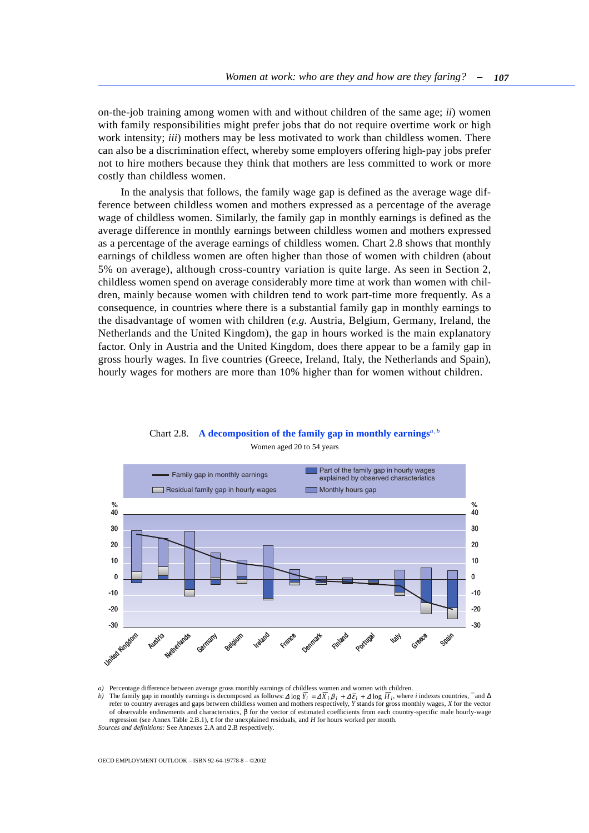<span id="page-46-0"></span>on-the-job training among women with and without children of the same age; *ii*) women with family responsibilities might prefer jobs that do not require overtime work or high work intensity; *iii*) mothers may be less motivated to work than childless women. There can also be a discrimination effect, whereby some employers offering high-pay jobs prefer not to hire mothers because they think that mothers are less committed to work or more costly than childless women.

In the analysis that follows, the family wage gap is defined as the average wage difference between childless women and mothers expressed as a percentage of the average wage of childless women. Similarly, the family gap in monthly earnings is defined as the average difference in monthly earnings between childless women and mothers expressed as a percentage of the average earnings of childless women. Chart 2.8 shows that monthly earnings of childless women are often higher than those of women with children (about 5% on average), although cross-country variation is quite large. As seen in Section 2, childless women spend on average considerably more time at work than women with children, mainly because women with children tend to work part-time more frequently. As a consequence, in countries where there is a substantial family gap in monthly earnings to the disadvantage of women with children (*e.g.* Austria, Belgium, Germany, Ireland, the Netherlands and the United Kingdom), the gap in hours worked is the main explanatory factor. Only in Austria and the United Kingdom, does there appear to be a family gap in gross hourly wages. In five countries (Greece, Ireland, Italy, the Netherlands and Spain), hourly wages for mothers are more than 10% higher than for women without children.

Chart 2.8. **A decomposition of the family gap in monthly earnings***a, b* Women aged 20 to 54 years



*a)* Percentage difference between average gross monthly earnings of childless women and women with children.

*b*) The family gap in monthly earnings is decomposed as follows:  $\Delta \log Y_i = \Delta X_i \beta_i + \Delta \bar{\epsilon}_i + \Delta \log H_i$ , where *i* indexes countries,  $\bar{\epsilon}$  and  $\Delta$ refer to country averages and gaps between childless women and mothers respectively, *Y* stands for gross monthly wages, *X* for the vector of observable endowments and characteristics, β for the vector of estimated coefficients from each country-specific male hourly-wage regression (see Annex Table 2.B.1), ε for the unexplained residuals, and *H* for hours worked per month.

*Sources and definitions:* See Annexes 2.A and 2.B respectively.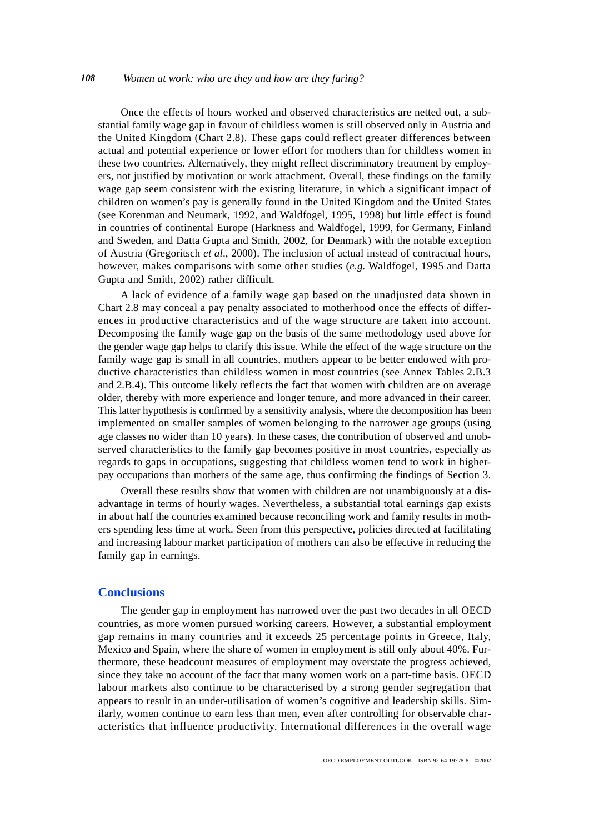<span id="page-47-0"></span>Once the effects of hours worked and observed characteristics are netted out, a substantial family wage gap in favour of childless women is still observed only in Austria and the United Kingdom (Chart 2.8). These gaps could reflect greater differences between actual and potential experience or lower effort for mothers than for childless women in these two countries. Alternatively, they might reflect discriminatory treatment by employers, not justified by motivation or work attachment. Overall, these findings on the family wage gap seem consistent with the existing literature, in which a significant impact of children on women's pay is generally found in the United Kingdom and the United States (see Korenman and Neumark, 1992, and Waldfogel, 1995, 1998) but little effect is found in countries of continental Europe (Harkness and Waldfogel, 1999, for Germany, Finland and Sweden, and Datta Gupta and Smith, 2002, for Denmark) with the notable exception of Austria (Gregoritsch *et al*., 2000). The inclusion of actual instead of contractual hours, however, makes comparisons with some other studies (*e.g.* Waldfogel, 1995 and Datta Gupta and Smith, 2002) rather difficult.

A lack of evidence of a family wage gap based on the unadjusted data shown in Chart 2.8 may conceal a pay penalty associated to motherhood once the effects of differences in productive characteristics and of the wage structure are taken into account. Decomposing the family wage gap on the basis of the same methodology used above for the gender wage gap helps to clarify this issue. While the effect of the wage structure on the family wage gap is small in all countries, mothers appear to be better endowed with productive characteristics than childless women in most countries (see Annex Tables 2.B.3 and 2.B.4). This outcome likely reflects the fact that women with children are on average older, thereby with more experience and longer tenure, and more advanced in their career. This latter hypothesis is confirmed by a sensitivity analysis, where the decomposition has been implemented on smaller samples of women belonging to the narrower age groups (using age classes no wider than 10 years). In these cases, the contribution of observed and unobserved characteristics to the family gap becomes positive in most countries, especially as regards to gaps in occupations, suggesting that childless women tend to work in higherpay occupations than mothers of the same age, thus confirming the findings of Section 3.

Overall these results show that women with children are not unambiguously at a disadvantage in terms of hourly wages. Nevertheless, a substantial total earnings gap exists in about half the countries examined because reconciling work and family results in mothers spending less time at work. Seen from this perspective, policies directed at facilitating and increasing labour market participation of mothers can also be effective in reducing the family gap in earnings.

## **Conclusions**

The gender gap in employment has narrowed over the past two decades in all OECD countries, as more women pursued working careers. However, a substantial employment gap remains in many countries and it exceeds 25 percentage points in Greece, Italy, Mexico and Spain, where the share of women in employment is still only about 40%. Furthermore, these headcount measures of employment may overstate the progress achieved, since they take no account of the fact that many women work on a part-time basis. OECD labour markets also continue to be characterised by a strong gender segregation that appears to result in an under-utilisation of women's cognitive and leadership skills. Similarly, women continue to earn less than men, even after controlling for observable characteristics that influence productivity. International differences in the overall wage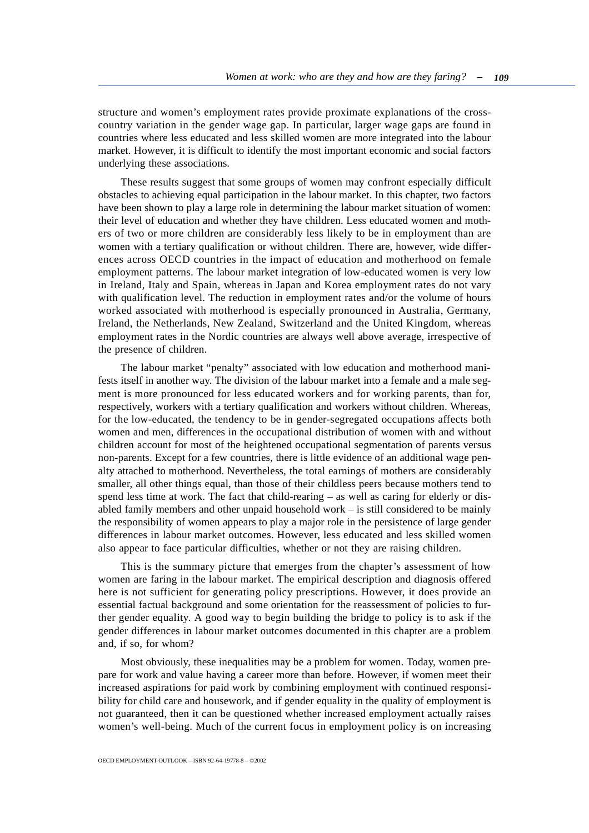structure and women's employment rates provide proximate explanations of the crosscountry variation in the gender wage gap. In particular, larger wage gaps are found in countries where less educated and less skilled women are more integrated into the labour market. However, it is difficult to identify the most important economic and social factors underlying these associations.

These results suggest that some groups of women may confront especially difficult obstacles to achieving equal participation in the labour market. In this chapter, two factors have been shown to play a large role in determining the labour market situation of women: their level of education and whether they have children. Less educated women and mothers of two or more children are considerably less likely to be in employment than are women with a tertiary qualification or without children. There are, however, wide differences across OECD countries in the impact of education and motherhood on female employment patterns. The labour market integration of low-educated women is very low in Ireland, Italy and Spain, whereas in Japan and Korea employment rates do not vary with qualification level. The reduction in employment rates and/or the volume of hours worked associated with motherhood is especially pronounced in Australia, Germany, Ireland, the Netherlands, New Zealand, Switzerland and the United Kingdom, whereas employment rates in the Nordic countries are always well above average, irrespective of the presence of children.

The labour market "penalty" associated with low education and motherhood manifests itself in another way. The division of the labour market into a female and a male segment is more pronounced for less educated workers and for working parents, than for, respectively, workers with a tertiary qualification and workers without children. Whereas, for the low-educated, the tendency to be in gender-segregated occupations affects both women and men, differences in the occupational distribution of women with and without children account for most of the heightened occupational segmentation of parents versus non-parents. Except for a few countries, there is little evidence of an additional wage penalty attached to motherhood. Nevertheless, the total earnings of mothers are considerably smaller, all other things equal, than those of their childless peers because mothers tend to spend less time at work. The fact that child-rearing – as well as caring for elderly or disabled family members and other unpaid household work – is still considered to be mainly the responsibility of women appears to play a major role in the persistence of large gender differences in labour market outcomes. However, less educated and less skilled women also appear to face particular difficulties, whether or not they are raising children.

This is the summary picture that emerges from the chapter's assessment of how women are faring in the labour market. The empirical description and diagnosis offered here is not sufficient for generating policy prescriptions. However, it does provide an essential factual background and some orientation for the reassessment of policies to further gender equality. A good way to begin building the bridge to policy is to ask if the gender differences in labour market outcomes documented in this chapter are a problem and, if so, for whom?

Most obviously, these inequalities may be a problem for women. Today, women prepare for work and value having a career more than before. However, if women meet their increased aspirations for paid work by combining employment with continued responsibility for child care and housework, and if gender equality in the quality of employment is not guaranteed, then it can be questioned whether increased employment actually raises women's well-being. Much of the current focus in employment policy is on increasing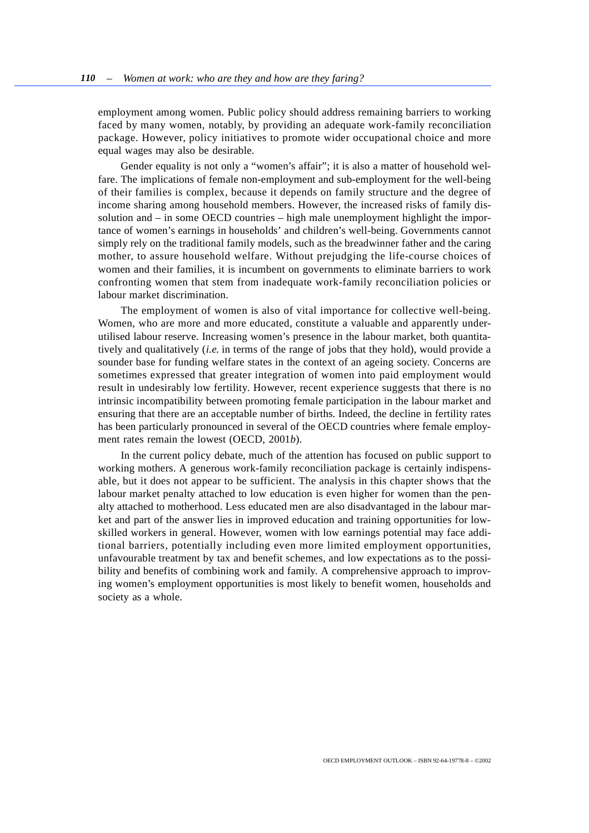employment among women. Public policy should address remaining barriers to working faced by many women, notably, by providing an adequate work-family reconciliation package. However, policy initiatives to promote wider occupational choice and more equal wages may also be desirable.

Gender equality is not only a "women's affair"; it is also a matter of household welfare. The implications of female non-employment and sub-employment for the well-being of their families is complex, because it depends on family structure and the degree of income sharing among household members. However, the increased risks of family dissolution and – in some OECD countries – high male unemployment highlight the importance of women's earnings in households' and children's well-being. Governments cannot simply rely on the traditional family models, such as the breadwinner father and the caring mother, to assure household welfare. Without prejudging the life-course choices of women and their families, it is incumbent on governments to eliminate barriers to work confronting women that stem from inadequate work-family reconciliation policies or labour market discrimination.

The employment of women is also of vital importance for collective well-being. Women, who are more and more educated, constitute a valuable and apparently underutilised labour reserve. Increasing women's presence in the labour market, both quantitatively and qualitatively (*i.e.* in terms of the range of jobs that they hold), would provide a sounder base for funding welfare states in the context of an ageing society. Concerns are sometimes expressed that greater integration of women into paid employment would result in undesirably low fertility. However, recent experience suggests that there is no intrinsic incompatibility between promoting female participation in the labour market and ensuring that there are an acceptable number of births. Indeed, the decline in fertility rates has been particularly pronounced in several of the OECD countries where female employment rates remain the lowest (OECD, 2001*b*).

In the current policy debate, much of the attention has focused on public support to working mothers. A generous work-family reconciliation package is certainly indispensable, but it does not appear to be sufficient. The analysis in this chapter shows that the labour market penalty attached to low education is even higher for women than the penalty attached to motherhood. Less educated men are also disadvantaged in the labour market and part of the answer lies in improved education and training opportunities for lowskilled workers in general. However, women with low earnings potential may face additional barriers, potentially including even more limited employment opportunities, unfavourable treatment by tax and benefit schemes, and low expectations as to the possibility and benefits of combining work and family. A comprehensive approach to improving women's employment opportunities is most likely to benefit women, households and society as a whole.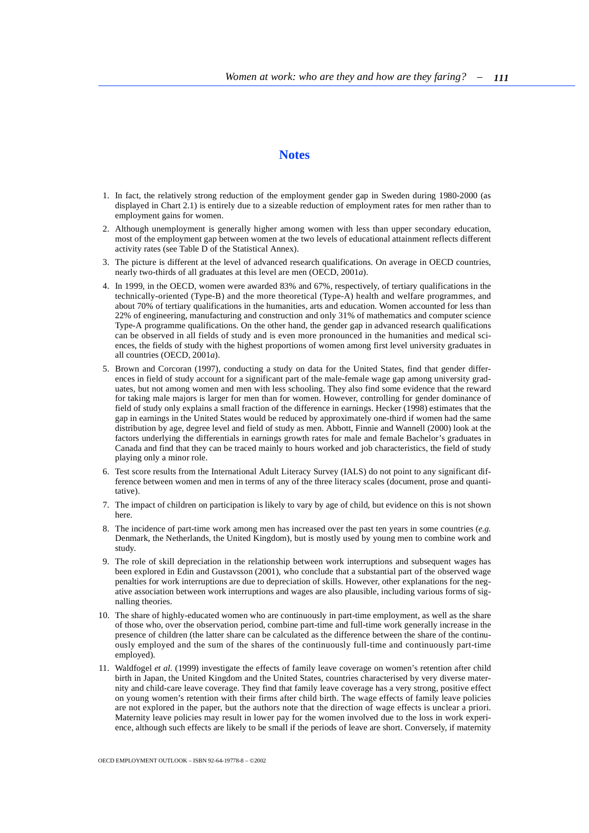# **Notes**

- 1. In fact, the relatively strong reduction of the employment gender gap in Sweden during 1980-2000 (as displayed in Chart 2.1) is entirely due to a sizeable reduction of employment rates for men rather than to employment gains for women.
- 2. Although unemployment is generally higher among women with less than upper secondary education, most of the employment gap between women at the two levels of educational attainment reflects different activity rates (see Table D of the Statistical Annex).
- 3. The picture is different at the level of advanced research qualifications. On average in OECD countries, nearly two-thirds of all graduates at this level are men (OECD, 2001*a*).
- 4. In 1999, in the OECD, women were awarded 83% and 67%, respectively, of tertiary qualifications in the technically-oriented (Type-B) and the more theoretical (Type-A) health and welfare programmes, and about 70% of tertiary qualifications in the humanities, arts and education. Women accounted for less than 22% of engineering, manufacturing and construction and only 31% of mathematics and computer science Type-A programme qualifications. On the other hand, the gender gap in advanced research qualifications can be observed in all fields of study and is even more pronounced in the humanities and medical sciences, the fields of study with the highest proportions of women among first level university graduates in all countries (OECD, 2001*a*).
- 5. Brown and Corcoran (1997), conducting a study on data for the United States, find that gender differences in field of study account for a significant part of the male-female wage gap among university graduates, but not among women and men with less schooling. They also find some evidence that the reward for taking male majors is larger for men than for women. However, controlling for gender dominance of field of study only explains a small fraction of the difference in earnings. Hecker (1998) estimates that the gap in earnings in the United States would be reduced by approximately one-third if women had the same distribution by age, degree level and field of study as men. Abbott, Finnie and Wannell (2000) look at the factors underlying the differentials in earnings growth rates for male and female Bachelor's graduates in Canada and find that they can be traced mainly to hours worked and job characteristics, the field of study playing only a minor role.
- 6. Test score results from the International Adult Literacy Survey (IALS) do not point to any significant difference between women and men in terms of any of the three literacy scales (document, prose and quantitative).
- 7. The impact of children on participation is likely to vary by age of child, but evidence on this is not shown here.
- 8. The incidence of part-time work among men has increased over the past ten years in some countries (*e.g.* Denmark, the Netherlands, the United Kingdom), but is mostly used by young men to combine work and study.
- 9. The role of skill depreciation in the relationship between work interruptions and subsequent wages has been explored in Edin and Gustavsson (2001), who conclude that a substantial part of the observed wage penalties for work interruptions are due to depreciation of skills. However, other explanations for the negative association between work interruptions and wages are also plausible, including various forms of signalling theories.
- 10. The share of highly-educated women who are continuously in part-time employment, as well as the share of those who, over the observation period, combine part-time and full-time work generally increase in the presence of children (the latter share can be calculated as the difference between the share of the continuously employed and the sum of the shares of the continuously full-time and continuously part-time employed).
- 11. Waldfogel *et al.* (1999) investigate the effects of family leave coverage on women's retention after child birth in Japan, the United Kingdom and the United States, countries characterised by very diverse maternity and child-care leave coverage. They find that family leave coverage has a very strong, positive effect on young women's retention with their firms after child birth. The wage effects of family leave policies are not explored in the paper, but the authors note that the direction of wage effects is unclear a priori. Maternity leave policies may result in lower pay for the women involved due to the loss in work experience, although such effects are likely to be small if the periods of leave are short. Conversely, if maternity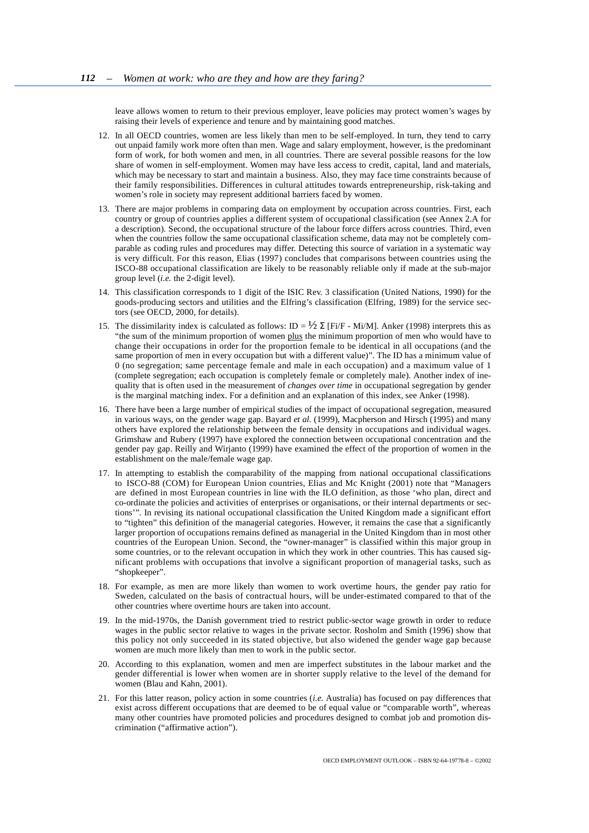leave allows women to return to their previous employer, leave policies may protect women's wages by raising their levels of experience and tenure and by maintaining good matches.

- 12. In all OECD countries, women are less likely than men to be self-employed. In turn, they tend to carry out unpaid family work more often than men. Wage and salary employment, however, is the predominant form of work, for both women and men, in all countries. There are several possible reasons for the low share of women in self-employment. Women may have less access to credit, capital, land and materials, which may be necessary to start and maintain a business. Also, they may face time constraints because of their family responsibilities. Differences in cultural attitudes towards entrepreneurship, risk-taking and women's role in society may represent additional barriers faced by women.
- 13. There are major problems in comparing data on employment by occupation across countries. First, each country or group of countries applies a different system of occupational classification (see Annex 2.A for a description). Second, the occupational structure of the labour force differs across countries. Third, even when the countries follow the same occupational classification scheme, data may not be completely comparable as coding rules and procedures may differ. Detecting this source of variation in a systematic way is very difficult. For this reason, Elias (1997) concludes that comparisons between countries using the ISCO-88 occupational classification are likely to be reasonably reliable only if made at the sub-major group level (*i.e.* the 2-digit level).
- 14. This classification corresponds to 1 digit of the ISIC Rev. 3 classification (United Nations, 1990) for the goods-producing sectors and utilities and the Elfring's classification (Elfring, 1989) for the service sectors (see OECD, 2000, for details).
- 15. The dissimilarity index is calculated as follows: ID =  $\frac{1}{2}$  Σ [Fi/F Mi/M]. Anker (1998) interprets this as "the sum of the minimum proportion of women plus the minimum proportion of men who would have to change their occupations in order for the proportion female to be identical in all occupations (and the same proportion of men in every occupation but with a different value)". The ID has a minimum value of 0 (no segregation; same percentage female and male in each occupation) and a maximum value of 1 (complete segregation; each occupation is completely female or completely male). Another index of inequality that is often used in the measurement of *changes over time* in occupational segregation by gender is the marginal matching index. For a definition and an explanation of this index, see Anker (1998).
- 16. There have been a large number of empirical studies of the impact of occupational segregation, measured in various ways, on the gender wage gap. Bayard *et al.* (1999), Macpherson and Hirsch (1995) and many others have explored the relationship between the female density in occupations and individual wages. Grimshaw and Rubery (1997) have explored the connection between occupational concentration and the gender pay gap. Reilly and Wirjanto (1999) have examined the effect of the proportion of women in the establishment on the male/female wage gap.
- 17. In attempting to establish the comparability of the mapping from national occupational classifications to ISCO-88 (COM) for European Union countries, Elias and Mc Knight (2001) note that "Managers are defined in most European countries in line with the ILO definition, as those 'who plan, direct and co-ordinate the policies and activities of enterprises or organisations, or their internal departments or sections'". In revising its national occupational classification the United Kingdom made a significant effort to "tighten" this definition of the managerial categories. However, it remains the case that a significantly larger proportion of occupations remains defined as managerial in the United Kingdom than in most other countries of the European Union. Second, the "owner-manager" is classified within this major group in some countries, or to the relevant occupation in which they work in other countries. This has caused significant problems with occupations that involve a significant proportion of managerial tasks, such as "shopkeeper".
- 18. For example, as men are more likely than women to work overtime hours, the gender pay ratio for Sweden, calculated on the basis of contractual hours, will be under-estimated compared to that of the other countries where overtime hours are taken into account.
- 19. In the mid-1970s, the Danish government tried to restrict public-sector wage growth in order to reduce wages in the public sector relative to wages in the private sector. Rosholm and Smith (1996) show that this policy not only succeeded in its stated objective, but also widened the gender wage gap because women are much more likely than men to work in the public sector.
- 20. According to this explanation, women and men are imperfect substitutes in the labour market and the gender differential is lower when women are in shorter supply relative to the level of the demand for women (Blau and Kahn, 2001).
- 21. For this latter reason, policy action in some countries (*i.e.* Australia) has focused on pay differences that exist across different occupations that are deemed to be of equal value or "comparable worth", whereas many other countries have promoted policies and procedures designed to combat job and promotion discrimination ("affirmative action").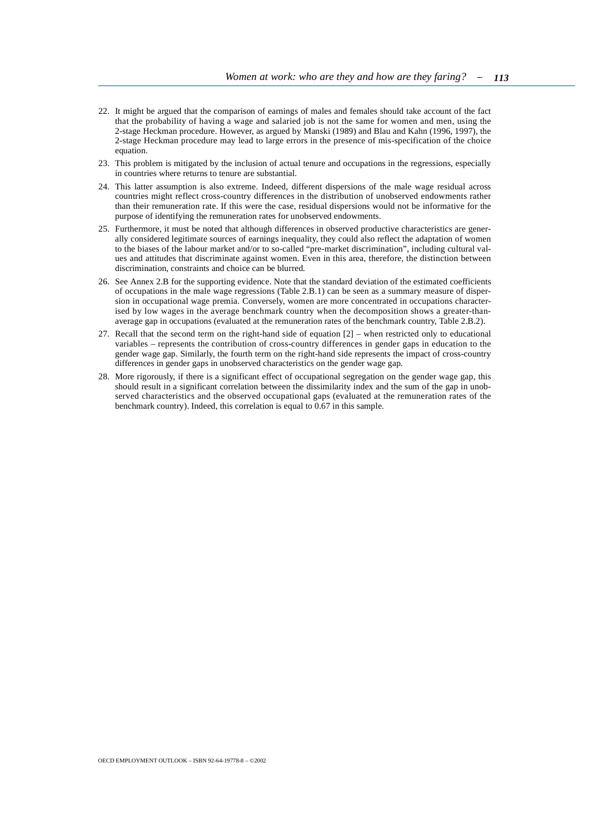- 22. It might be argued that the comparison of earnings of males and females should take account of the fact that the probability of having a wage and salaried job is not the same for women and men, using the 2-stage Heckman procedure. However, as argued by Manski (1989) and Blau and Kahn (1996, 1997), the 2-stage Heckman procedure may lead to large errors in the presence of mis-specification of the choice equation.
- 23. This problem is mitigated by the inclusion of actual tenure and occupations in the regressions, especially in countries where returns to tenure are substantial.
- 24. This latter assumption is also extreme. Indeed, different dispersions of the male wage residual across countries might reflect cross-country differences in the distribution of unobserved endowments rather than their remuneration rate. If this were the case, residual dispersions would not be informative for the purpose of identifying the remuneration rates for unobserved endowments.
- 25. Furthermore, it must be noted that although differences in observed productive characteristics are generally considered legitimate sources of earnings inequality, they could also reflect the adaptation of women to the biases of the labour market and/or to so-called "pre-market discrimination", including cultural values and attitudes that discriminate against women. Even in this area, therefore, the distinction between discrimination, constraints and choice can be blurred.
- 26. See Annex 2.B for the supporting evidence. Note that the standard deviation of the estimated coefficients of occupations in the male wage regressions (Table 2.B.1) can be seen as a summary measure of dispersion in occupational wage premia. Conversely, women are more concentrated in occupations characterised by low wages in the average benchmark country when the decomposition shows a greater-thanaverage gap in occupations (evaluated at the remuneration rates of the benchmark country, Table 2.B.2).
- 27. Recall that the second term on the right-hand side of equation [2] when restricted only to educational variables – represents the contribution of cross-country differences in gender gaps in education to the gender wage gap. Similarly, the fourth term on the right-hand side represents the impact of cross-country differences in gender gaps in unobserved characteristics on the gender wage gap.
- 28. More rigorously, if there is a significant effect of occupational segregation on the gender wage gap, this should result in a significant correlation between the dissimilarity index and the sum of the gap in unobserved characteristics and the observed occupational gaps (evaluated at the remuneration rates of the benchmark country). Indeed, this correlation is equal to 0.67 in this sample.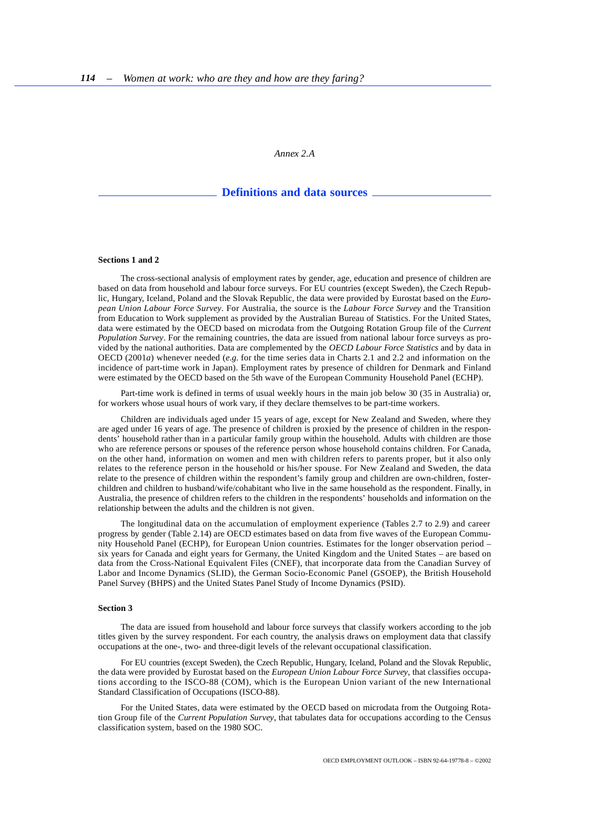*Annex 2.A* 

## **Definitions and data sources**

#### <span id="page-53-0"></span>**Sections 1 and 2**

The cross-sectional analysis of employment rates by gender, age, education and presence of children are based on data from household and labour force surveys. For EU countries (except Sweden), the Czech Republic, Hungary, Iceland, Poland and the Slovak Republic, the data were provided by Eurostat based on the *European Union Labour Force Survey*. For Australia, the source is the *Labour Force Survey* and the Transition from Education to Work supplement as provided by the Australian Bureau of Statistics. For the United States, data were estimated by the OECD based on microdata from the Outgoing Rotation Group file of the *Current Population Survey*. For the remaining countries, the data are issued from national labour force surveys as provided by the national authorities. Data are complemented by the *OECD Labour Force Statistics* and by data in OECD (2001*a*) whenever needed (*e.g.* for the time series data in Charts 2.1 and 2.2 and information on the incidence of part-time work in Japan). Employment rates by presence of children for Denmark and Finland were estimated by the OECD based on the 5th wave of the European Community Household Panel (ECHP).

Part-time work is defined in terms of usual weekly hours in the main job below 30 (35 in Australia) or, for workers whose usual hours of work vary, if they declare themselves to be part-time workers.

Children are individuals aged under 15 years of age, except for New Zealand and Sweden, where they are aged under 16 years of age. The presence of children is proxied by the presence of children in the respondents' household rather than in a particular family group within the household. Adults with children are those who are reference persons or spouses of the reference person whose household contains children. For Canada, on the other hand, information on women and men with children refers to parents proper, but it also only relates to the reference person in the household or his/her spouse. For New Zealand and Sweden, the data relate to the presence of children within the respondent's family group and children are own-children, fosterchildren and children to husband/wife/cohabitant who live in the same household as the respondent. Finally, in Australia, the presence of children refers to the children in the respondents' households and information on the relationship between the adults and the children is not given.

The longitudinal data on the accumulation of employment experience (Tables 2.7 to 2.9) and career progress by gender (Table 2.14) are OECD estimates based on data from five waves of the European Community Household Panel (ECHP), for European Union countries. Estimates for the longer observation period – six years for Canada and eight years for Germany, the United Kingdom and the United States – are based on data from the Cross-National Equivalent Files (CNEF), that incorporate data from the Canadian Survey of Labor and Income Dynamics (SLID), the German Socio-Economic Panel (GSOEP), the British Household Panel Survey (BHPS) and the United States Panel Study of Income Dynamics (PSID).

#### **Section 3**

The data are issued from household and labour force surveys that classify workers according to the job titles given by the survey respondent. For each country, the analysis draws on employment data that classify occupations at the one-, two- and three-digit levels of the relevant occupational classification.

For EU countries (except Sweden), the Czech Republic, Hungary, Iceland, Poland and the Slovak Republic, the data were provided by Eurostat based on the *European Union Labour Force Survey*, that classifies occupations according to the ISCO-88 (COM), which is the European Union variant of the new International Standard Classification of Occupations (ISCO-88).

For the United States, data were estimated by the OECD based on microdata from the Outgoing Rotation Group file of the *Current Population Survey*, that tabulates data for occupations according to the Census classification system, based on the 1980 SOC.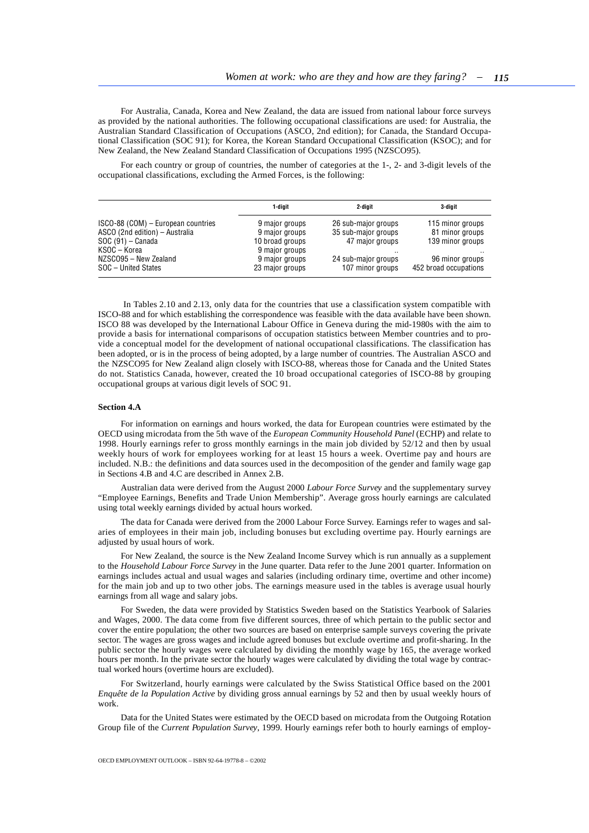For Australia, Canada, Korea and New Zealand, the data are issued from national labour force surveys as provided by the national authorities. The following occupational classifications are used: for Australia, the Australian Standard Classification of Occupations (ASCO, 2nd edition); for Canada, the Standard Occupational Classification (SOC 91); for Korea, the Korean Standard Occupational Classification (KSOC); and for New Zealand, the New Zealand Standard Classification of Occupations 1995 (NZSCO95).

For each country or group of countries, the number of categories at the 1-, 2- and 3-digit levels of the occupational classifications, excluding the Armed Forces, is the following:

|                                    | 1-digit         | 2-digit             | 3-digit               |
|------------------------------------|-----------------|---------------------|-----------------------|
| ISCO-88 (COM) – European countries | 9 major groups  | 26 sub-major groups | 115 minor groups      |
| ASCO (2nd edition) - Australia     | 9 major groups  | 35 sub-major groups | 81 minor groups       |
| $SOC(91) - Canada$                 | 10 broad groups | 47 major groups     | 139 minor groups      |
| KSOC – Korea                       | 9 major groups  |                     |                       |
| NZSCO95 - New Zealand              | 9 major groups  | 24 sub-major groups | 96 minor groups       |
| SOC - United States                | 23 major groups | 107 minor groups    | 452 broad occupations |

 In Tables 2.10 and 2.13, only data for the countries that use a classification system compatible with ISCO-88 and for which establishing the correspondence was feasible with the data available have been shown. ISCO 88 was developed by the International Labour Office in Geneva during the mid-1980s with the aim to provide a basis for international comparisons of occupation statistics between Member countries and to provide a conceptual model for the development of national occupational classifications. The classification has been adopted, or is in the process of being adopted, by a large number of countries. The Australian ASCO and the NZSCO95 for New Zealand align closely with ISCO-88, whereas those for Canada and the United States do not. Statistics Canada, however, created the 10 broad occupational categories of ISCO-88 by grouping occupational groups at various digit levels of SOC 91.

#### **Section 4.A**

For information on earnings and hours worked, the data for European countries were estimated by the OECD using microdata from the 5th wave of the *European Community Household Panel* (ECHP) and relate to 1998. Hourly earnings refer to gross monthly earnings in the main job divided by 52/12 and then by usual weekly hours of work for employees working for at least 15 hours a week. Overtime pay and hours are included. N.B.: the definitions and data sources used in the decomposition of the gender and family wage gap in Sections 4.B and 4.C are described in Annex 2.B.

Australian data were derived from the August 2000 *Labour Force Survey* and the supplementary survey "Employee Earnings, Benefits and Trade Union Membership". Average gross hourly earnings are calculated using total weekly earnings divided by actual hours worked.

The data for Canada were derived from the 2000 Labour Force Survey. Earnings refer to wages and salaries of employees in their main job, including bonuses but excluding overtime pay. Hourly earnings are adjusted by usual hours of work.

For New Zealand, the source is the New Zealand Income Survey which is run annually as a supplement to the *Household Labour Force Survey* in the June quarter. Data refer to the June 2001 quarter. Information on earnings includes actual and usual wages and salaries (including ordinary time, overtime and other income) for the main job and up to two other jobs. The earnings measure used in the tables is average usual hourly earnings from all wage and salary jobs.

For Sweden, the data were provided by Statistics Sweden based on the Statistics Yearbook of Salaries and Wages, 2000. The data come from five different sources, three of which pertain to the public sector and cover the entire population; the other two sources are based on enterprise sample surveys covering the private sector. The wages are gross wages and include agreed bonuses but exclude overtime and profit-sharing. In the public sector the hourly wages were calculated by dividing the monthly wage by 165, the average worked hours per month. In the private sector the hourly wages were calculated by dividing the total wage by contractual worked hours (overtime hours are excluded).

For Switzerland, hourly earnings were calculated by the Swiss Statistical Office based on the 2001 *Enquête de la Population Active* by dividing gross annual earnings by 52 and then by usual weekly hours of work.

Data for the United States were estimated by the OECD based on microdata from the Outgoing Rotation Group file of the *Current Population Survey*, 1999. Hourly earnings refer both to hourly earnings of employ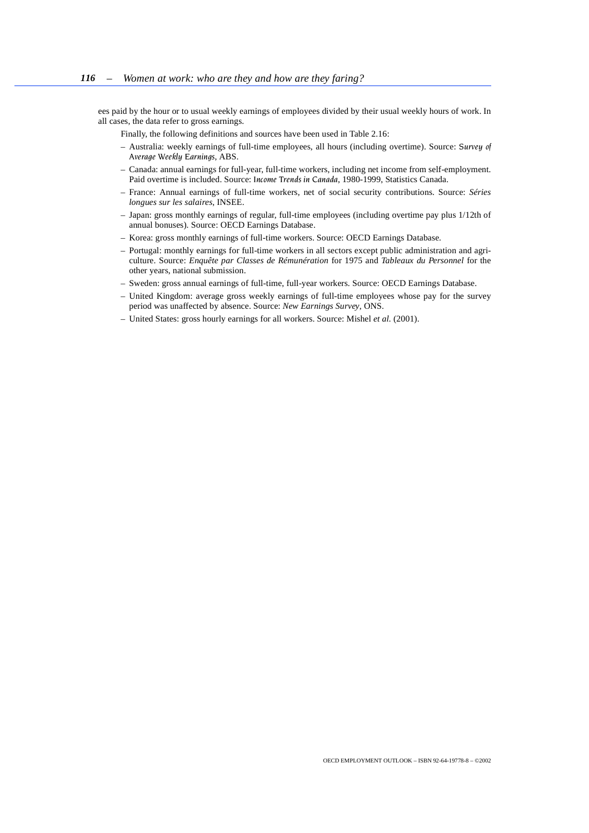ees paid by the hour or to usual weekly earnings of employees divided by their usual weekly hours of work. In all cases, the data refer to gross earnings.

Finally, the following definitions and sources have been used in Table 2.16:

- Australia: weekly earnings of full-time employees, all hours (including overtime). Source: *Survey of Average Weekly Earnings*, ABS.
- Canada: annual earnings for full-year, full-time workers, including net income from self-employment. Paid overtime is included. Source: *Income Trends in Canada*, 1980-1999, Statistics Canada.
- France: Annual earnings of full-time workers, net of social security contributions. Source: *Séries longues sur les salaires*, INSEE.
- Japan: gross monthly earnings of regular, full-time employees (including overtime pay plus 1/12th of annual bonuses). Source: OECD Earnings Database.
- Korea: gross monthly earnings of full-time workers. Source: OECD Earnings Database.
- Portugal: monthly earnings for full-time workers in all sectors except public administration and agriculture. Source: *Enquête par Classes de Rémunération* for 1975 and *Tableaux du Personnel* for the other years, national submission.
- Sweden: gross annual earnings of full-time, full-year workers. Source: OECD Earnings Database.
- United Kingdom: average gross weekly earnings of full-time employees whose pay for the survey period was unaffected by absence. Source: *New Earnings Survey*, ONS.
- United States: gross hourly earnings for all workers. Source: Mishel *et al.* (2001).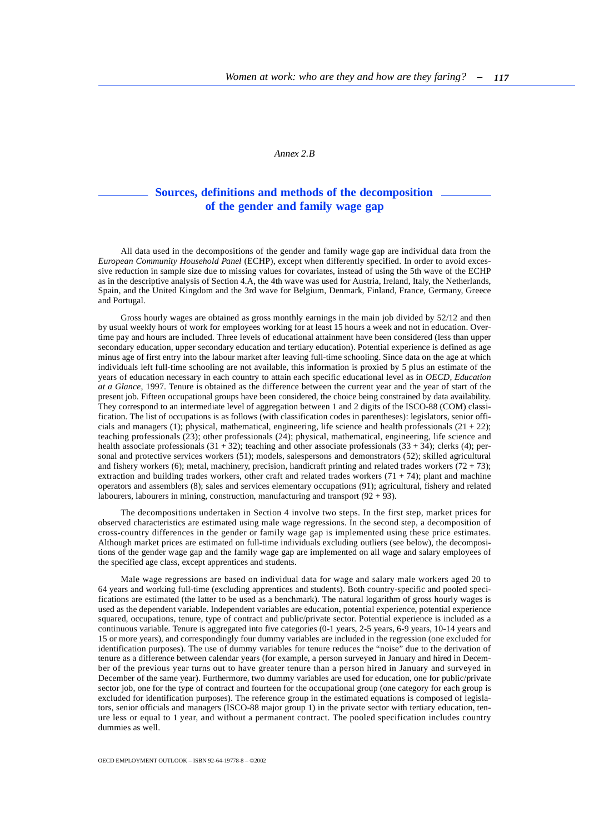*Annex 2.B* 

# **Sources, definitions and methods of the decomposition of the gender and family wage gap**

<span id="page-56-0"></span>All data used in the decompositions of the gender and family wage gap are individual data from the *European Community Household Panel* (ECHP), except when differently specified. In order to avoid excessive reduction in sample size due to missing values for covariates, instead of using the 5th wave of the ECHP as in the descriptive analysis of Section 4.A, the 4th wave was used for Austria, Ireland, Italy, the Netherlands, Spain, and the United Kingdom and the 3rd wave for Belgium, Denmark, Finland, France, Germany, Greece and Portugal.

Gross hourly wages are obtained as gross monthly earnings in the main job divided by 52/12 and then by usual weekly hours of work for employees working for at least 15 hours a week and not in education. Overtime pay and hours are included. Three levels of educational attainment have been considered (less than upper secondary education, upper secondary education and tertiary education). Potential experience is defined as age minus age of first entry into the labour market after leaving full-time schooling. Since data on the age at which individuals left full-time schooling are not available, this information is proxied by 5 plus an estimate of the years of education necessary in each country to attain each specific educational level as in *OECD, Education at a Glance*, 1997. Tenure is obtained as the difference between the current year and the year of start of the present job. Fifteen occupational groups have been considered, the choice being constrained by data availability. They correspond to an intermediate level of aggregation between 1 and 2 digits of the ISCO-88 (COM) classification. The list of occupations is as follows (with classification codes in parentheses): legislators, senior officials and managers (1); physical, mathematical, engineering, life science and health professionals  $(21 + 22)$ ; teaching professionals (23); other professionals (24); physical, mathematical, engineering, life science and health associate professionals  $(31 + 32)$ ; teaching and other associate professionals  $(33 + 34)$ ; clerks (4); personal and protective services workers (51); models, salespersons and demonstrators (52); skilled agricultural and fishery workers (6); metal, machinery, precision, handicraft printing and related trades workers (72 + 73); extraction and building trades workers, other craft and related trades workers  $(71 + 74)$ ; plant and machine operators and assemblers (8); sales and services elementary occupations (91); agricultural, fishery and related labourers, labourers in mining, construction, manufacturing and transport (92 + 93).

The decompositions undertaken in Section 4 involve two steps. In the first step, market prices for observed characteristics are estimated using male wage regressions. In the second step, a decomposition of cross-country differences in the gender or family wage gap is implemented using these price estimates. Although market prices are estimated on full-time individuals excluding outliers (see below), the decompositions of the gender wage gap and the family wage gap are implemented on all wage and salary employees of the specified age class, except apprentices and students.

Male wage regressions are based on individual data for wage and salary male workers aged 20 to 64 years and working full-time (excluding apprentices and students). Both country-specific and pooled specifications are estimated (the latter to be used as a benchmark). The natural logarithm of gross hourly wages is used as the dependent variable. Independent variables are education, potential experience, potential experience squared, occupations, tenure, type of contract and public/private sector. Potential experience is included as a continuous variable. Tenure is aggregated into five categories (0-1 years, 2-5 years, 6-9 years, 10-14 years and 15 or more years), and correspondingly four dummy variables are included in the regression (one excluded for identification purposes). The use of dummy variables for tenure reduces the "noise" due to the derivation of tenure as a difference between calendar years (for example, a person surveyed in January and hired in December of the previous year turns out to have greater tenure than a person hired in January and surveyed in December of the same year). Furthermore, two dummy variables are used for education, one for public/private sector job, one for the type of contract and fourteen for the occupational group (one category for each group is excluded for identification purposes). The reference group in the estimated equations is composed of legislators, senior officials and managers (ISCO-88 major group 1) in the private sector with tertiary education, tenure less or equal to 1 year, and without a permanent contract. The pooled specification includes country dummies as well.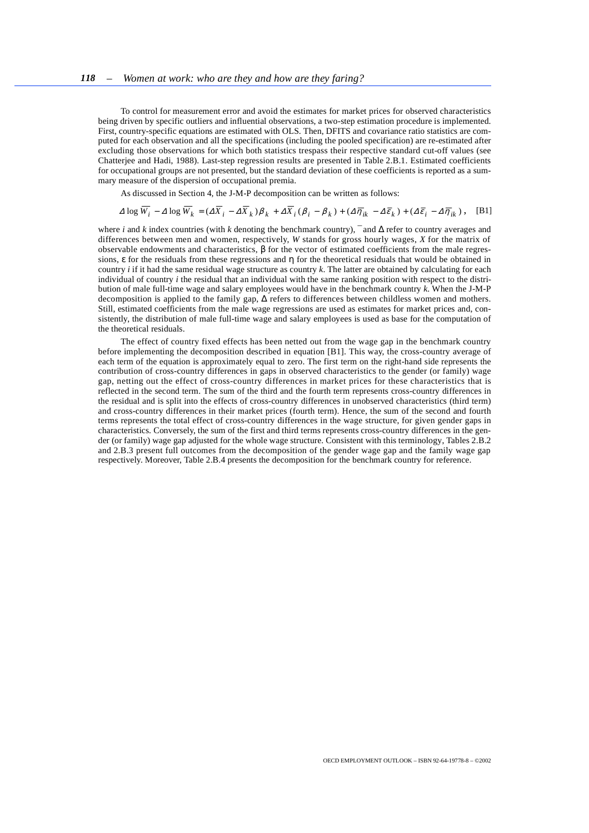To control for measurement error and avoid the estimates for market prices for observed characteristics being driven by specific outliers and influential observations, a two-step estimation procedure is implemented. First, country-specific equations are estimated with OLS. Then, DFITS and covariance ratio statistics are computed for each observation and all the specifications (including the pooled specification) are re-estimated after excluding those observations for which both statistics trespass their respective standard cut-off values (see Chatterjee and Hadi, 1988). Last-step regression results are presented in Table 2.B.1. Estimated coefficients for occupational groups are not presented, but the standard deviation of these coefficients is reported as a summary measure of the dispersion of occupational premia.

As discussed in Section 4, the J-M-P decomposition can be written as follows:

$$
\Delta \log \overline{W_i} - \Delta \log \overline{W_k} = (\Delta \overline{X}_i - \Delta \overline{X}_k) \beta_k + \Delta \overline{X}_i (\beta_i - \beta_k) + (\Delta \overline{\eta}_{ik} - \Delta \overline{\epsilon}_k) + (\Delta \overline{\epsilon}_i - \Delta \overline{\eta}_{ik}), \quad \text{[B1]}
$$

where *i* and *k* index countries (with *k* denoting the benchmark country), ¯ and ∆ refer to country averages and differences between men and women, respectively, *W* stands for gross hourly wages, *X* for the matrix of observable endowments and characteristics, β for the vector of estimated coefficients from the male regressions,  $\epsilon$  for the residuals from these regressions and  $\eta$  for the theoretical residuals that would be obtained in country *i* if it had the same residual wage structure as country *k*. The latter are obtained by calculating for each individual of country *i* the residual that an individual with the same ranking position with respect to the distribution of male full-time wage and salary employees would have in the benchmark country *k*. When the J-M-P decomposition is applied to the family gap, ∆ refers to differences between childless women and mothers. Still, estimated coefficients from the male wage regressions are used as estimates for market prices and, consistently, the distribution of male full-time wage and salary employees is used as base for the computation of the theoretical residuals.

The effect of country fixed effects has been netted out from the wage gap in the benchmark country before implementing the decomposition described in equation [B1]. This way, the cross-country average of each term of the equation is approximately equal to zero. The first term on the right-hand side represents the contribution of cross-country differences in gaps in observed characteristics to the gender (or family) wage gap, netting out the effect of cross-country differences in market prices for these characteristics that is reflected in the second term. The sum of the third and the fourth term represents cross-country differences in the residual and is split into the effects of cross-country differences in unobserved characteristics (third term) and cross-country differences in their market prices (fourth term). Hence, the sum of the second and fourth terms represents the total effect of cross-country differences in the wage structure, for given gender gaps in characteristics. Conversely, the sum of the first and third terms represents cross-country differences in the gender (or family) wage gap adjusted for the whole wage structure. Consistent with this terminology, Tables 2.B.2 and 2.B.3 present full outcomes from the decomposition of the gender wage gap and the family wage gap respectively. Moreover, Table 2.B.4 presents the decomposition for the benchmark country for reference.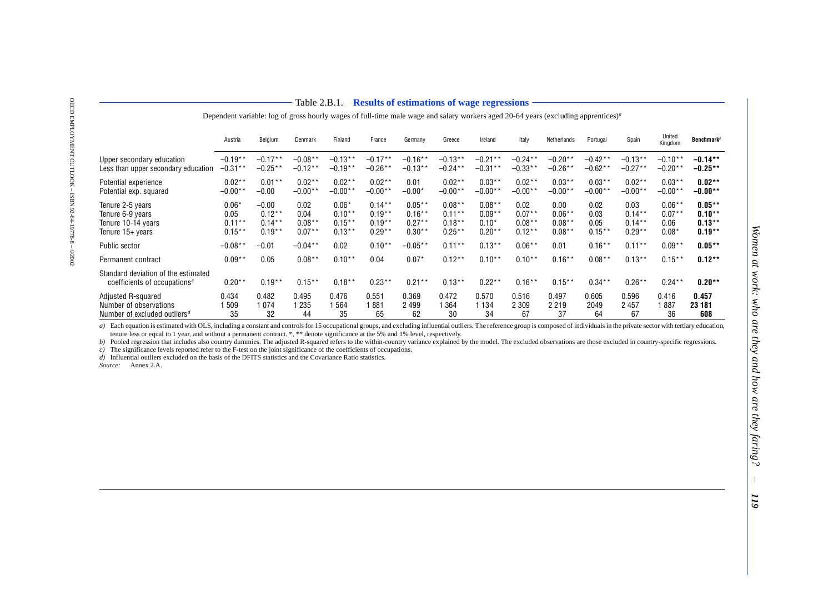| Upper<br>Less th                     |
|--------------------------------------|
| Potenti<br>Potenti                   |
| Tenure<br>Tenure<br>Tenure<br>Tenure |
| Public                               |
| Permai                               |

OECD EMPLOYMENT OUTLOOK – ISBN 92-64-19778-8 – ©2002

OECD EMPLOYMENT OUTLOOK - ISBN 92-64-19778-8 - @2002

#### Table 2.B.1. **Results of estimations of wage regressions**

Dependent variable: log of gross hourly wages of full-time male wage and salary workers aged 20-64 years (excluding apprentices)*a*

|                                                                                 | Austria   | Belgium   | Denmark   | Finland   | France    | Germany    | Greece     | Ireland   | Italy      | Netherlands | Portugal  | Spain     | United<br>Kingdom | <b>Benchmark</b> <sup>b</sup> |
|---------------------------------------------------------------------------------|-----------|-----------|-----------|-----------|-----------|------------|------------|-----------|------------|-------------|-----------|-----------|-------------------|-------------------------------|
| Upper secondary education                                                       | $-0.19**$ | $-0.17**$ | $-0.08**$ | $-0.13**$ | $-0.17**$ | $-0.16**$  | $-0.13**$  | $-0.21**$ | $-0.24***$ | $-0.20**$   | $-0.42**$ | $-0.13**$ | $-0.10**$         | $-0.14**$                     |
| Less than upper secondary education                                             | $-0.31**$ | $-0.25**$ | $-0.12**$ | $-0.19**$ | $-0.26**$ | $-0.13**$  | $-0.24***$ | $-0.31**$ | $-0.33**$  | $-0.26**$   | $-0.62**$ | $-0.27**$ | $-0.20**$         | $-0.25**$                     |
| Potential experience                                                            | $0.02**$  | $0.01***$ | $0.02**$  | $0.02***$ | $0.02**$  | 0.01       | $0.02**$   | $0.03***$ | $0.02**$   | $0.03***$   | $0.03***$ | $0.02***$ | $0.03***$         | $0.02**$                      |
| Potential exp. squared                                                          | $-0.00*$  | $-0.00$   | $-0.00*$  | $-0.00**$ | $-0.00**$ | $-0.00*$   | $-0.00*$   | $-0.00**$ | $-0.00**$  | $-0.00**$   | $-0.00*$  | $-0.00**$ | $-0.00**$         | $-0.00**$                     |
| Tenure 2-5 years                                                                | $0.06*$   | $-0.00$   | 0.02      | $0.06*$   | $0.14***$ | $0.05***$  | $0.08***$  | $0.08***$ | 0.02       | 0.00        | 0.02      | 0.03      | $0.06***$         | $0.05***$                     |
| Tenure 6-9 vears                                                                | 0.05      | $0.12***$ | 0.04      | $0.10**$  | $0.19**$  | $0.16***$  | $0.11***$  | $0.09**$  | $0.07***$  | $0.06***$   | 0.03      | $0.14***$ | $0.07***$         | $0.10**$                      |
| Tenure 10-14 years                                                              | $0.11***$ | $0.14***$ | $0.08***$ | $0.15***$ | $0.19***$ | $0.27***$  | $0.18***$  | $0.10*$   | $0.08***$  | $0.08***$   | 0.05      | $0.14***$ | 0.06              | $0.13***$                     |
| Tenure 15+ years                                                                | $0.15***$ | $0.19**$  | $0.07***$ | $0.13***$ | $0.29**$  | $0.30**$   | $0.25***$  | $0.20**$  | $0.12***$  | $0.08***$   | $0.15***$ | $0.29**$  | $0.08*$           | $0.19**$                      |
| Public sector                                                                   | $-0.08**$ | $-0.01$   | $-0.04**$ | 0.02      | $0.10**$  | $-0.05***$ | $0.11***$  | $0.13***$ | $0.06***$  | 0.01        | $0.16***$ | $0.11***$ | $0.09**$          | $0.05**$                      |
| Permanent contract                                                              | $0.09**$  | 0.05      | $0.08***$ | $0.10***$ | 0.04      | $0.07*$    | $0.12***$  | $0.10**$  | $0.10**$   | $0.16***$   | $0.08***$ | $0.13***$ | $0.15***$         | $0.12***$                     |
| Standard deviation of the estimated<br>coefficients of occupations <sup>c</sup> | $0.20**$  | $0.19**$  | $0.15***$ | $0.18***$ | $0.23***$ | $0.21***$  | $0.13***$  | $0.22***$ | $0.16***$  | $0.15***$   | $0.34***$ | $0.26***$ | $0.24***$         | $0.20**$                      |
| Adjusted R-squared                                                              | 0.434     | 0.482     | 0.495     | 0.476     | 0.551     | 0.369      | 0.472      | 0.570     | 0.516      | 0.497       | 0.605     | 0.596     | 0.416             | 0.457                         |
| Number of observations                                                          | 509       | 1074      | 235       | 564       | 881       | 2499       | ' 364      | 1 1 3 4   | 2 3 0 9    | 2 2 1 9     | 2049      | 2 4 5 7   | 887               | 23 181                        |
| Number of excluded outliers $^d$                                                | 35        | 32        | 44        | 35        | 65        | 62         | 30         | 34        | 67         | 37          | 64        | 67        | 36                | 608                           |

b) Each contained with OLS, including a contain and control stress of a for containing a containing drawing information contains and the best end to be the stress of equal to 1 year, and without a permuse contract  $x^*$  o

<span id="page-58-0"></span>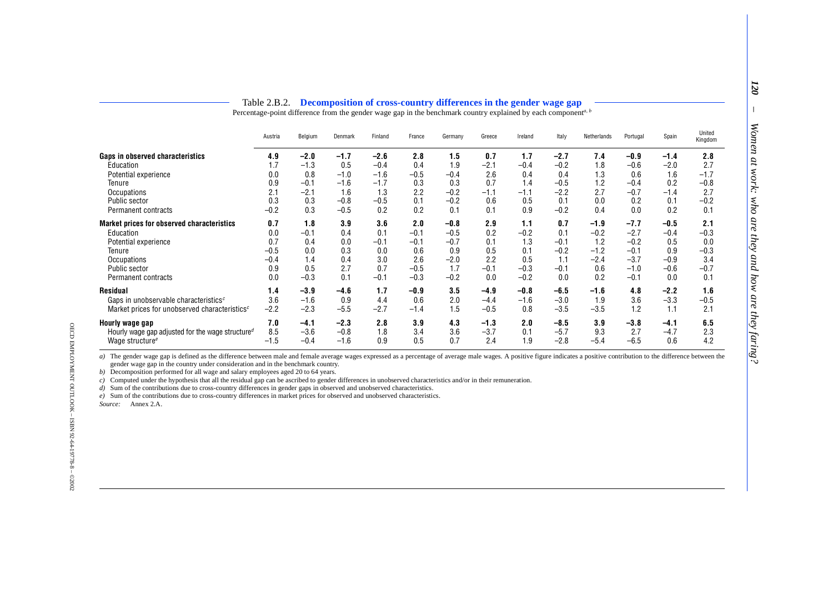## Table 2.B.2. **Decomposition of cross-country differences in the gender wage gap**

|                                                           | Table 2.B.2. |         |         |         |        | Decomposition of cross-country differences in the gender wage gap<br>Percentage-point difference from the gender wage gap in the benchmark country explained by each component <sup>a, b</sup> |        |         |        |             |          |        |                   |
|-----------------------------------------------------------|--------------|---------|---------|---------|--------|------------------------------------------------------------------------------------------------------------------------------------------------------------------------------------------------|--------|---------|--------|-------------|----------|--------|-------------------|
|                                                           | Austria      | Belgium | Denmark | Finland | France | Germany                                                                                                                                                                                        | Greece | Ireland | Italy  | Netherlands | Portugal | Spain  | United<br>Kingdom |
| Gaps in observed characteristics                          | 4.9          | $-2.0$  | $-1.7$  | $-2.6$  | 2.8    | 1.5                                                                                                                                                                                            | 0.7    | 1.7     | $-2.7$ | 7.4         | $-0.9$   | $-1.4$ | 2.8               |
| Education                                                 | 1.7          | $-1.3$  | 0.5     | $-0.4$  | 0.4    | 1.9                                                                                                                                                                                            | $-2.1$ | $-0.4$  | $-0.2$ | 1.8         | $-0.6$   | $-2.0$ | 2.7               |
| Potential experience                                      | 0.0          | 0.8     | $-1.0$  | $-1.6$  | $-0.5$ | $-0.4$                                                                                                                                                                                         | 2.6    | 0.4     | 0.4    | 1.3         | 0.6      | 1.6    | $-1.7$            |
| Tenure                                                    | 0.9          | $-0.1$  | $-1.6$  | $-1.7$  | 0.3    | 0.3                                                                                                                                                                                            | 0.7    | 1.4     | $-0.5$ | 1.2         | $-0.4$   | 0.2    | $-0.8$            |
| Occupations                                               | 2.1          | $-2.1$  | 1.6     | 1.3     | 2.2    | $-0.2$                                                                                                                                                                                         | $-1.1$ | $-1.1$  | $-2.2$ | 2.7         | $-0.7$   | $-1.4$ | 2.7               |
| Public sector                                             | 0.3          | 0.3     | $-0.8$  | $-0.5$  | 0.1    | $-0.2$                                                                                                                                                                                         | 0.6    | 0.5     | 0.1    | 0.0         | 0.2      | 0.1    | $-0.2$            |
| Permanent contracts                                       | $-0.2$       | 0.3     | $-0.5$  | 0.2     | 0.2    | 0.1                                                                                                                                                                                            | 0.1    | 0.9     | $-0.2$ | 0.4         | 0.0      | 0.2    | 0.1               |
| Market prices for observed characteristics                | 0.7          | 1.8     | 3.9     | 3.6     | 2.0    | $-0.8$                                                                                                                                                                                         | 2.9    | 1.1     | 0.7    | $-1.9$      | $-7.7$   | $-0.5$ | 2.1               |
| Education                                                 | 0.0          | $-0.1$  | 0.4     | 0.1     | $-0.1$ | $-0.5$                                                                                                                                                                                         | 0.2    | $-0.2$  | 0.1    | $-0.2$      | $-2.7$   | $-0.4$ | $-0.3$            |
| Potential experience                                      | 0.7          | 0.4     | 0.0     | $-0.1$  | $-0.1$ | $-0.7$                                                                                                                                                                                         | 0.1    | 1.3     | $-0.1$ | 1.2         | $-0.2$   | 0.5    | 0.0               |
| Tenure                                                    | $-0.5$       | 0.0     | 0.3     | 0.0     | 0.6    | 0.9                                                                                                                                                                                            | 0.5    | 0.1     | $-0.2$ | $-1.2$      | $-0.1$   | 0.9    | $-0.3$            |
| Occupations                                               | $-0.4$       | 1.4     | 0.4     | 3.0     | 2.6    | $-2.0$                                                                                                                                                                                         | 2.2    | 0.5     | 1.1    | $-2.4$      | $-3.7$   | $-0.9$ | 3.4               |
| Public sector                                             | 0.9          | 0.5     | 2.7     | 0.7     | $-0.5$ | 1.7                                                                                                                                                                                            | $-0.1$ | $-0.3$  | $-0.1$ | 0.6         | $-1.0$   | $-0.6$ | $-0.7$            |
| Permanent contracts                                       | 0.0          | $-0.3$  | 0.1     | $-0.1$  | $-0.3$ | $-0.2$                                                                                                                                                                                         | 0.0    | $-0.2$  | 0.0    | 0.2         | $-0.1$   | 0.0    | 0.1               |
| Residual                                                  | 1.4          | $-3.9$  | $-4.6$  | 1.7     | $-0.9$ | 3.5                                                                                                                                                                                            | $-4.9$ | $-0.8$  | $-6.5$ | $-1.6$      | 4.8      | $-2.2$ | 1.6               |
| Gaps in unobservable characteristics <sup>c</sup>         | 3.6          | $-1.6$  | 0.9     | 4.4     | 0.6    | 2.0                                                                                                                                                                                            | $-4.4$ | $-1.6$  | $-3.0$ | 1.9         | 3.6      | $-3.3$ | $-0.5$            |
| Market prices for unobserved characteristics <sup>c</sup> | $-2.2$       | $-2.3$  | $-5.5$  | $-2.7$  | $-1.4$ | 1.5                                                                                                                                                                                            | $-0.5$ | 0.8     | $-3.5$ | $-3.5$      | 1.2      | 1.1    | 2.1               |
| Hourly wage gap                                           | 7.0          | $-4.1$  | $-2.3$  | 2.8     | 3.9    | 4.3                                                                                                                                                                                            | $-1.3$ | 2.0     | $-8.5$ | 3.9         | $-3.8$   | $-4.1$ | 6.5               |
| Hourly wage gap adjusted for the wage structured          | 8.5          | $-3.6$  | $-0.8$  | 1.8     | 3.4    | 3.6                                                                                                                                                                                            | $-3.7$ | 0.1     | $-5.7$ | 9.3         | 2.7      | $-4.7$ | 2.3               |
| Wage structure <sup>e</sup>                               | $-1.5$       | $-0.4$  | $-1.6$  | 0.9     | 0.5    | 0.7                                                                                                                                                                                            | 2.4    | 1.9     | $-2.8$ | $-5.4$      | $-6.5$   | 0.6    | 4.2               |

*b*) Decomposition performed for all wage and salary employees aged 20 to 64 years.

*c)* Computed under the hypothesis that all the residual gap can be ascribed to gender differences in unobserved characteristics and/or in their remuneration.

*d*) Sum of the contributions due to cross-country differences in gender gaps in observed and unobserved characteristics.

*e)* Sum of the contributions due to cross-country differences in market prices for observed and unobserved characteristics.

<span id="page-59-0"></span>*Source:* Annex 2.A.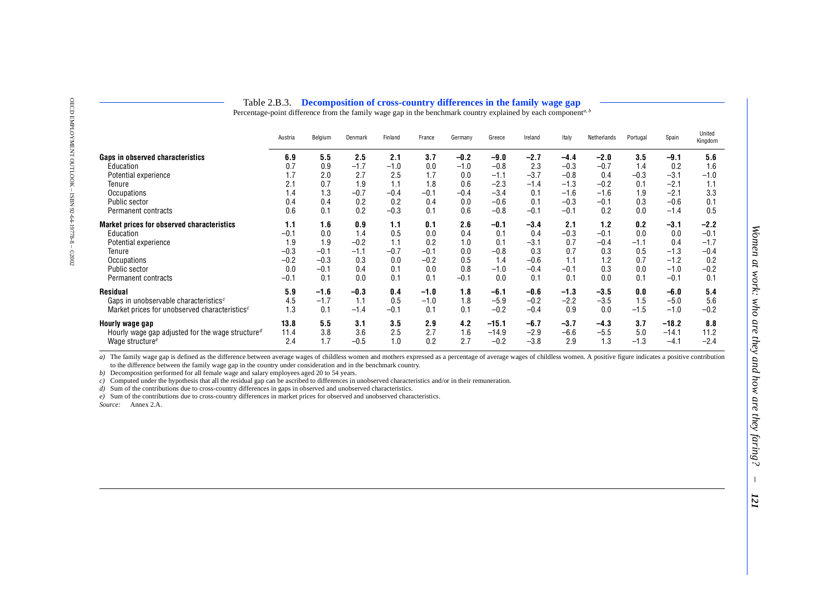## Table 2.B.3. **Decomposition of cross-country differences in the family wage gap**

Percentage-point difference from the family wage gap in the benchmark country explained by each component<sup>a, b</sup>

|                                                                           | Austria | Belgium | Denmark | Finland | France | Germany | Greece  | Ireland | Italy  | Netherlands | Portugal | Spain   | United<br>Kingdom |
|---------------------------------------------------------------------------|---------|---------|---------|---------|--------|---------|---------|---------|--------|-------------|----------|---------|-------------------|
| Gaps in observed characteristics                                          | 6.9     | 5.5     | 2.5     | 2.1     | 3.7    | $-0.2$  | $-9.0$  | $-2.7$  | $-4.4$ | $-2.0$      | 3.5      | $-9.1$  | 5.6               |
| Education                                                                 | 0.7     | 0.9     | $-1.7$  | $-1.0$  | 0.0    | $-1.0$  | $-0.8$  | 2.3     | $-0.3$ | $-0.7$      | 1.4      | 0.2     | 1.6               |
| Potential experience                                                      |         | 2.0     | 2.7     | 2.5     | 1.7    | 0.0     | $-1.1$  | $-3.7$  | $-0.8$ | 0.4         | $-0.3$   | $-3.1$  | $-1.0$            |
| Tenure                                                                    | 2.1     | 0.7     | 1.9     | 1.1     | 1.8    | 0.6     | $-2.3$  | $-1.4$  | $-1.3$ | $-0.2$      | 0.1      | $-2.1$  | 1.1               |
| <b>Occupations</b>                                                        | 4. ا    | 1.3     | $-0.7$  | $-0.4$  | $-0.1$ | $-0.4$  | $-3.4$  | 0.1     | $-1.6$ | $-1.6$      | 1.9      | $-2.1$  | 3.3               |
| <b>Public sector</b>                                                      | 0.4     | 0.4     | 0.2     | 0.2     | 0.4    | 0.0     | $-0.6$  | 0.1     | $-0.3$ | $-0.1$      | 0.3      | $-0.6$  | $0.1\,$           |
| Permanent contracts                                                       | 0.6     | 0.1     | 0.2     | $-0.3$  | 0.1    | 0.6     | $-0.8$  | $-0.1$  | $-0.1$ | 0.2         | 0.0      | $-1.4$  | 0.5               |
| <b>Market prices for observed characteristics</b>                         | 1.1     | 1.6     | 0.9     | 1.1     | 0.1    | 2.6     | $-0.1$  | $-3.4$  | 2.1    | 1.2         | 0.2      | $-3.1$  | $-2.2$            |
| Education                                                                 | $-0.1$  | 0.0     | 1.4     | 0.5     | 0.0    | 0.4     | 0.1     | 0.4     | $-0.3$ | $-0.1$      | 0.0      | 0.0     | $-0.1$            |
| Potential experience                                                      | ∣.9     | 1.9     | $-0.2$  | 1.1     | 0.2    | 1.0     | 0.1     | $-3.1$  | 0.7    | $-0.4$      | $-1.1$   | 0.4     | $-1.7$            |
| Tenure                                                                    | $-0.3$  | $-0.1$  | $-1.1$  | $-0.7$  | $-0.1$ | 0.0     | $-0.8$  | 0.3     | 0.7    | 0.3         | 0.5      | $-1.3$  | $-0.4$            |
| Occupations                                                               | $-0.2$  | $-0.3$  | 0.3     | 0.0     | $-0.2$ | 0.5     | 1.4     | $-0.6$  | 1.1    | 1.2         | 0.7      | $-1.2$  | 0.2               |
| Public sector                                                             | 0.0     | $-0.1$  | 0.4     | 0.1     | 0.0    | 0.8     | $-1.0$  | $-0.4$  | $-0.1$ | 0.3         | 0.0      | $-1.0$  | $-0.2$            |
| Permanent contracts                                                       | $-0.1$  | 0.1     | 0.0     | 0.1     | 0.1    | $-0.1$  | 0.0     | 0.1     | 0.1    | 0.0         | 0.1      | $-0.1$  | 0.1               |
| Residual                                                                  | 5.9     | $-1.6$  | $-0.3$  | 0.4     | $-1.0$ | 1.8     | $-6.1$  | $-0.6$  | $-1.3$ | $-3.5$      | 0.0      | $-6.0$  | 5.4               |
| Gaps in unobservable characteristics <sup>c</sup>                         | 4.5     | $-1.7$  | 1.1     | 0.5     | $-1.0$ | 1.8     | $-5.9$  | $-0.2$  | $-2.2$ | $-3.5$      | 1.5      | $-5.0$  | 5.6               |
| Market prices for unobserved characteristics <sup>c</sup>                 | 1.3     | 0.1     | $-1.4$  | $-0.1$  | 0.1    | 0.1     | $-0.2$  | $-0.4$  | 0.9    | 0.0         | $-1.5$   | $-1.0$  | $-0.2$            |
| Hourly wage gap                                                           | 13.8    | 5.5     | 3.1     | 3.5     | 2.9    | 4.2     | $-15.1$ | $-6.7$  | $-3.7$ | $-4.3$      | 3.7      | $-18.2$ | 8.8               |
| Hourly wage gap adjusted for the wage structure <sup><math>d</math></sup> | 11.4    | 3.8     | 3.6     | 2.5     | 2.7    | 1.6     | $-14.9$ | $-2.9$  | $-6.6$ | $-5.5$      | 5.0      | $-14.1$ | 11.2              |
| Wage structure <sup><math>e</math></sup>                                  | 2.4     | 1.7     | $-0.5$  | 1.0     | 0.2    | 2.7     | $-0.2$  | $-3.8$  | 2.9    | 1.3         | $-1.3$   | $-4.1$  | $-2.4$            |

of Instituy was easy is defined as the difference between avera avera were solvidially somen and mother spreases of childres women. A positive figure indicates a positive contribution to the difference between the family

<span id="page-60-0"></span>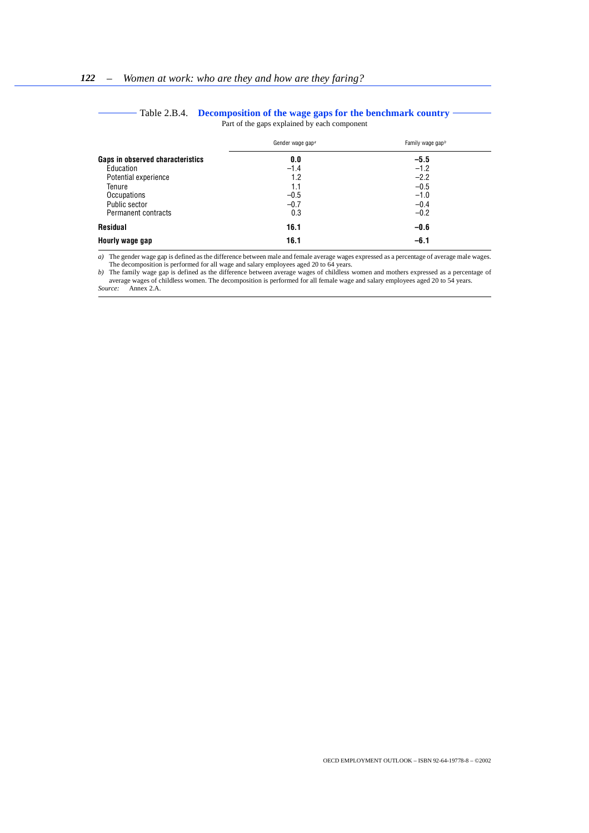<span id="page-61-0"></span>

|                                  | Gender wage gap <sup>a</sup> | Family wage gap <sup>b</sup> |  |  |
|----------------------------------|------------------------------|------------------------------|--|--|
| Gaps in observed characteristics | 0.0                          | $-5.5$                       |  |  |
| Education                        | $-1.4$                       | $-1.2$                       |  |  |
| Potential experience             | 1.2                          | $-2.2$                       |  |  |
| Tenure                           | 1.1                          | $-0.5$                       |  |  |
| Occupations                      | $-0.5$                       | $-1.0$                       |  |  |
| Public sector                    | $-0.7$                       | $-0.4$                       |  |  |
| Permanent contracts              | 0.3                          | $-0.2$                       |  |  |
| Residual                         | 16.1                         | $-0.6$                       |  |  |
| Hourly wage gap                  | 16.1                         | $-6.1$                       |  |  |

#### Table 2.B.4. **Decomposition of the wage gaps for the benchmark country** Part of the gaps explained by each component

*a)* The gender wage gap is defined as the difference between male and female average wages expressed as a percentage of average male wages. The decomposition is performed for all wage and salary employees aged 20 to 64 years.

*b)* The family wage gap is defined as the difference between average wages of childless women and mothers expressed as a percentage of average wages of childless women. The decomposition is performed for all female wage and salary employees aged 20 to 54 years. *Source:* Annex 2.A.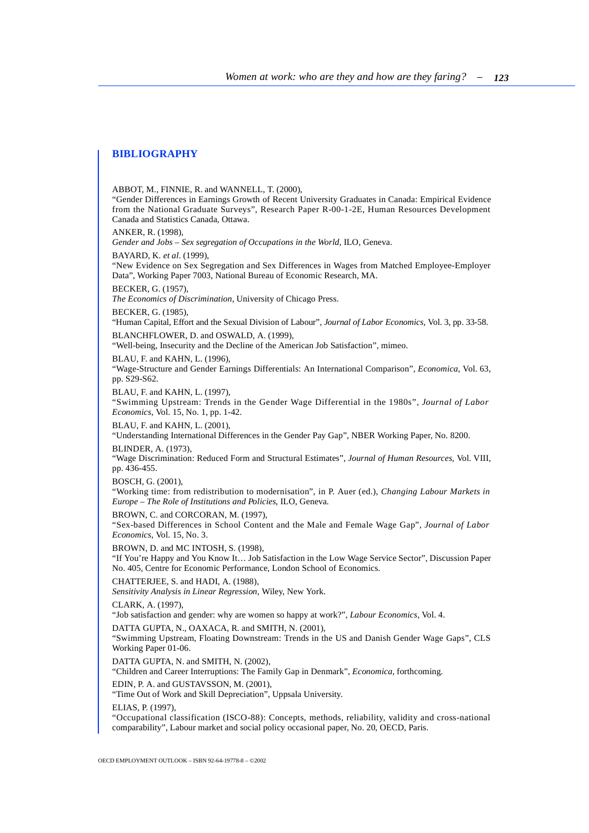## <span id="page-62-0"></span>**BIBLIOGRAPHY**

ABBOT, M., FINNIE, R. and WANNELL, T. (2000), "Gender Differences in Earnings Growth of Recent University Graduates in Canada: Empirical Evidence from the National Graduate Surveys", Research Paper R-00-1-2E, Human Resources Development Canada and Statistics Canada, Ottawa. ANKER, R. (1998), *Gender and Jobs – Sex segregation of Occupations in the World*, ILO, Geneva. BAYARD, K. *et al.* (1999), "New Evidence on Sex Segregation and Sex Differences in Wages from Matched Employee-Employer Data", Working Paper 7003, National Bureau of Economic Research, MA. BECKER, G. (1957), *The Economics of Discrimination*, University of Chicago Press. BECKER, G. (1985), "Human Capital, Effort and the Sexual Division of Labour", *Journal of Labor Economics,* Vol. 3, pp. 33-58. BLANCHFLOWER, D. and OSWALD, A. (1999), "Well-being, Insecurity and the Decline of the American Job Satisfaction", mimeo. BLAU, F. and KAHN, L. (1996), "Wage-Structure and Gender Earnings Differentials: An International Comparison", *Economica*, Vol. 63, pp. S29-S62. BLAU, F. and KAHN, L. (1997), "Swimming Upstream: Trends in the Gender Wage Differential in the 1980s", *Journal of Labor Economics*, Vol. 15, No. 1, pp. 1-42. BLAU, F. and KAHN, L. (2001), "Understanding International Differences in the Gender Pay Gap", NBER Working Paper, No. 8200. BLINDER, A. (1973), "Wage Discrimination: Reduced Form and Structural Estimates", *Journal of Human Resources*, Vol. VIII, pp. 436-455. BOSCH, G. (2001), "Working time: from redistribution to modernisation", in P. Auer (ed.), *Changing Labour Markets in Europe – The Role of Institutions and Policies*, ILO, Geneva. BROWN, C. and CORCORAN, M. (1997), "Sex-based Differences in School Content and the Male and Female Wage Gap", *Journal of Labor Economics*, Vol. 15, No. 3. BROWN, D. and MC INTOSH, S. (1998), "If You're Happy and You Know It… Job Satisfaction in the Low Wage Service Sector", Discussion Paper No. 405, Centre for Economic Performance, London School of Economics. CHATTERJEE, S. and HADI, A. (1988), *Sensitivity Analysis in Linear Regression*, Wiley, New York. CLARK, A. (1997), "Job satisfaction and gender: why are women so happy at work?", *Labour Economics*, Vol. 4. DATTA GUPTA, N., OAXACA, R. and SMITH, N. (2001), "Swimming Upstream, Floating Downstream: Trends in the US and Danish Gender Wage Gaps", CLS Working Paper 01-06. DATTA GUPTA, N. and SMITH, N. (2002), "Children and Career Interruptions: The Family Gap in Denmark", *Economica*, forthcoming. EDIN, P. A. and GUSTAVSSON, M. (2001), "Time Out of Work and Skill Depreciation", Uppsala University. ELIAS, P. (1997), "Occupational classification (ISCO-88): Concepts, methods, reliability, validity and cross-national

comparability", Labour market and social policy occasional paper, No. 20, OECD, Paris.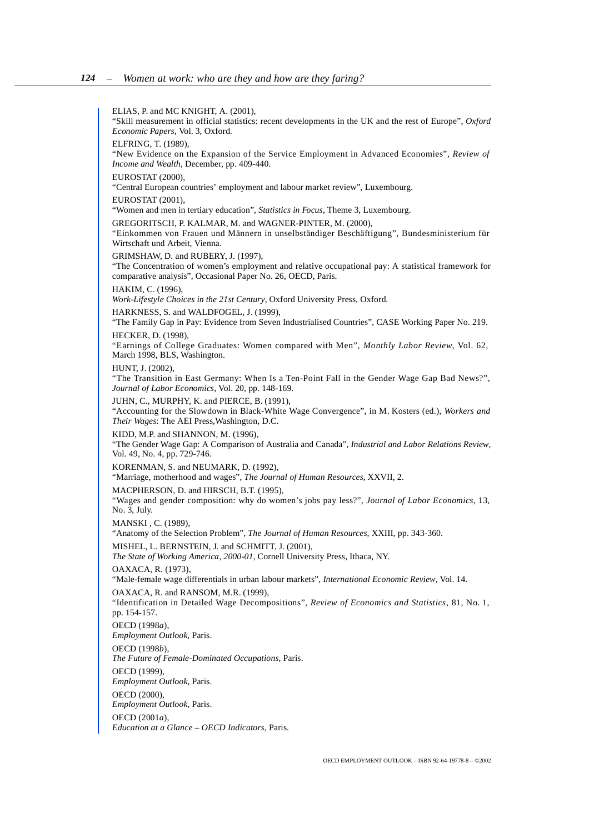ELIAS, P. and MC KNIGHT, A. (2001), "Skill measurement in official statistics: recent developments in the UK and the rest of Europe", *Oxford Economic Papers*, Vol. 3, Oxford. ELFRING, T. (1989), "New Evidence on the Expansion of the Service Employment in Advanced Economies", *Review of Income and Wealth*, December, pp. 409-440. EUROSTAT (2000), "Central European countries' employment and labour market review", Luxembourg. EUROSTAT (2001), "Women and men in tertiary education", *Statistics in Focus*, Theme 3, Luxembourg. GREGORITSCH, P. KALMAR, M. and WAGNER-PINTER, M. (2000), "Einkommen von Frauen und Männern in unselbständiger Beschäftigung", Bundesministerium für Wirtschaft und Arbeit, Vienna. GRIMSHAW, D. and RUBERY, J. (1997), "The Concentration of women's employment and relative occupational pay: A statistical framework for comparative analysis", Occasional Paper No. 26, OECD, Paris. HAKIM, C. (1996), *Work-Lifestyle Choices in the 21st Century*, Oxford University Press, Oxford. HARKNESS, S. and WALDFOGEL, J. (1999), "The Family Gap in Pay: Evidence from Seven Industrialised Countries", CASE Working Paper No. 219. HECKER, D. (1998), "Earnings of College Graduates: Women compared with Men", *Monthly Labor Review*, Vol. 62, March 1998, BLS, Washington. HUNT, J. (2002), "The Transition in East Germany: When Is a Ten-Point Fall in the Gender Wage Gap Bad News?", *Journal of Labor Economics*, Vol. 20, pp. 148-169. JUHN, C., MURPHY, K. and PIERCE, B. (1991), "Accounting for the Slowdown in Black-White Wage Convergence", in M. Kosters (ed.), *Workers and Their Wages*: The AEI Press,Washington, D.C. KIDD, M.P. and SHANNON, M. (1996), "The Gender Wage Gap: A Comparison of Australia and Canada", *Industrial and Labor Relations Review*, Vol. 49, No. 4, pp. 729-746. KORENMAN, S. and NEUMARK, D. (1992), "Marriage, motherhood and wages", *The Journal of Human Resources*, XXVII, 2. MACPHERSON, D. and HIRSCH, B.T. (1995), "Wages and gender composition: why do women's jobs pay less?", *Journal of Labor Economics*, 13, No. 3, July. MANSKI , C. (1989), "Anatomy of the Selection Problem", *The Journal of Human Resources*, XXIII, pp. 343-360. MISHEL, L. BERNSTEIN, J. and SCHMITT, J. (2001), *The State of Working America, 2000-01*, Cornell University Press, Ithaca, NY. OAXACA, R. (1973), "Male-female wage differentials in urban labour markets", *International Economic Review*, Vol. 14. OAXACA, R. and RANSOM, M.R. (1999), "Identification in Detailed Wage Decompositions", *Review of Economics and Statistics*, 81, No. 1, pp. 154-157. OECD (1998*a*), *Employment Outlook*, Paris. OECD (1998*b*), *The Future of Female-Dominated Occupations*, Paris. OECD (1999), *Employment Outlook*, Paris. OECD (2000), *Employment Outlook*, Paris. OECD (2001*a*), *Education at a Glance – OECD Indicators*, Paris.